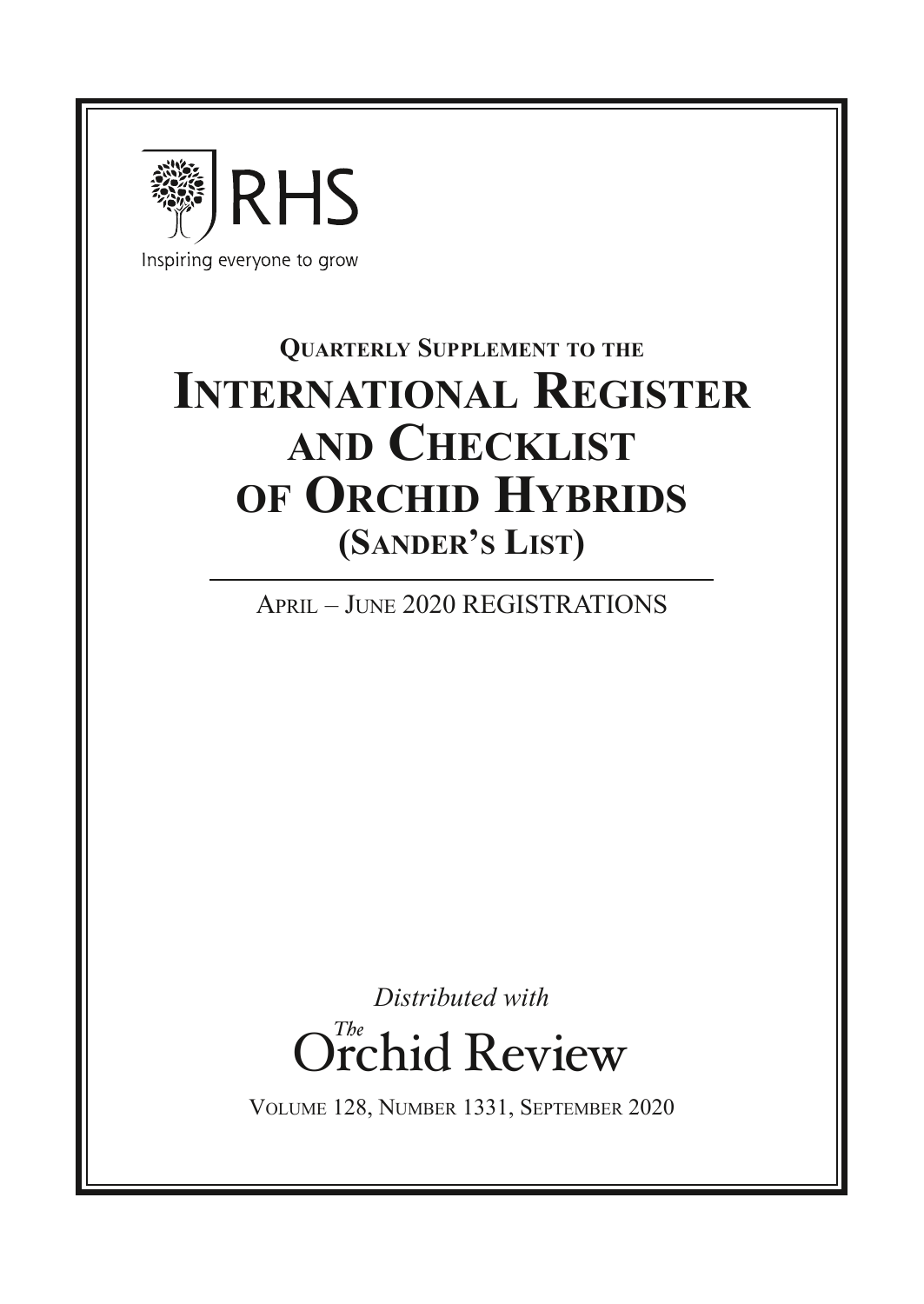

**Quarterly Supplement to the International Register and Checklist of Orchid Hybrids (Sander's List)**

April – June 2020 REGISTRATIONS

*Distributed with* Orchid Review *The*

Volume 128, Number 1331, September 2020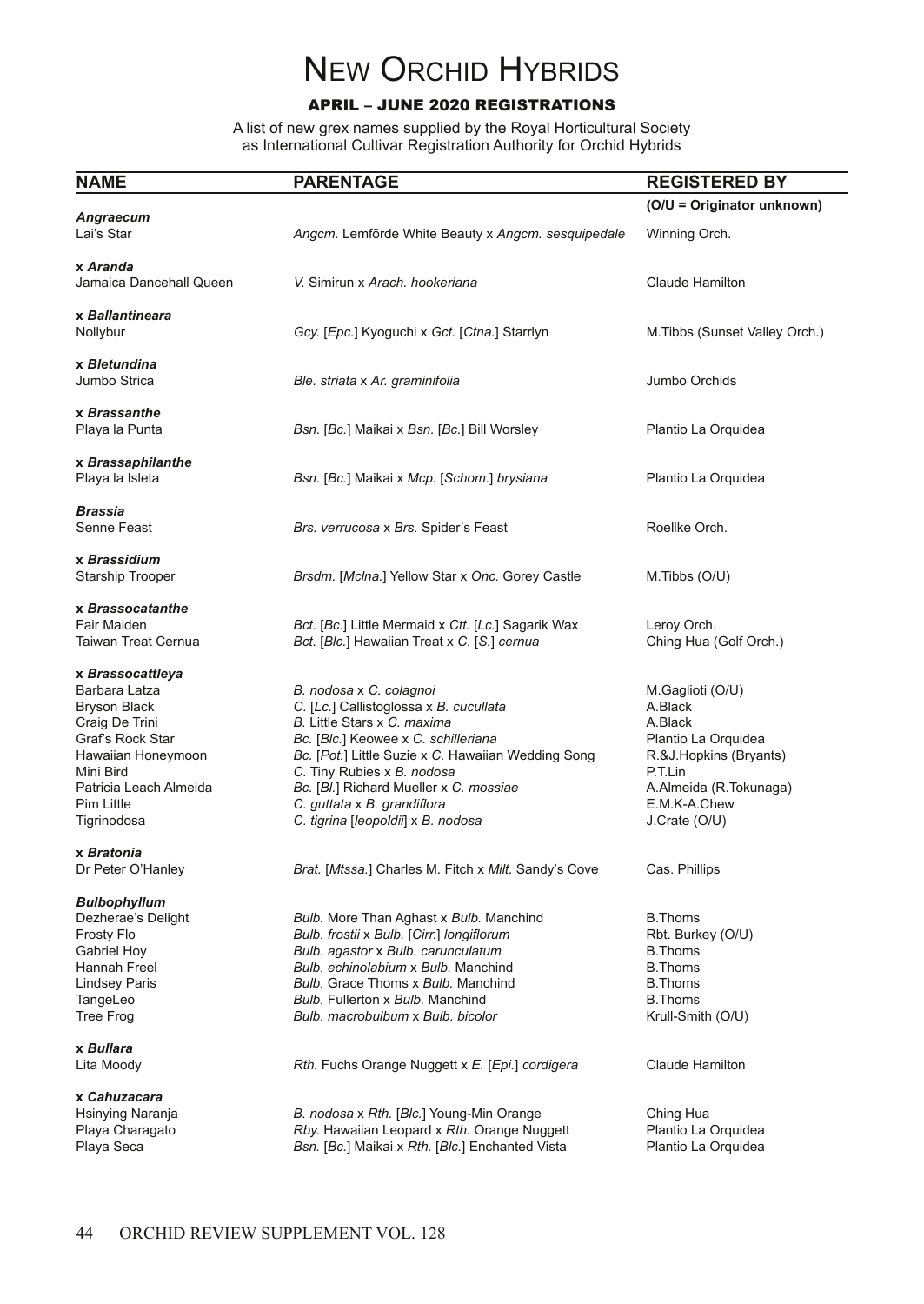# **NEW ORCHID HYBRIDS**

# APRIL – JUNE 2020 REGISTRATIONS

A list of new grex names supplied by the Royal Horticultural Society as International Cultivar Registration Authority for Orchid Hybrids

| NAME                                                                                                                                                                              | <b>PARENTAGE</b>                                                                                                                                                                                                                                                                                                                           | <b>REGISTERED BY</b>                                                                                                                                          |
|-----------------------------------------------------------------------------------------------------------------------------------------------------------------------------------|--------------------------------------------------------------------------------------------------------------------------------------------------------------------------------------------------------------------------------------------------------------------------------------------------------------------------------------------|---------------------------------------------------------------------------------------------------------------------------------------------------------------|
|                                                                                                                                                                                   |                                                                                                                                                                                                                                                                                                                                            | (O/U = Originator unknown)                                                                                                                                    |
| Angraecum<br>Lai's Star                                                                                                                                                           | Angcm. Lemförde White Beauty x Angcm. sesquipedale                                                                                                                                                                                                                                                                                         | Winning Orch.                                                                                                                                                 |
| x Aranda<br>Jamaica Dancehall Queen                                                                                                                                               | V. Simirun x Arach. hookeriana                                                                                                                                                                                                                                                                                                             | Claude Hamilton                                                                                                                                               |
| x Ballantineara<br>Nollybur                                                                                                                                                       | Gcy. [Epc.] Kyoguchi x Gct. [Ctna.] Starrlyn                                                                                                                                                                                                                                                                                               | M. Tibbs (Sunset Valley Orch.)                                                                                                                                |
| x Bletundina<br>Jumbo Strica                                                                                                                                                      | Ble. striata x Ar. graminifolia                                                                                                                                                                                                                                                                                                            | Jumbo Orchids                                                                                                                                                 |
| x Brassanthe<br>Playa la Punta                                                                                                                                                    | Bsn. [Bc.] Maikai x Bsn. [Bc.] Bill Worsley                                                                                                                                                                                                                                                                                                | Plantio La Orquidea                                                                                                                                           |
| x Brassaphilanthe<br>Playa la Isleta                                                                                                                                              | Bsn. [Bc.] Maikai x Mcp. [Schom.] brysiana                                                                                                                                                                                                                                                                                                 | Plantio La Orquidea                                                                                                                                           |
| Brassia<br>Senne Feast                                                                                                                                                            | Brs. verrucosa x Brs. Spider's Feast                                                                                                                                                                                                                                                                                                       | Roellke Orch.                                                                                                                                                 |
| x Brassidium<br><b>Starship Trooper</b>                                                                                                                                           | Brsdm. [Mclna.] Yellow Star x Onc. Gorey Castle                                                                                                                                                                                                                                                                                            | M.Tibbs (O/U)                                                                                                                                                 |
| x Brassocatanthe<br>Fair Maiden<br><b>Taiwan Treat Cernua</b>                                                                                                                     | Bct. [Bc.] Little Mermaid x Ctt. [Lc.] Sagarik Wax<br>Bct. [Blc.] Hawaiian Treat x C. [S.] cernua                                                                                                                                                                                                                                          | Leroy Orch.<br>Ching Hua (Golf Orch.)                                                                                                                         |
| x Brassocattleya<br>Barbara Latza<br>Bryson Black<br>Craig De Trini<br>Graf's Rock Star<br>Hawaiian Honeymoon<br>Mini Bird<br>Patricia Leach Almeida<br>Pim Little<br>Tigrinodosa | B. nodosa x C. colagnoi<br>C. [Lc.] Callistoglossa x B. cucullata<br>B. Little Stars x C. maxima<br>Bc. [Blc.] Keowee x C. schilleriana<br>Bc. [Pot.] Little Suzie x C. Hawaiian Wedding Song<br>C. Tiny Rubies x B. nodosa<br>Bc. [Bl.] Richard Mueller x C. mossiae<br>C. guttata x B. grandiflora<br>C. tigrina [leopoldii] x B. nodosa | M.Gaglioti (O/U)<br>A.Black<br>A.Black<br>Plantio La Orquidea<br>R.&J.Hopkins (Bryants)<br>P.T.Lin<br>A.Almeida (R.Tokunaga)<br>E.M.K-A.Chew<br>J.Crate (O/U) |
| x Bratonia<br>Dr Peter O'Hanley                                                                                                                                                   | Brat. [Mtssa.] Charles M. Fitch x Milt. Sandy's Cove                                                                                                                                                                                                                                                                                       | Cas. Phillips                                                                                                                                                 |
| Bulbophyllum<br>Dezherae's Delight<br>Frosty Flo<br>Gabriel Hoy<br>Hannah Freel<br>Lindsey Paris<br>TangeLeo<br><b>Tree Frog</b>                                                  | Bulb. More Than Aghast x Bulb. Manchind<br>Bulb. frostii x Bulb. [Cirr.] longiflorum<br>Bulb. agastor x Bulb. carunculatum<br>Bulb, echinolabium x Bulb, Manchind<br><b>Bulb.</b> Grace Thoms x Bulb. Manchind<br>Bulb. Fullerton x Bulb. Manchind<br>Bulb. macrobulbum x Bulb. bicolor                                                    | <b>B.Thoms</b><br>Rbt. Burkey (O/U)<br><b>B.Thoms</b><br><b>B.Thoms</b><br><b>B.Thoms</b><br><b>B.Thoms</b><br>Krull-Smith (O/U)                              |
| x Bullara<br>Lita Moody                                                                                                                                                           | Rth. Fuchs Orange Nuggett x E. [Epi.] cordigera                                                                                                                                                                                                                                                                                            | Claude Hamilton                                                                                                                                               |
| x Cahuzacara<br>Hsinying Naranja<br>Playa Charagato<br>Playa Seca                                                                                                                 | B. nodosa x Rth. [Blc.] Young-Min Orange<br>Rby. Hawaiian Leopard x Rth. Orange Nuggett<br>Bsn. [Bc.] Maikai x Rth. [Blc.] Enchanted Vista                                                                                                                                                                                                 | Ching Hua<br>Plantio La Orquidea<br>Plantio La Orquidea                                                                                                       |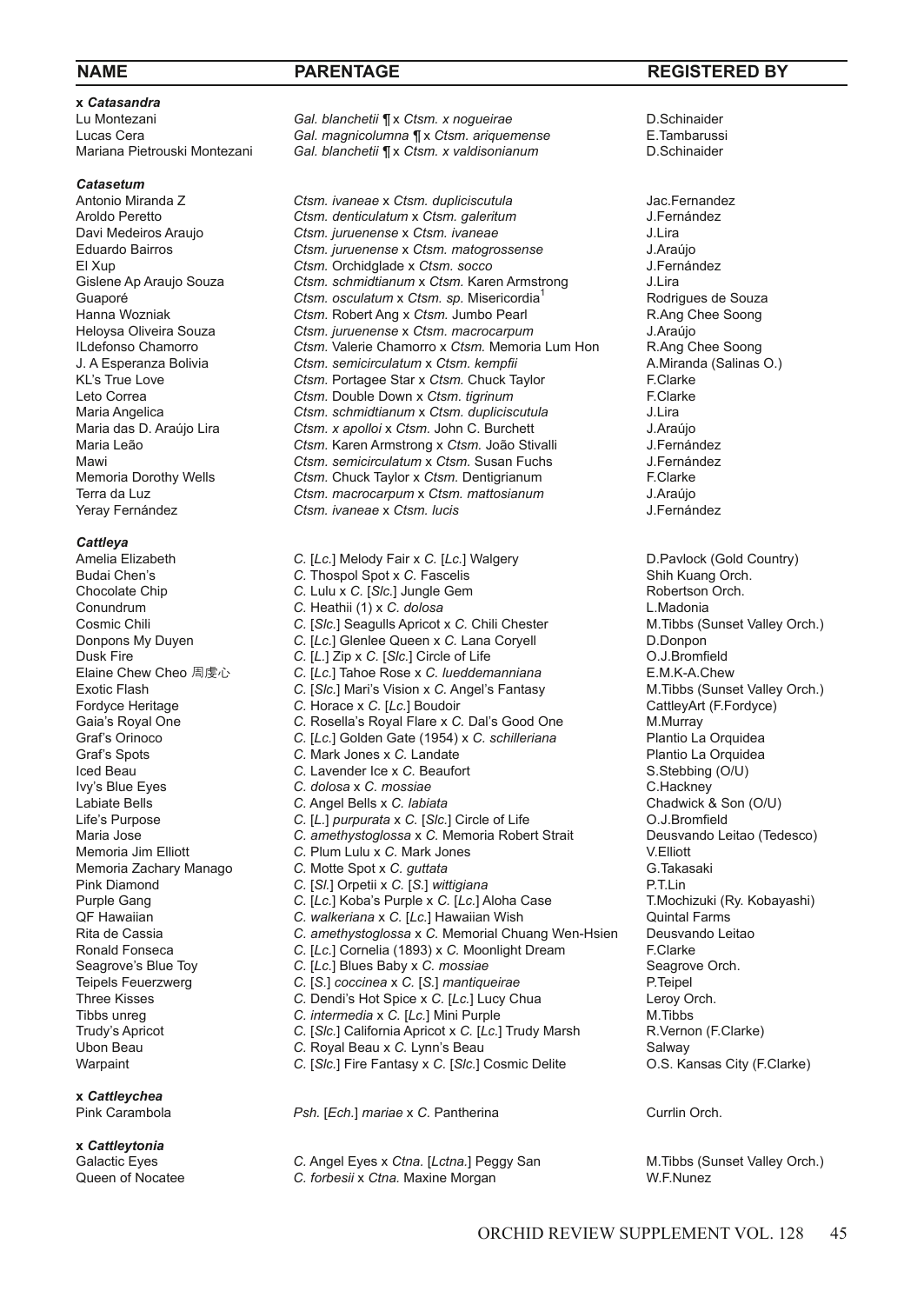**x** *Catasandra*

*Catasetum*

*Cattleya*

**x** *Cattleychea*

**x** *Cattleytonia*

Lu Montezani *Gal. blanchetii ¶* x *Ctsm. x nogueirae* D.Schinaider Lucas Cera *Gal. magnicolumna ¶* x *Ctsm. ariquemense* E.Tambarussi Gal. blanchetii ¶ x Ctsm. *x valdisonianum* 

Antonio Miranda Z *Ctsm. ivaneae* x *Ctsm. dupliciscutula* Jac.Fernandez Aroldo Peretto *Ctsm. denticulatum* x *Ctsm. galeritum* **Channes Ctsm.** *denticulatum* x *Ctsm. ivaneae* **Ctsm.** *june ctsm. ivaneae denticulatum s ctsm. ivaneae denticulatum denticulatum denticulation dent* Davi Medeiros Araujo *Ctsm. juruenense* x *Ctsm. ivaneae* J.Lira Eduardo Bairros *Ctsm. juruenense* x *Ctsm. matogrossense* J.Araújo El Xup **Ctsm.** Orchidglade x *Ctsm.* socco J.Fern Gislene Ap Araujo Souza Ctsm. schmidtianum x Ctsm. Karen Armstrong J.Lira Gislene Ap Araujo Souza *Ctsm. schmidtianum x Ctsm.* Karen Armstrong **J.Lira**<br>Guaporé Rodriques de Souza *Ctsm. osculatum x Ctsm. sp. Misericordia*<sup>1</sup> Rodriques de Souza Guaporé **Ctsm.** *Octalatum* x *Ctsm. sp.* Misericordia<sup>1</sup> Rodrigues de Souza<br>Hanna Wozniak **Richard Cramack Ctsm. Robert Ang x** *Ctsm.* **Jumbo Pearl Richard Richard R. Ang Chee Soong** Hanna Wozniak *Ctsm.* Robert Ang x *Ctsm.* Jumbo Pearl **R.Ang C**<br>Helovsa Oliveira Souza **Ctsm.** *iuruenense x Ctsm. macrocarpum* J.Araúio Heloysa Oliveira Souza *Ctsm. juruenense* x *Ctsm. macrocarpum* J.Araújo ILdefonso Chamorro *Ctsm.* Valerie Chamorro x *Ctsm.* Memoria Lum Hon R.Ang Chee Soong J. A Esperanza Bolivia *Ctsm. semicirculatum* x *Ctsm. kempfii* A.Mirand<br>
KI's True Love **Clarke** *Ctsm. Portagee Star x Ctsm. Chuck Taylor* **F** Clarke KL's True Love **Call Come Communist Communist Communist Communist Communist Communist Communist Communist Communist Communist Communist Communist Communist Communist Communist Communist Communist Communist Communist Commun** Leto Correa **Ctsm.** Double Down x Ctsm. *tigrinum*<br>Maria Angelica **Ctsm.** *Ctsm. schmidtianum* x Ctsm. *dupliciscutula* J.Lira Maria Angelica *Ctsm. schmidtianum* x *Ctsm. dupliciscutula* J.Lira Maria das D. Araújo Lira *Ctsm. x apolloi* x *Ctsm.* John C. Burchett J.Araújo Maria Leão *Ctsm.* Karen Armstrong x *Ctsm.* João Stivalli J.Fernández Mawi *Ctsm. semicirculatum* x *Ctsm.* Susan Fuchs J.Fernán *J.Fernán*<br>Memoria Dorothy Wells *Ctsm.* Chuck Taylor x *Ctsm.* Dentigrianum F.Clarke Memoria Dorothy Wells **Ctsm.** Chuck Taylor x *Ctsm.* Dentigrianum F.Clarke F.Clarke F.Clarke Ctsm. macrocarpum x Ctsm. matrosianum J.Araúio Terra da Luz *Ctsm. macrocarpum* x *Ctsm. mattosianum* J.Araújo Yeray Fernández *Ctsm. ivaneae* x *Ctsm. lucis* J.Fernández

Amelia Elizabeth **C.** [*Lc.*] Melody Fair x C. [*Lc.*] Walgery **C.** The D. Pavlock (Gold Country) Budai Chen's C. Thospol Spot x C. Fascelis Shih Kuang Orch. Budai Chen's **C.** Thospol Spot x C. Fascelis Shih Kuang Orch.<br>
C. Lulu x C. IS/c.1 Jungle Gem Robertson Orch. *C.* Lulu x *C.* [*Slc.*] Jungle Gem C. Heathii (1) x *C. dolosa* C. Chili Chester L.Madonia<br>
C. [S/c.] Seagulls Apricot x C. Chili Chester M.Tibbs (Sunset Valley Orch.) C. [*Slc.*] Seagulls Apricot x C. Chili Chester M.Tibbs (Support C. Intervallent Valley C. [*Lc.*] Glenlee Queen x C. Lana Corvell D.Donpon C. [Lc.] Glenlee Queen x C. Lana Coryell **Dusk Fire C. [L.] Zip x C. [Sic.] Circle of Life community of C. J.Bromfield<br>
Elaine Chew Cheo 周虔心 C. [Lc.] Tahoe Rose x C. lueddemanniana E.M.K-A.Chew** Elaine Chew Cheo 周虔心 *C.* [*Lc.*] Tahoe Rose x *C. lueddemanniana* **E.M.K-A.Chew**<br>
C. [S/c.] Mari's Vision x C. Angel's Fantasy **M.Tibbs (Sunset Valley Orch.)** C. [Slc.] Mari's Vision x C. Angel's Fantasy Fordyce Heritage **C.** Horace x C. [Lc.] Boudoir **C. DatileyArt (F. Fordyce)** CattleyArt (F. Fordyce) C. Rosella's Roval Flare x C. Dal's Good One M. Murray Gaia's Royal One **C.** Rosella's Royal Flare x C. Dal's Good One M. Murray M. All C. The C. Rosella's Royal Flare x C. Dal's Good One M. Murray C. For all C. The C. The C. The C. I Golden Gate (1954) x C. schilleriana Plant C. [Lc.] Golden Gate (1954) x C. schilleriana Graf's Spots **C.** Mark Jones x *C*. Landate Plantio La Orquidea Iced Beau Plantio La Orquidea Iced Beau C. Lavender Ice x *C*. Beaufort **Plantic Solution** S. Stebbing (O/U) Iced Beau *C.* Lavender Ice x *C.* Beaufort S.Stebbing (O/U)  $C.$  dolosa x  $C.$  *mossiae* Labiate Bells **C.** Angel Bells x *C. labiata* circle of Life Chadwick & Son (O/U)<br>
Life's Purpose **C. [L.]** purpurata x C. [S/c.] Circle of Life **C.** [O.J.Bromfield Life's Purpose *C.* [*L.*] *purpurata* x *C.* [*Slc.*] Circle of Life O.J.Bromfield Maria Jose **C.** *amethystoglossa* x *C.* Memoria Robert Strait Deuts C. Plum Lulu x *C.* Mark Jones C. Plum Lulu x C. Mark Jones **C. Plum Lulu x C. Mark Jones** V.Elliott **C. Motte Spot x C. guttata** Memoria Zachary Manago *C.* Motte Spot x *C. guttata* **G. Takasaking C. Takasaking C. Takasaking C. IS** C. IS 1 wittigiana Pink Diamond **C.** [SI.] Orpetii x C. [S.] *wittigiana* P.T.Lin<br>Purple Gang C. [Lc.] Koba's Purple x C. [Lc.] Aloha Case T.Mochizuki (Ry. Kobayashi) Purple Gang **C.** [*Lc.*] Koba's Purple x C. [*Lc.*] Aloha Case T.Mochizuki (R<br>QF Hawaiian C. walkeriana x C. [*Lc.*] Hawaiian Wish Quintal Farms C. *walkeriana* x C. [*Lc.*] Hawaiian Wish C. *amethystoglossa* x C. Memorial Chuang Wen-Hsien Deusvando Leitao Rita de Cassia **C.** *amethystoglossa* x C. Memorial Chuang Wen-Hsien Deusvan **C.** *C. Le.* Comelia (1893) x C. Moonlight Dream F. Clarke Ronald Fonseca *C.* [*Lc.*] Cornelia (1893) x *C.* Moonlight Dream F.Clarke Seagrove's Blue Toy **C. [Lc.] Blues Baby x C.** *mossiae* Seagrove Seagrove C. [C.] Blues Baby x C. *mossiae* Seagrove C. [S.] mantiqueirae S. C. **P.** Teipel  $C.$  [S.] coccinea x  $C.$  [S.] *mantiqueirae* Three Kisses **C.** Dendi's Hot Spice x *C.* [*Lc.*] Lucy Chua Leroy Orch.<br>
Tibbs unreq C. *intermedia* x *C.* [*Lc.*] Mini Purple M. Tibbs C. intermedia x C. [Lc.] Mini Purple M.Tibbs M.Tibbs C. [Slc.] California Apricot x C. [Lc.] Trudy Marsh R.Vernon (F.Clarke) Trudy's Apricot **C.** [*Slc.*] California Apricot x C. [*Lc.*] Trudy Marsh R. Vernon (F.C. Roval Beau x C. Lynn's Beau (F.C.) C. Roval Beau x C. Lynn's Beau (F.C.) Ubon Beau **C.** Royal Beau x C. Lynn's Beau **C.** Salway Salway<br>
Warpaint C. [S/c.] Fire Fantasy x C. [S/c.] Cosmic Delite **C.** Kansas City (F.Clarke) *C.* [*Slc.*] Fire Fantasy x *C.* [*Slc.*] Cosmic Delite

**Psh.** [*Ech.*] *mariae* x *C.* Pantherina Currlin Orch.

Galactic Eyes *C.* Angel Eyes x *Ctna.* [*Lctna.*] Peggy San M.Tibbs (Sunset Valley Orch.) Queen of Nocatee *C. forbesii* x *Ctna.* Maxine Morgan W.F.Nunez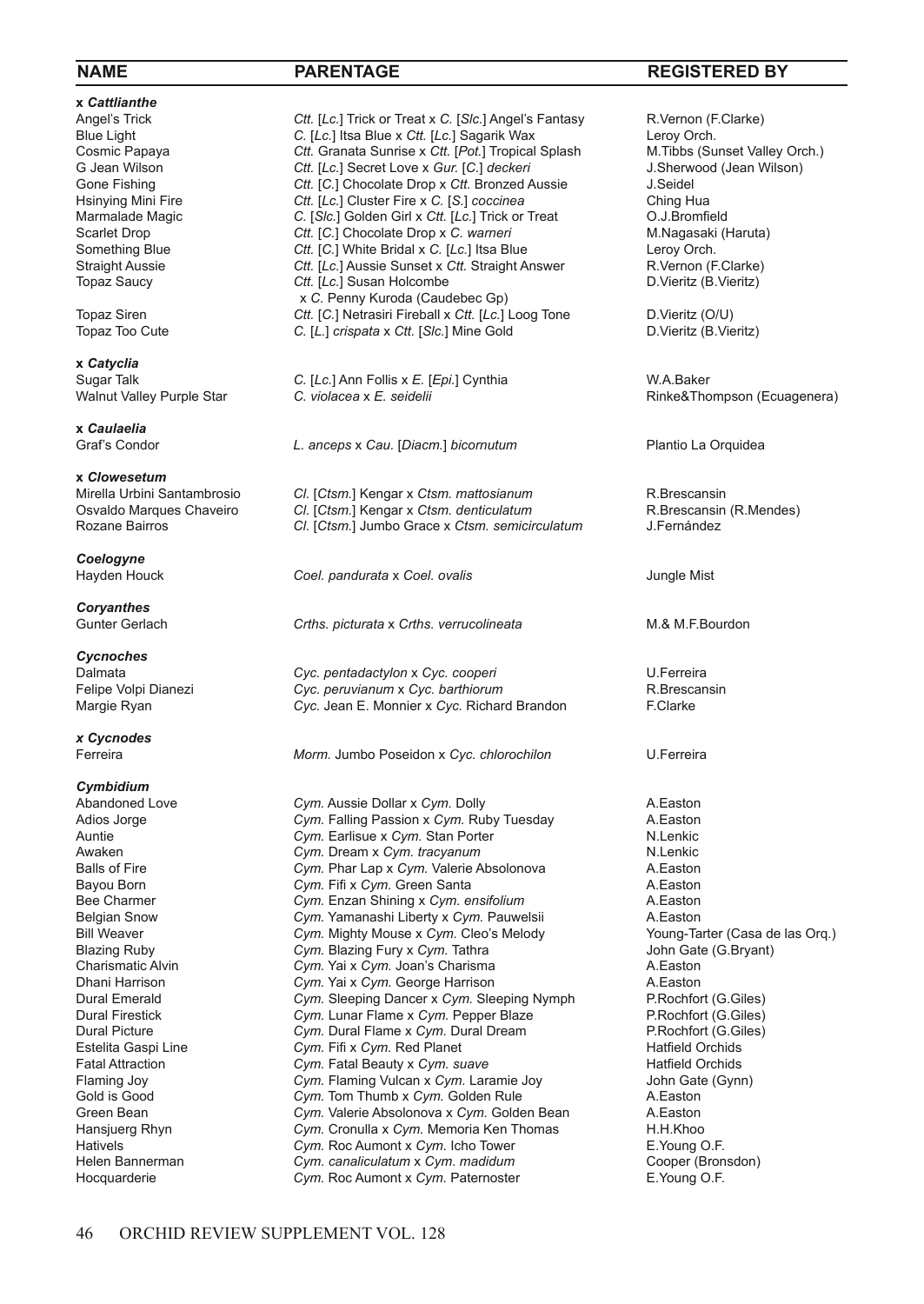# **x** *Cattlianthe*

**x** *Catyclia*

**x** *Caulaelia*

**x** *Clowesetum*

*Coelogyne*

*Coryanthes*

*Cycnoches*

*x Cycnodes*

# *Cymbidium*

Angel's Trick **Ctt.** [*Lc.*] Trick or Treat x C. [S/c.] Angel's Fantasy R.Vernon (F.Clarke)<br>
Blue Light C. ILc.1 Itsa Blue x Ctt. [Lc.] Sagarik Wax Lerov Orch. Blue Light **C.** [*Lc.*] Itsa Blue x Ctt. [*Lc.*] Sagarik Wax Leroy Orch.<br>
Cosmic Papaya Ctt. Granata Sunrise x Ctt. [Pot.] Tropical Splash M.Tibbs (Sunset Valley Orch.) Cosmic Papaya **Ctt.** Granata Sunrise x Ctt. [Pot.] Tropical Splash M. Tibbs (Sunset Valley Orch.)<br>Ctt. [Lc.] Secret Love x Gur. [C.] deckeri J. Sherwood (Jean Wilson) G Jean Wilson **Ctt.** [*Lc.*] Secret Love x *Gur.* [C.] *deckeri* J.Sherw<br>
Gone Fishing Ctt. [C.] Chocolate Drop x Ctt. Bronzed Aussie J.Seidel Gone Fishing **Ctt.** [C.] Chocolate Drop x Ctt. Bronzed Aussie J. Seidel<br>
Hsinving Mini Fire **Ctt.** Ctr. [Lc.] Cluster Fire x C. [S.] coccinea Ching Hua Hsinying Mini Fire **Ctt.** [*Lc.*] Cluster Fire x C. [S.] *coccinea* Ching Hua<br>
Marmalade Magic C. [S/c.] Golden Girl x Ctt. [*Lc.*] Trick or Treat C. J.Bromfield Marmalade Magic **C.** [*Slc.*] Golden Girl x *Ctt.* [Lc.] Trick or Treat **C.** I.Bromfield<br>
Scarlet Drop **Ctt.** [C.] Chocolate Drop x *C. warneri* M.Nagasaki (Haruta) Scarlet Drop **Ctt.** [C.] Chocolate Drop x C. warneri M.Nagasaki (G. 1995) M.Nagasaki (Haruta) Ctt. [C.] White Bridal x C. [Lc.] Itsa Blue Crop Crop. Something Blue **Ctt.** [C.] White Bridal x C. [Lc.] Itsa Blue Leroy Orch.<br>
Straight Aussie **Ctt.** [Lc.] Aussie Sunset x Ctt. Straight Answer R. Vernon (F. Clarke) Straight Aussie **Ctt.** [*Lc.*] Aussie Sunset x Ctt. Straight Answer R.Vernon (F.Clarke Topaz Saucy Ctt. [*Lc.*] Susan Holcombe **D.Vieritz** (B.Vieritz (B.Vieritz) Ctt. [Lc.] Susan Holcombe x *C.* Penny Kuroda (Caudebec Gp)<br>Topaz Siren Ctt. IC.1 Netrasiri Fireball x Ctt. ILc.1 Topaz Siren **Ctt.** [C.] Netrasiri Fireball x Ctt. [Lc.] Loog Tone D.Vieritz (O/U)<br>
Topaz Too Cute C. [L.] *crispata* x Ctt. [S/c.] Mine Gold D.Vieritz (B.Vieritz (B.Vieritz C. [L.] crispata x Ctt. [Slc.] Mine Gold

Sugar Talk *C.* [*Lc.*] Ann Follis x *E.* [*Epi.*] Cynthia W.A.Baker

Graf's Condor *L. anceps* x *Cau.* [*Diacm.*] *bicornutum* Plantio La Orquidea

Mirella Urbini Santambrosio *Cl.* [*Ctsm.*] Kengar x *Ctsm. mattosianum* R.Brescansin Osvaldo Marques Chaveiro *Cl.* [*Ctsm.*] Kengar x *Ctsm. denticulatum* R.Brescansin<br>Rozane Bairros **Cl. Ctsm.** Jumbo Grace x *Ctsm. semicirculatum* J.Fernández **CI.** [Ctsm.] Jumbo Grace x Ctsm. semicirculatum

**Coel.** *pandurata* x *Coel. ovalis dungle Mist* Jungle Mist

Gunter Gerlach *Crths. picturata* x *Crths. verrucolineata* M.& M.F.Bourdon

Dalmata *Cyc. pentadactylon* x *Cyc. cooperi* U.Ferreira Felipe Voltanum Volpi Dianezi *Cyc. barthiorum*<br>Cyc. Jean F. Monnier x *Cyc.* Richard Brandon **X.** R. Clarke Margie Ryan **Cyc.** Jean E. Monnier x Cyc. Richard Brandon

Ferreira *Morm.* Jumbo Poseidon x *Cyc. chlorochilon* U.Ferreira

Abandoned Love *Cym.* Aussie Dollar x *Cym.* Dolly **A.Easton**<br>Adios Jorge **A.Easton** *Cym.* Falling Passion x *Cym.* Ruby Tuesday **A.Easton** Adios Jorge **Cym.** Falling Passion x Cym. Ruby Tuesday A. Easton Auntie **A.**<br>Auntie **Cym.** Earlisue x Cym. Stan Porter **Auntie** N. Lenkic *Cym.* Earlisue x *Cym.* Stan Porter N.Lenkic Cym. Dream x *Cym. tracvanum* Awaken **Cym.** Dream x *Cym. tracyanum* **Cym.** N.Lenkic Balls of Fire **N.Lenkic** Cym. Phar Lap x *Cym.* Valerie Absolonova A.Easton Cym. Phar Lap x Cym. Valerie Absolonova **A.Easton**<br>Cym. Fifi x Cym. Green Santa **A. Easton** A Easton Bayou Born **Cym.** Fifi x *Cym.* Green Santa **A.Easton** A.Easton **Bee Charmer** A.Easton Com. Enzan Shining x *Cym. ensifolium* A.Easton Bee Charmer **Cym.** Enzan Shining x Cym. ensifolium **A.Easton** Belgian Snow **Cym.** Yamanashi Liberty x Cym. Pauwelsii A.Easton Belgian Snow **Cym. Yamanashi Liberty x Cym. Pauwelsii** A.Easton A.Easton A.Easton Cym. Nighty Mouse x Cym. Cleo's Melody Cym. Young-Tarter (Casa de las Org.) Cym. Mighty Mouse x Cym. Cleo's Melody Blazing Ruby **Cym.** Blazing Fury x Cym. Tathra **Gramman Charles Community Community** Charles Communic Communic Communic Communic Communic Communic Communic Communic Communic Communic Communic Communic Communic Communic Com Charismatic Alvin *Cym.* Yai x *Cym.* Joan's Charisma A.Easton Dhani Harrison **Cym.** Yai x *Cym.* George Harrison **Dural Emerald** Cym. Sleeping Dancer x *Cym.* Sleeping Dancer x *Cym.* Sleeping Dancer x *Cym.* Sleeping Dancer x 2 Dural Emerald *Cym.* Sleeping Dancer x *Cym.* Sleeping Nymph P.Rochfort (G.Giles)<br>
Dural Firestick Cym. Lunar Flame x Cym. Pepper Blaze P.Rochfort (G.Giles) Dural Firestick *Cym.* Lunar Flame x *Cym.* Pepper Blaze P.Rochfort (G.Giles)<br>Dural Picture P.Rochfort (G.Giles) Cym. Dural Flame x Cym. Dural Dream P.Rochfort (G.G. Cym. Reachfort (G.G. Cym. Reachfort C.G. Cym. Reachfort C.G. Cym. Reachfort C.G. Cym. Reachfort C.G. Cym. Reachfort C.G. Cym. Reachfort C.G. Cym. Reachfort C.G. Cym. Rea Estelita Gaspi Line *Cym.* Fifi x *Cym.* Red Planet **Hatfield Orchids**<br>
Fatal Attraction **Fatal Beauty x Cym.** suave Hatfield Orchids Fatal Attraction *Cym.* Fatal Beauty x Cym. suave<br>
Flaming Joy **Cym.** Flaming Vulcan x Cym. Lar. Flaming Joy **Cym.** Flaming Vulcan x Cym. Laramie Joy John Gate (Gynn)<br>
Gold is Good **Cym. Tom Thumb x Cym. Golden Rule** A. Easton Gold is Good **Cym.** Tom Thumb x Cym. Golden Rule **A.Easton** A.Easton Creen Bean A.Easton Cym. Valerie Absolonova x Cym. Golden Bean A.Easton Cym. Valerie Absolonova x Cym. Golden Bean Hansjuerg Rhyn *Cym.* Cronulla x *Cym.* Memoria Ken Thomas H.H.Khoo Hativels *Cym.* Roc Aumont x *Cym.* Icho Tower E.Young O.F. Cym. canaliculatum x Cym. madidum Hocquarderie *Cym.* Roc Aumont x *Cym.* Paternoster E.Young O.F.

# **NAME PARENTAGE REGISTERED BY**

 $Rinke$ &Thompson (Ecuagenera)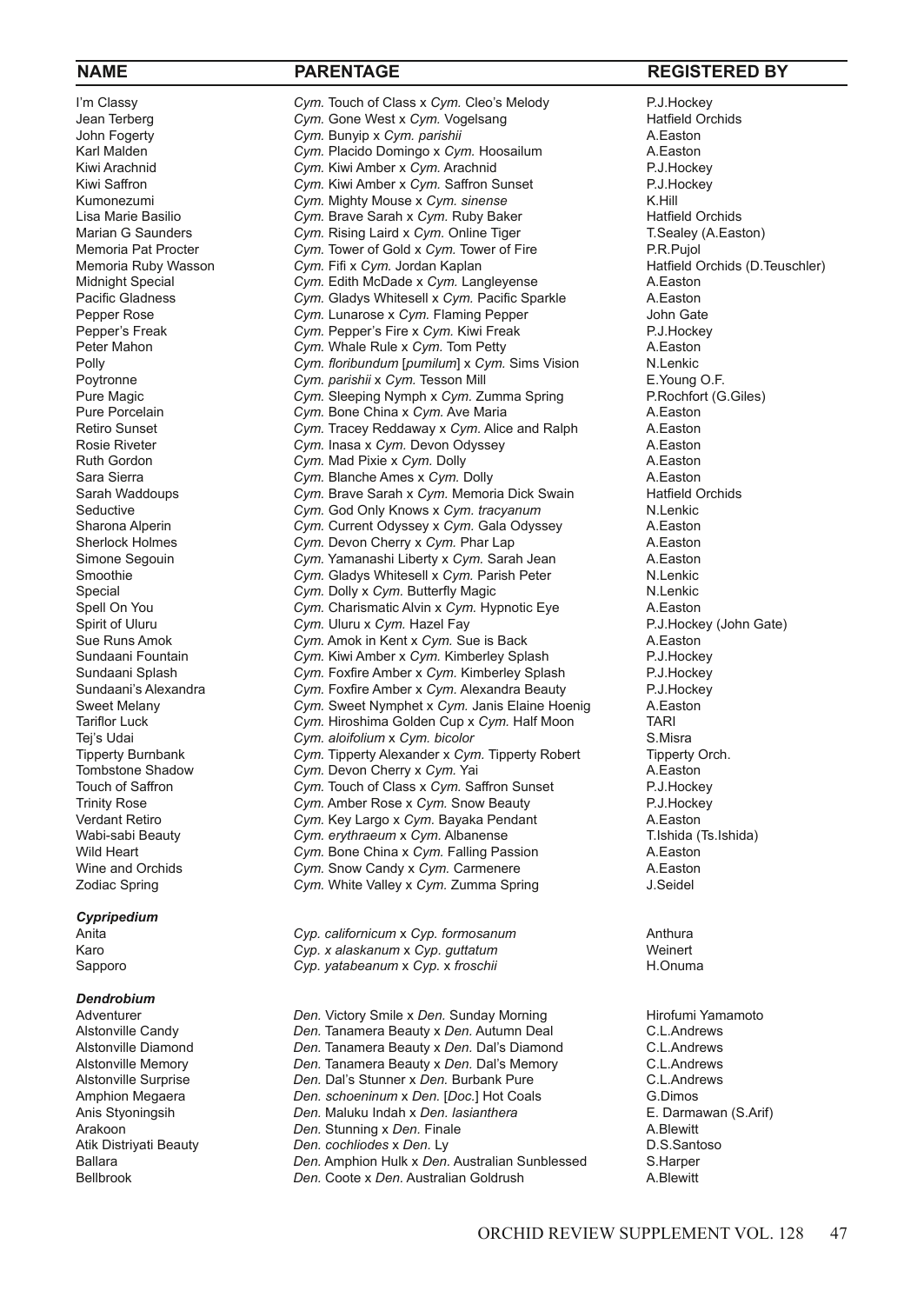# *Cypripedium*

# *Dendrobium*<br>Adventurer

I'm Classy **Cym.** Touch of Class x Cym. Cleo's Melody P.J.Hockey<br>
Jean Terberg **Cym. Gone West x Cym. Vogelsang** Press Hatfield Orchids Jean Terberg **Cym.** Gone West x Cym. Vogelsang Fractield Cym. Hatfield Cym. Bunyip x Cym. parishii Cym. A. Easton John Fogerty *Cym.* Bunyip x *Cym. parishii* A.Easton Karl Malden **Cym.** Placido Domingo x Cym. Hoosailum A.Easton A.Easton Cym. Kiwi Amber x Cym. Arachnid Cym. A.Easton Kiwi Arachnid **Cym. Kiwi Amber x Cym. Arachnid** P.J.Hockey<br>
Kiwi Saffron **Cym. Kiwi Amber x Cym. Saffron Sunset** P.J.Hockey Kiwi Saffron **Cym.** Kiwi Amber x *Cym.* Saffron Sunset P.J.Hockey Cym. Saffron Sunset P.J.Hockey Cym. Nighty Mouse x Cym. *Sinense* Cym. At Hill Kumonezumi *Cym.* Mighty Mouse x *Cym. sinense* Cymeration and K.Hill<br>
Lisa Marie Basilio Cym. Brave Sarah x *Cym.* Ruby Baker Charles Hatfield Orchids Lisa Marie Basilio *Cym.* Brave Sarah x *Cym.* Ruby Baker **Hatfield Orchids** Marian G Saunders *Cym.* Rising Laird x *Cym.* Online Tiger **The Casacan Times** T. Sealey (A. Easton) Marian G Saunders *Cym.* Rising Laird x *Cym.* Online Tiger **T.Sealey** T.Sealey<br>Memoria Pat Procter **Cym. Tower of Gold x Cym. Tower of Fire** P.R. Puiol Memoria Pat Procter **Cym.** Tower of Gold x Cym. Tower of Fire P.R.Pujol<br>Memoria Ruby Wasson Cym. Fifi x Cym. Jordan Kaplan Process Patfield Orchids (D.Teuschler) Memoria Ruby Wasson *Cym.* Fifi x *Cym.* Jordan Kaplan **Michaeld Corporat Cym.** Fifi x *Cym.* Langler (D.T. A.Easton Michaeld Cym. Edith McDade x *Cym.* Langleyense A.Easton Cym. Edith McDade x Cym. Langleyense **A.Easton**<br>
Cym. Gladys Whitesell x Cym. Pacific Sparkle **A.Easton** Pacific Gladness *Cym.* Gladys Whitesell x *Cym.* Pacific Sparkle A.Easton<br>Pepper Rose **Cym.** Lunarose x *Cym.* Flaming Pepper **A.Easton** John Gate Pepper Rose **Cym.** Lunarose x Cym. Flaming Pepper John Gate<br>
Pepper's Freak **Pepper's Fire x Cym. Kiwi Freak** Peut P.J. Hockey Pepper's Freak **Cym. Pepper's Fire x Cym. Kiwi Freak** P.J.Hocker<br>Peter Mahon **Cym. Whale Rule x Cym. Tom Petty** A. Easton Peter Mahon *Cym.* Whale Rule x *Cym.* Tom Petty A.Easton Polly **Polly Cym.** floribundum [pumilum] x Cym. Sims Vision **N.Lenkic**<br> **Poytronne** Cym. parishii x Cym. Tesson Mill<br>
E. Young O.F. Poytronne **Cym.** *Cym.* Tesson Mill **E.** Young O.F. **COMIC COMIC COMIC ESS**<br> *Cym.* Sleeping Nymph x *Cym.* Zumma Spring **BRochfort (G.Giles)** Pure Magic *Cym.* Sleeping Nymph x *Cym.* Zumma Spring P.Rochfort (G.Giles) Cym. Bone China x Cym. Ave Maria Retiro Sunset **Cym.** Tracey Reddaway x Cym. Alice and Ralph A. Easton Rosie Riveter **A. Easton** Cym. Inasa x Cym. Devon Odyssey Rosie Riveter *Cym.* Inasa x *Cym.* Devon Odyssey A.Easton Ruth Gordon **Cym.** Mad Pixie x Cym. Dolly **A.Easton** A.Easton Sara Sierra **A.Easton** Sara Sierra *Cym.* Blanche Ames x *Cym.* Dolly **A.Easton** A.Easton **A. A. A. Easton** Cym. Brave Sarah x *Cym.* Memoria Dick Swain Hatfield Orchids Sarah Waddoups *Cym.* Brave Sarah x *Cym.* Memoria Dick Swain Hatfield C<br>
Cym God Only Knows x *Cym tracyanum* N Lenkic Seductive *Cym.* God Only Knows x *Cym. tracyanum* N.Lenkic Sharona Alperin *Cym.* Current Odyssey x *Cym.* Gala Odyssey A. Easton<br>
Sherlock Holmes Cym. Devon Cherry x *Cym.* Phar Lap A. Easton Cym. Devon Cherry x Cym. Phar Lap **A.Easton**<br>Cym. Yamanashi Liberty x Cym. Sarah Jean **A. A. Faston** Simone Segouin *Cym.* Yamanashi Liberty x *Cym.* Sarah Jean A.Easton<br> *Cwm.* Gladys Whitesell x *Cwn.* Parish Peter **A.** Lenkic Smoothie **Subsetsell and Cym.** Gladys Whitesell x Cym. Parish Peter **N.Lenkic** Special **N.Lenkic** Cym. Dolly x Cym. Butterfly Magic Cym. Dolly x Cym. Butterfly Magic Spell On You *Cym.* Charismatic Alvin x *Cym.* Hypnotic Eye A.Easton Spirit of Uluru *Cym.* Uluru *Cym.* Uluru x *Cym.* Hazel Fay **P.J.Hockey (John Gate)** P.J.Hockey (John Gate) **Cym.** Amok in Kent x *Cym.* Sue is Back A. Easton A. Easton Cym. Amok in Kent x Cym. Sue is Back Sundaani Fountain *Cym.* Kiwi Amber x *Cym.* Kimberley Splash P.J.Hockey Sundaani Splash **Cym.** Foxfire Amber x *Cym.* Kimberley Splash P.J.Hockey<br>
Sundaani's Alexandra Cym. Foxfire Amber x *Cym.* Alexandra Beauty P.J.Hockey Sundaani's Alexandra *Cym.* Foxfire Amber x *Cym.* Alexandra Beauty P.J.Hockey<br> *Cym.* Sweet Nymphet x *Cym.* Janis Elaine Hoenig A.Easton Sweet Melany *Cym.* Sweet Nymphet x *Cym.* Janis Elaine Hoenig A.Easton Tariflor Luck **Tariflor Luck** *Cym.* Hiroshima Golden Cup x *Cym.* Half Moon TARI<br>Tei's Udai **Cym.** Aloifolium x Cym. bicolor  $Cym.$  *aloifolium* x  $Cym.$  *bicolor* Tipperty Burnbank *Cym.* Tipperty Alexander x *Cym.* Tipperty Robert Tipperty Orch. Tombstone Shadow *Cym.* Devon Cherry x Cym. Yai Touch of Saffron **Cym.** Touch of Class x Cym. Sa Cym. Touch of Class x Cym. Saffron Sunset P.J.Hockey Trinity Rose **Cym.** Amber Rose x Cym. Snow Beauty **P.J.Hockey** P.J.Hockey<br>
Verdant Retiro **Cym. Key Largo x Cym. Bayaka Pendant** A.Easton Verdant Retiro **Cym.** Key Largo x Cym. Bayaka Pendant A.Easton A.Easton<br>
Wabi-sabi Beauty Cym. erythraeum x Cym. Albanense **A. A. A. A. A. A. A. A. A. A. A. A. A.** A. A. A. A. A. A. A. A Cym. erythraeum x Cym. Albanense Wild Heart **Cym.** Bone China x Cym. Falling Passion A.Easton A.Easton A.Easton Cym. Snow Candy x Cym. Carmenere Cym. Snow Candy x Cym. Carmenere **A.Easton A.Easton A.Easton A.Easton A.Easton A.**<br>Cym. White Valley x Cym. Zumma Spring Zodiac Spring **Cym.** White Valley x Cym. Zumma Spring

Anita *Cyp. californicum* x *Cyp. formosanum* Anthura Karo *Cyp. x alaskanum* x *Cyp. guttatum* Weinert Cyp. yatabeanum x Cyp. x froschii

Adventurer *Den.* Victory Smile x Den. Sunday Morning **Hirofumi Yamamoto**<br>Alstonville Candy **Alstonian Commentation** Den. Tanamera Beauty x Den. Autumn Deal **Alstonian C.L.Andrews** Alstongile C.L.Andrews<br>
C.L.Andrews<br>
Den. Tanamera Beauty x *Den*. Dal's Diamond C.L.Andrews Alstonville Diamond *Den.* Tanamera Beauty x *Den.* Dal's Diamond C.L.Andrews Alstonville Memory *Den.* Tanamera Beauty x *Den.* Dal's Memory C.L.Andrews Alstonville Surprise *Den. Dal's Stunner x Den. Burbank Pure* C.L.Andr<br>Amphion Megaera *Den. schoeninum x Den. [Doc.*] Hot Coals G.Dimos Amphion Megaera *Den. schoeninum* x *Den.* [Doc.] Hot Coals G.Dimos<br>
Anis Styoningsih **Den.** Maluku Indah x *Den. lasianthera* E. Darmawan (S.Arif) Den. Maluku Indah x Den. lasianthera Arakoon *Den.* Stunning x *Den.* Finale A.Blewitt Atik Distriyati Beauty *Den. cochliodes* x Den. Ly **Den.** Ambabased **D.S.Santoso**<br>Ballara **Ballara** *Den.* Amphion Hulk x Den. Australian Sunblessed S.Harper Ballara *Den.* Amphion Hulk x *Den.* Australian Sunblessed S.Harper Den. Coote x Den. Australian Goldrush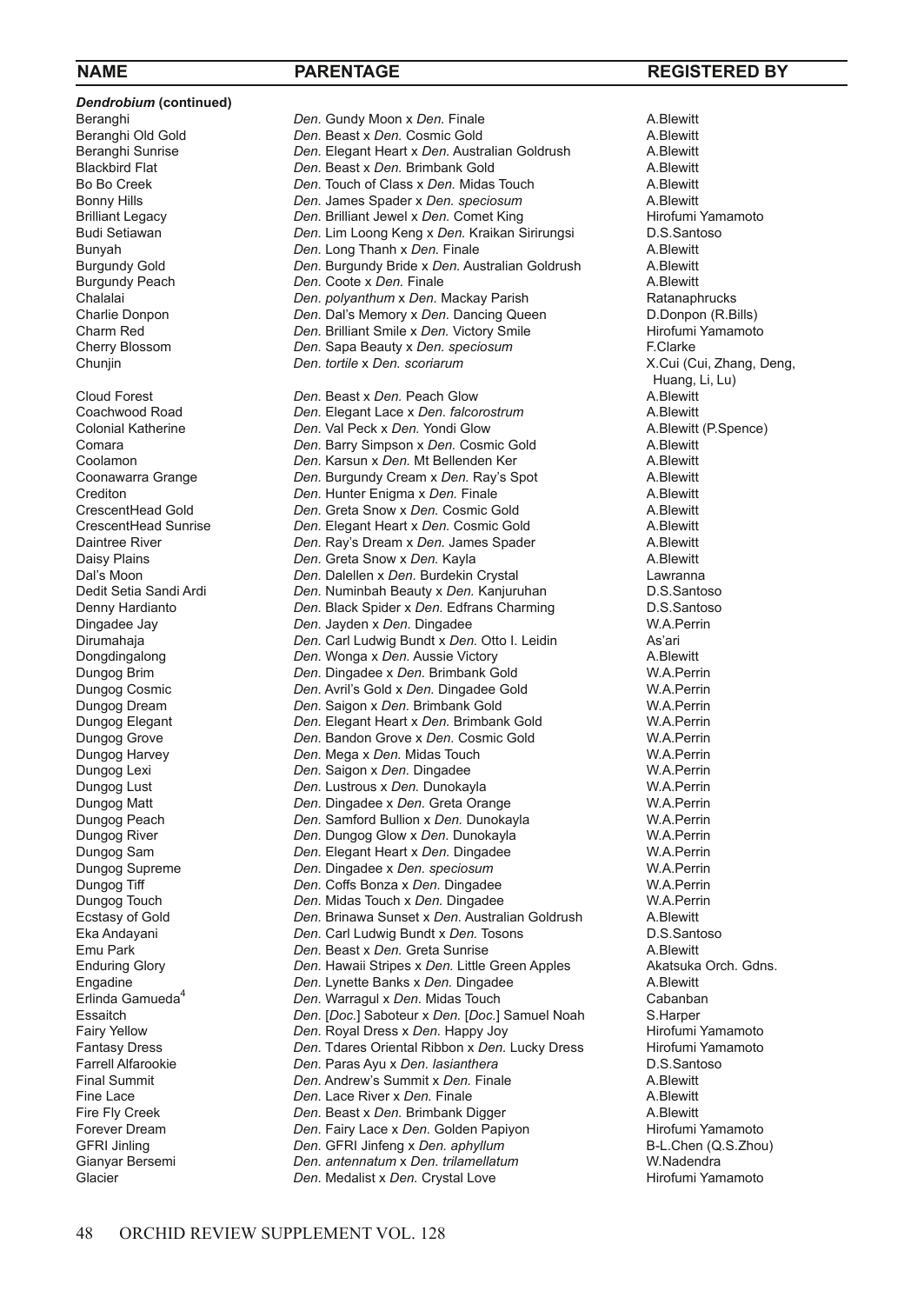*Dendrobium* **(continued)**

Beranghi **1986** Connection *Den.* Gundy Moon x Den. Finale **A.Blewitt**<br> **Beranghi Old Gold Den.** Beast x Den. Cosmic Gold **A.Blewitt** Beranghi Old Gold *Den.* Beast x Den. Cosmic Gold **A.Blewitt** Beranghi Sunrise **A.Blewitt Den.** Elegant Heart x Den. Australian Goldrush **A.Blewitt** Beranghi Sunrise *Den.* Elegant Heart x *Den.* Australian Goldrush A.Blewitt Blackbird Flat *Den.* Beast x *Den.* Brimbank Gold A.Blewitt Bo Bo Creek *Den.* Touch of Class x *Den.* Midas Touch A.Blewitt Bonny Hills *Den.* James Spader x *Den. speciosum* A.Blewitt Brilliant Legacy *Den.* Brilliant Jewel x Den. Comet King **Hirofumi Yam**<br>Budi Setiawan *Den.* Lim Loong Keng x Den. Kraikan Sirirungsi D.S.Santoso Budi Setiawan *Den. Lim Loong Keng x Den. Kraikan Sirirungsi* D.S.Santoson Bunyah D.S.Santoson *Den. Long Thanh x Den.* Finale Bunyah **Den.** Long Thanh x Den. Finale Company A.Blewitt Burgundy Gold Company Company Company A.Blewitt Burgundy Gold *Den.* Burgundy Bride x Den. Australian Goldrush A.Blewitt Burgundy Peach **A.Blewitt** Burgundy Peach **Den.** Coote x Den. Finale **Burgundy Peach** A.Blewitt<br>
Chalalai **Den.** *Den. polyanthum* x Den. Mackay Parish **Altanaphrucks** Chalalai *Den. polyanthum* x *Den.* Mackay Parish Ratanaphrucks Charlie Donpon *Den. Dal's Memory x Den. Dancing Queen* D.Donpon (R.Bills)<br>Charm Red **Den.** Den. Brilliant Smile x Den. Victory Smile Hirofumi Yamamoto Charm Red **Den.** Den. Brilliant Smile x Den. Victory Smile **Hirofumi** Cherry Blossom **Charles Charles Clarke** Cherry Blossom **F**Clarke Cherry Blossom *Den.* Sapa Beauty x Den. speciosum<br> *Den. tortile x Den. scoriarum* 

ے ہیں۔<br>Cloud Forest Fuang, Li, Lu) Den. Beast x Den. Peach Glow Forest A.Blewitt Cloud Forest **Den.** Beast x Den. Peach Glow **A.Blewitt** Coachwood Road **A.Blewitt** Coachwood Road **A.Blewitt** Coachwood Road *Den.* Elegant Lace x *Den. falcorostrum* A.Blewitt Colonial Katherine *Den.* Val Peck x Den. Yondi Glow **A.Blewitt** Comara A.Blewitt (Comara A.Blewitt Comara A.Blewitt Comara *Den.* Barry Simpson x *Den.* Cosmic Gold A.Blewitt Coolamon **Den. Karsun x Den.** Mt Bellenden Ker **A.Blewitt** Coonawarra Grange **Coolamon** *Den.* Burgundy Cream x Den. Ray's Spot A.Blewitt Coonawarra Grange *Den.* Burgundy Cream x Den. Ray's Spot **A.Blewitt** Crediton **A.Blewitt** Crediton **A.Blewitt** Crediton **Den.** Hunter Enigma x Den. Finale **A.Blewitt**<br>CrescentHead Gold *Den* Greta Snow x Den. Cosmic Gold A. Blewitt CrescentHead Gold *Den.* Greta Snow x *Den.* Cosmic Gold A.Blewitt CrescentHead Sunrise *Den.* Elegant Heart x Den. Cosmic Gold **A.Blewitt** Daintree River **Communist Containst Container** Den. Ray's Dream x Den. James Spader **A.Blewitt** Daintree River **Den.** Ray's Dream x Den. James Spader **A.Blewitt** Daisy Plains A.Blewitt Daisy Plains A.Blewitt Daisy Plains **Den.** Greta Snow x Den. Kayla **A.Blewitt** Daisy Plains A.Blewitt Daisy Den. Dalellen x Den. Burdekin Crystal **A.Blewitt** Dal's Moon *Den.* Dalellen x *Den.* Burdekin Crystal Lawranna Den. Numinbah Beauty x Den. Kanjuruhan Denny Hardianto *Den.* Black Spider x *Den.* Edfrans Charming D.S.Santoso<br>Dingadee Jay *Den. Jayden x Den.* Dingadee **Den.** W.A.Perrin Dingadee Jay **Den.** Jayden x Den. Dingadee **W.A.Perring and Solution Club** Carl Ludwig Bundt x Den. Otto I. Leidin Dirumahaja *Den.* Carl Ludwig Bundt x Den. Otto I. Leidin Donadinaalong **Den.** Wonga x Den. Aussie Victory Dongdingalong *Den. Wonga x Den.* Aussie Victory **A.Blewitt**<br>
Den. Dingadee x Den. Brimbank Gold **Australie W.A.Perrin** Dungog Brim **Den.** Dingadee x Den. Brimbank Gold **W.A.Perrin**<br>
Den. Avril's Gold x Den. Dingadee Gold W.A.Perrin Dungog Cosmic *Den.* Avril's Gold x *Den.* Dingadee Gold W.A.Perrin Dungog Dream *Den.* Saigon x *Den.* Brimbank Gold W.A.Perrin Dungog Elegant *Den.* Elegant Heart x *Den.* Brimbank Gold W.A.Perrin **Den. Bandon Grove x Den. Cosmic Gold W.A.Perrin**<br> **Den. Mega x Den. Midas Touch W.A. Perrin** Dungog Harvey *Den.* Mega x *Den.* Midas Touch W.A.Perrin Dungog Lexi *Den.* Saigon x *Den.* Dingadee W.A.Perrin Den. Lustrous x Den. Dunokayla Dungog Matt **Den.** Dingadee x Den. Greta Orange **W.A.Perrin**<br>
Dungog Peach **Den.** Samford Bullion x Den. Dunokayla **W.A.Perrin** Dungog Peach *Den.* Samford Bullion x *Den.* Dunokayla W.A.Perrin Dungog River *Den.* Dungog Glow x *Den.* Dunokayla W.A.Perrin Dungog Sam **Den.** Elegant Heart x Den. Dingadee W.A.Perrin Dungog Supreme W.A.Perrin<br>
Den. Dingadee x Den. speciosum W.A.Perrin Dungog Supreme *Den.* Dingadee x *Den. speciosum* W.A.Perrin Dungog Tiff *Den.* Coffs Bonza x *Den.* Dingadee W.A.Perrin Dungog Touch **Den.** Midas Touch x Den. Dingadee **W.A.Perr** Ecstasy of Gold **Den.** Brinawa Sunset x Den. Australian Goldrush A.Blewitt Ecstasy of Gold *Den.* Brinawa Sunset x *Den.* Australian Goldrush A.Blewitt Eka Andayani *Den.* Carl Ludwig Bundt x *Den.* Tosons<br> *Den.* Beast x *Den.* Greta Sunrise Emu Park **Den.** Beast x Den. Greta Sunrise **A.Blewitt** A.Blewitt A.Blewitt Christens A.Blewitt Christens A.Blewitt Christens A.Blewitt Christens Den. Hawaii Stripes x Den. Little Green Apples Akatsuka Orch. Gdns. Enduring Glory *Den.* Hawaii Stripes x Den. Little Green Apples Akatsuka Character Character Character Character Character Character Character Character Character Character Character Character Character Character Charact Engadine *Den.* Lynette Banks x Den. Dingadee **A.Blewitt** Erlinda Gamueda<sup>4</sup> **Den.** Warragul x Den. Midas Touch **A.Blewitt** Cabanban Erlinda Gamueda<sup>4</sup> *Den.* Warragul x Den. Midas Touch Cabanban Cabanban Cabanban Cabanban Cabanban Cabanban Cabanban Cabanban Cabanban Cabanban Cabanban Cabanban Cabanban Cabanban Cabanban Cabanban Cabanban Cabanban Cabanb Essaitch *Den.* [*Doc.*] Saboteur x *Den.* [*Doc.*] Samuel Noah S.Harper Fairy Yellow **Den.** Royal Dress x Den. Happy Joy **Fairy Yellow** Hirofumi Yamamoto<br>Fantasy Dress **Fairm Common Den.** Transo Oriental Ribbon x Den. Lucky Dress Hirofumi Yamamoto Fantasy Dress *Den.* Tdares Oriental Ribbon x Den. Lucky Dress Hirofumi Yam<br>Farrell Alfarookie *Den. Paras Ayu x Den. lasianthera* D.S. Santoso Farrell Alfarookie *Den. Paras Ayu x Den. lasianthera* **1996 D.S.Santoson C.S.Santoson C.S.Santoson C.S.Santoson P.S.Santoson P.S.Santoson P.S.Santoson P.S.Santoson P.S. Paras A.Blewitt** Final Summit **Den.** Andrew's Summit x Den. Finale **A.Blewitt** Fine Lace River x Den. Finale **A.Blewitt A.Blewitt** Fine Lace **A. Blewitt**<br>Fire Fly Creek **Connect Connect A. British Connect A. British Creek** A. Blewitt **Den. Beast x Den. Brimbank Digger <br>
<b>Den. Fairy Lace x Den. Golden Papiyon Allery Hirefumi Yamamoto** Forever Dream *Den.* Fairy Lace x Den. Golden Papiyon **Hirofumi Yamamoto**<br>GFRI Jinling *Den.* **GFRI Jinfeng x Den. aphyllum B-L.Chen (Q.S.Zhou)** GFRI Jinling **Den.** GFRI Jinfeng x Den. aphyllum **B-L.Chen (Q. Zhou)** B-L.Chen (Q. Gianyar Bersemi **B-L.Chen (Q. Zhou)** Den. antennatum x Den. trilamellatum<br>
Den. Medalist x Den. Crystal Love **berseming and State and State Hirofumi** Yamamoto Glacier **Den.** Medalist x Den. Crystal Love

# **NAME PARENTAGE REGISTERED BY**

Chunjin *Den. tortile* x *Den. scoriarum* X.Cui (Cui, Zhang, Deng,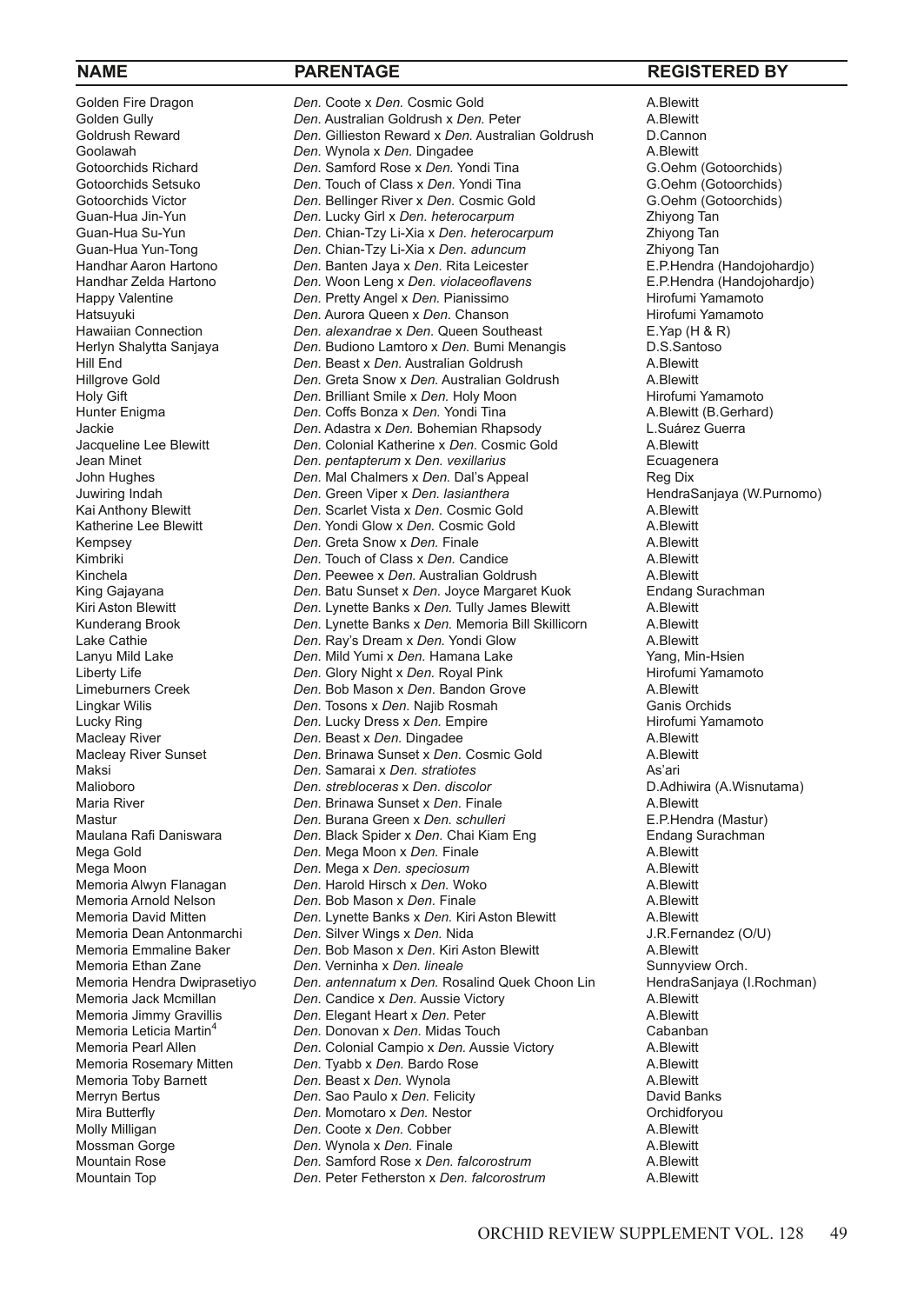Memoria Dean Antonmarchi *Den.* Silver Wings x Den. Nida<br>Memoria Emmaline Baker *Den.* Bob Mason x Den. Kiri As Mountain Top *Den.* Peter Fetherston x *Den. falcorostrum* A.Blewitt

Golden Fire Dragon *Den.* Coote x Den. Cosmic Gold **A.Blewitt** Golden Gully **A.Blewitt** Golden Gully **A.Blewitt** Golden Gully <sup>T</sup> **Den.** Australian Goldrush x Den. Peter A.Blewitt A.Blewitt<br>Goldrush Reward **Den. Gillieston Reward x Den. Australian Goldrush** D.Cannon Goldrush Reward **Den.** Gillieston Reward x Den. Australian Goldrush D.Cannon Coolawah D.Cannon Control at Den. Wynola x Den. Dingadee Goolawah **Den.** Wynola x Den. Dingadee **A.Blewitt** A.Blewitt A.Blewitt Cotoorchids and Den. Samford Rose x Den. Yondi Tina **A.Blewitt** Gotoorchids and G.Oehm (Gotoorchids) Gotoorchids Richard *Den. Samford Rose x Den. Yondi Tina* G.Oehm (Gotoorchids)<br>Gotoorchids Setsuko *Den. Touch of Class x Den. Yondi Tina* G.Oehm (Gotoorchids) Gotoorchids Setsuko *Den.* Touch of Class x Den. Yondi Tina G.Oehm (Gotoorchids)<br>Gotoorchids Victor *Den. Bellinger River x Den.* Cosmic Gold G.Oehm (Gotoorchids) Gotoorchids Victor **Den.** *Den.* Bellinger River x Den. Cosmic Gold G.Oehm (GG. Cosmic Gold G.Oehm (GG. Cosmic Gold G. Oehm (GG. Cosmic Gold G. Oehm (GG. Cosmic Gold G. Cosmic Gold G. Cosmic Gold G. Cosmic Gold G. Cosmic G Guan-Hua Jin-Yun *Den.* Lucky Girl x *Den. heterocarpum* Zhiyong Tan Guan-Hua Su-Yun *Den.* Chian-Tzy Li-Xia x *Den. heterocarpum* Zhiyong Tan Guan-Hua Yun-Tong *Den.* Chian-Tzy Li-Xia x *Den. aduncum* Zhiyong Tan Handhar Aaron Hartono *Den.* Banten Jaya x *Den.* Rita Leicester E.P.Hendra (Handojohardjo) Handhar Zelda Hartono *Den. Woon Leng x Den. violaceoflavens* E.P.Hendra (Handojonardio)<br>Happy Valentine **Exercity Angel x Den. Pretty Angel x Den.** Pianissimo Happy Valentine *Den.* Pretty Angel x Den. Pianissimo **Hirofumi Yamamoto** Hirofumi Yamamoto Hatsuyuki **Hirofumi Yamamoto** Hatsuyuki *Den.* Aurora Queen x *Den.* Chanson **Hirofumi Yamamoto Burger Aurora Confedental** Hirofumi Yamamoto Burger Aurora Chanson Hirofumi Yamamoto Burger Hirofumi Yamamoto Burger Aurora Chanson Hirofumi Yamamoto Burger Hawaiian Connection *Den. alexandrae* x Den. Queen Southeast **E.Yap (H & F** Herlyn Shalytta Sanjaya *Den. Budiono Lamtoro x Den. Bumi Menangis* D.S.Santoso Herlyn Shalytta Sanjaya *Den.* Budiono Lamtoro x *Den.* Bumi Menangis **D.S.Santosof C.S. Den.** Beast x Den. Australian Goldrush A Rlewitt Hill End **Den.** Beast x Den. Australian Goldrush A.Blewitt Hillgrove Gold **A.Blewitt**<br>Hillgrove Gold **A.Blewitt** *Den.* Greta Snow x Den. Australian Goldrush A.Blewitt Hillgrove Gold **Den.** Greta Snow x Den. Australian Goldrush A.Blewitt A.Blewitt<br>Holy Gift **Album A.Brilliant Smile x Den.** Holy Moon **Album A.Brilliant Smile x Den.** Hirofumi Yamamoto Holy Gift *Den. Den.* Brilliant Smile x *Den.* Holy Moon **Hirofumi Yamamoto**<br>Hunter Enigma **Hirophand** *Den.* Coffs Bonza x *Den.* Yondi Tina **A.Blewitt (B.Gerhard)** Den. Coffs Bonza x Den. Yondi Tina Jackie *Den.* Adastra x Den. Bohemian Rhapsody **L.Suárez Guerra**<br>Jacqueline Lee Blewitt **Den.** Colonial Katherine x Den. Cosmic Gold A.Blewitt Jacqueline Lee Blewitt *Den.* Colonial Katherine x Den. Cosmic Gold<br>Jean Minet **Den.** Den. pentapterum x Den. vexillarius Jean Minet *Den. pentapterum* x *Den. vexillarius* Ecuagenera John Hughes *Den. Nal Chalmers x Den. Dal's Appeal* Reg Dix<br>Juwiring Indah *Den. Green Viper x Den. Iasianthera* **Register and AlendraSaniaya (W.Purnomo)** Juwiring Indah **Den.** Den. Green Viper x Den. *lasianthera* HendraSang Managang MendraSang HendraSang Kai Ang MendraSang MendraSang MendraSang MendraSang MendraSang MendraSang MendraSang MendraSang MendraSang MendraSang Me Kai Anthony Blewitt *Den.* Scarlet Vista x Den. Cosmic Gold **A.Blewitt** A.Blewitt **A.Blewitt** *Den.* Yondi Glow x Den. Cosmic Gold **A.Blewitt** Katherine Lee Blewitt *Den.* Yondi Glow x Den. Cosmic Gold **A.Blewitt Kempsey A.Blewitt** *Den.* Greta Snow x Den. Finale **A.Blewitt** Kempsey *Den.* Greta Snow x Den. Finale **A.Blewitt** A.Blewitt **Kimbriki** Kimbriki **A. Brandt Charlotter Constanting Charlotter Charlotter Charlotter A. Blewitt**<br>Kinchela **A. Blewitt** *Den.* Peewee x *Den.* Australian Goldrush A. Blewitt Kinchela *Den. Peewee x Den.* **Australian Goldrush** A.Blewitt A.Blewitt<br>
King Gajayana **Alama Brand A. Batu Sunset x Den.** Joyce Margaret Kuok **Alama Surachman** Den. Batu Sunset x Den. Joyce Margaret Kuok Kiri Aston Blewitt **Den.** Lynette Banks x Den. Tully James Blewitt A. Blewitt A. Blewitt Kunderang Brook **A. Blewitt** Kunderang Brook *Den.* Lynette Banks x *Den.* Memoria Bill Skillicorn A.Blewitt Den. Ray's Dream x Den. Yondi Glow Lanyu Mild Lake *Den. Nild Yumi x Den.* Hamana Lake *Yang, Min-Hsien*<br>
Liberty Life *Den. Glory Night x Den. Royal Pink Hirofumi Yamamoto* Liberty Life *Den.* Glory Night x Den. Royal Pink **Hirofumi** Limeburners Creek **A. Blewitt** *Den.* Bob Mason x Den. Bandon Grove **A. Blewitt Den. Bob Mason x Den. Bandon Grove <b>A.Blewitt**<br> **Den. Tosons x Den. Najib Rosmah A.Blewitt** Ganis Orchids Lingkar Wilis *Den.* Tosons x *Den.* Najib Rosmah Ganis Orchids Lucky Ring **Den.** Lucky Dress x Den. Empire **Hirofumi** Hirofumi *Den.* Lucky Dress x Den. Empire **Hirofumi** A. Blewitt Den. Beast x Den. Dingadee Macleay River Sunset **Den.** Brinawa Sunset x Den. Cosmic Gold **A.Blewitt** Maksi ari Maksi *Den.* Samarai x *Den. stratiotes* As'ari Den. *strebloceras* x *Den. discolor* Maria River **Den.** Den. Brinawa Sunset x Den. Finale **A.Blewitt** A.Blewitt<br>Mastur **Mastur** Den. Burana Green x Den. schulleri **A.B. E.P. Hendra (Mastur**) Mastur *Den.* Burana Green x *Den. schulleri* E.P.Hendra (Mastur) Maulana Black Spider x *Den*. Chai Kiam Eng **Den.** Black Spider x *Den.* Findang Surachmang Surachmang Surachmang Surachmang Surachmang Surachmang Surachmang Surachmang Surachmang Surachmang Surachmang Surachmang Surachman Mega Gold **Den.** Mega Moon x Den. Finale **A.Blewitt** Mega Moon x Den. Finale A.Blewitt Mega Moon **A.Blewitt Den. Mega x Den.** *speciosum* A.Blewitt **Memoria Alwyn Flanagan A.Blewitt** *Den.* Harold Hirsch x Den. Woko **A.Blewitt** Memoria Alwyn Flanagan *Den.* Harold Hirsch x *Den.* Woko A.Blewitt Memoria Arnold Nelson *Den. Bob Mason x Den.* Finale **A.Blewitt** A.Blewitt Memoria David Mitten **Den.** Lynette Banks x Den. Kiri Aston Blewitt A.Blewitt Memoria David Mitten **Den.** *Den.* Lynette Banks x Den. Kiri Aston Blewitt A.Blewitt A.Blewitt Communism Chen. Silver Wings x Den. Nida **Municipal Communism Communism** J.R.Fernandez (O/U) Memoria Emmaline Baker *Den. Bob Mason x Den.* Kiri Aston Blewitt **A.Blewitt** A.Blewitt A.Blewitt A.Blewitt A.Blewitt A.Blewitt A.Blewitt A.Blewitt A.Blewitt A.Blewitt A.Blewitt A.Blewitt A.Blewitt A.Blewitt A.Blewitt A.Bl Memoria Ethan Zane *Den. Verninha x Den. lineale Den. Inceale* Sunnyview Orch.<br>Memoria Hendra Dwiprasetiyo *Den. antennatum x Den.* Rosalind Quek Choon Lin Hendra Sanjaya (I. Rochman) Den. *antennatum* x Den. Rosalind Quek Choon Lin Memoria Jack Mcmillan *Den.* Candice x Den. Aussie Victory **A.Blewitt** Memoria Jimmy Gravillis **A.Blewitt** *Den.* Elegant Heart x Den. Peter **A.Blewitt** Memoria Jimmy Gravillis *Den.* Elegant Heart x Den. Peter **A.Blewitt** A.Blewitt<br>Memoria Leticia Martin<sup>4</sup> *Den.* Donovan x Den. Midas Touch Cabanban Memoria Leticia Martin<sup>4</sup> *Den.* Donovan x Den. Midas Touch Cabanbanban Cabanbandan Cabanban Den. Colonial Campio x Den. Aussie Victory **Cabanbandan Campio x Den.** Aussie Victory **Cabanbandan Campio x Den.** Aussie Victory Memoria Pearl Allen **Den.** Colonial Campio x Den. Aussie Victory **A.Blewitt** Memoria Rosemary Mitten **Den.** Tyabb x Den. Bardo Rose Den. Tyabb x Den. Bardo Rose Memoria Toby Barnett **Den.** Beast x Den. Wynola **A.Blewitt** A.Blewitt A.Blewitt A.Blewitt **Den.** Sao Paulo x Den. Felicity **A.Blewitt** David Banks Merryn Bertus **Den.** Sao Paulo x Den. Felicity **David Banks** David Banks<br>
Mira Butterfly **Den.** Momotaro x Den. Nestor **David Banks** Orchidforyou Den. Momotaro x Den. Nestor Molly Milligan **COOL Den.** Coote x Den. Cobber **A.Blewitt** Mossman Gorge **A.Blewitt** Mossman Gorge **A.Blewitt** Mossman Gorge *Den.* Wynola x Den. Finale **A.Blewitt** A.Blewitt Mountain Rose **A.Blewitt** *Den.* Samford Rose x Den. falcorostrum **A.Blewitt** Den. Samford Rose x Den. *falcorostrum*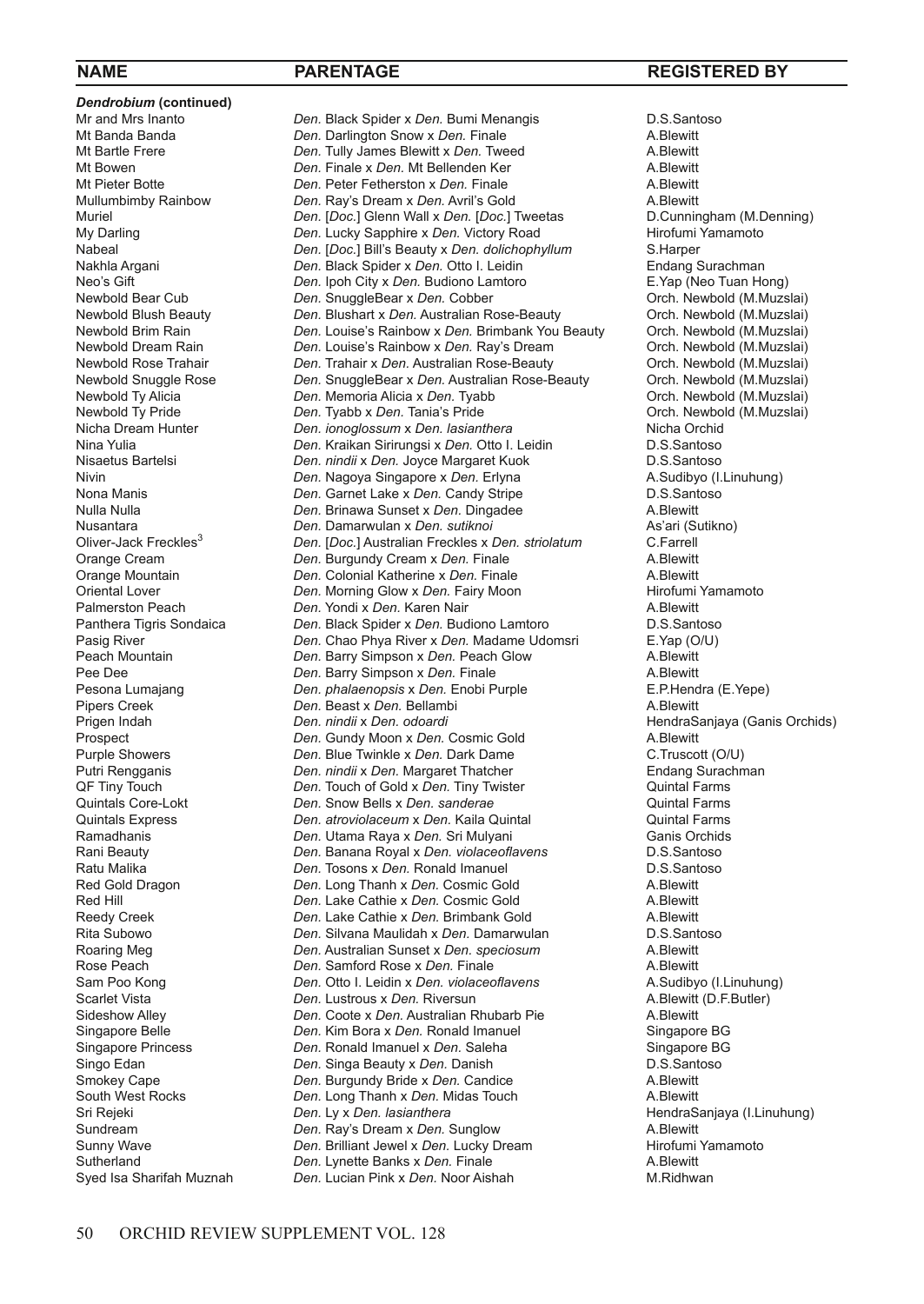*Dendrobium* (continued)<br>Mr and Mrs Inanto Pipers Creek **Den.** Beast x Den. Bellambi Pricent Indiah

Mr and Mrs Inanto *Den.* Black Spider x Den. Bumi Menangis **D.S.Santoso**<br>Mt Banda Banda **Den. Darlington Snow x Den. Finale** A. Blewitt Mt Banda Banda *Den.* Darlington Snow x Den. Finale **A.Blewitt** Mt Bartle Frere **A.Blewitt** Company **A.Blewitt** Mt Bartle Frere **A.Blewitt** Company **A.Blewitt** Company **A.Blewitt** Company **A.Blewitt** Company **A.Blewitt** Mt Bartle Frere *Den.* Tully James Blewitt x Den. Tweed **A.Blewitt** Mt Bouwen A.Blewitt X Den. Mt Bollanden Ker Mt Bowen **Den.** Finale x Den. Mt Bellenden Ker **A.Blewitt** A.Blewitt<br>Mt Pieter Rotte **A.Blewitt Den.** Peter Fetherston x Den. Finale **A.Blewitt** A.Blewitt Mt Pieter Botte **Den.** Peter Fetherston x Den. Finale **A.Blewitt** Mullumbimby Rainbow **Den.** Ray's Dream x Den. Avril's Gold A.Blewitt Mullumbimby Rainbow *Den.* Ray's Dream x Den. Avril's Gold **A.Blewitt** A.Blewitt<br>Muriel Den. *I Den.* I Doc.] Glenn Wall x Den. [Doc.] Tweetas D.Cunningham (M.Denning) Muriel **Den.** [*Doc.*] Glenn Wall x *Den.* [*Doc.*] Tweetas D.Cunningham (M.Den. Lucky Sapphire x *Den.* Victory Road Hirofumi Yamamoto My Darling **Den.** Lucky Sapphire x Den. Victory Road **Hirofumi** Yamamoto Hirofumi Yamamoto Den. I Doc. I Bill's Beauty x Den. *dolichophyllum* S. Harper Nabeal *Den.* [*Doc.*] Bill's Beauty x *Den. dolichophyllum* S.Harper Nakhla Argani *Den.* Black Spider x *Den.* Otto I. Leidin **Endang Surachman**<br>Neo's Gift **Den.** Ipoh City x *Den.* Budiono Lamtoro E. Yap (Neo Tuan Hong) Neo's Gift **Den.** Ipoh City x Den. Budiono Lamtoro **Came Came Construction** E. Yap (Neo Tuan Hong)<br>
Newbold Bear Cub **Den.** ShuggleBear x Den. Cobber **Came Construction** Orch. Newbold (M.Muzslai) Newbold Bear Cub **Den.** SnuggleBear x Den. Cobber **Cuber Cuber Conches Newbold (M.Muzslai)**<br>Newbold Blush Beauty **Den. Blushart x Den. Australian Rose-Beauty** Orch. Newbold (M.Muzslai) Newbold Blush Beauty *Den.* Blushart x *Den.* Australian Rose-Beauty Orch. Newbold (M.Muzslai) Newbold Brim Rain *Den.* Louise's Rainbow x *Den.* Brimbank You Beauty Orch. Newbold (M.Muzslai) Newbold Dream Rain *Den. Louise's Rainbow x Den. Ray's Dream* Orch. Newbold (M.Muzslai)<br>Newbold Rose Trahair *Den. Trahair x Den. Australian Rose-Beauty* Orch. Newbold (M.Muzslai) Newbold Rose Trahair *Den.* Trahair x Den. Australian Rose-Beauty Orch. Newbold (M.Muzslai)<br>Newbold Snuggle Rose Den. SnuggleBear x Den. Australian Rose-Beauty Orch. Newbold (M.Muzslai) Newbold Snuggle Rose *Den.* SnuggleBear x *Den.* Australian Rose-Beauty Orch. Newbold (M.Muzslai) Newbold Ty Alicia *Den. Memoria Alicia x Den.* Tyabb **Orch. Newbold (M.Muzslai)**<br>Newbold Ty Pride *Den.* Tyabb x *Den.* Tania's Pride **Orch. Newbold (M.Muzslai)** Newbold Ty Pride *Den.* Tyabb x Den. Tania's Pride **Cannical Corch.** Newbo<br>Nicha Dream Hunter **Orch.** Den. *ionoglossum* x Den. *lasianthera* Corchid (Micha Orchid Nicha Dream Hunter *Den. ionoglossum* x *Den. lasianthera* Nicha Orchid Nina Yulia *Den.* Kraikan Sirirungsi x *Den.* Otto I. Leidin D.S.Santoso Nisaetus Bartelsi *Den. nindii x Den. Joyce Margaret Kuok* D.S.Santoso<br>Nivin **Den.** Nagoya Singapore x *Den.* Erlyna **A.Sudibyo (I.Linuhung)** Nivin **Night A. Sudibyo (I.C. Angova Singapore x Den.** Erlyna **A. Sudibyo (I.C. Angles A. Sudibyo (I.**<br>Nona Manis **A. Sudibyo A. S. Sudibyo A. S. Sudibyo A. Sudibyo (I.C. Angles A. Sudibyo A. Sudibyo (I.C. Angles A** Nona Manis *Den.* Garnet Lake x *Den.* Candy Stripe D.S.Santoso Nulla Nulla *Den.* Brinawa Sunset x Den. Dingadee A.Blewitt A.Blewitt **A.Blewitt Nusantara** As'ari (Sutikno) Nusantara *Den.* Damarwulan x *Den. sutiknoi Den. sutiknoi* As'ari (Sutikno) As'ari (Sutikno) As'ari (Sutikno) asutikno asutikno asutikno asutikno asutikno asutikno asutikno asutikno asutikno asutikno asutikno asutikno a Oliver-Jack Freckles<sup>3</sup> *Den.* [*Doc.*] Australian Freckles x *Den. striolatum* C.Farrell Orange Cream **Den.** Burgundy Cream x Den. Finale **A.Blewitt** A.Blewitt Crange Mountain **Constanting Colling** Colonial Katherine x Den. Finale Orange Mountain *Den.* Colonial Katherine x *Den.* Finale A.Blewitt Oriental Lover *Den. Morning Glow x Den. Fairy Moon* Hirofumi *Palmerston Peach* **A. Blewitt** *Den. Yondi x Den. Karen Nair A. Blewitt* Palmerston Peach **Den.** *Den.* Yondi x *Den.* Karen Nair **Den.** Busite Basis A.Blewitt Panthera Tigris Sondaica **Den.** Black Spider x *Den.* Budiono Lamtoro **D.S.Santoso** Panthera Tigris Sondaica *Den.* Black Spider x *Den.* Budiono Lamtoro **D.S.Santosc**<br>Pasig River **D.S.Santoscopy** *Den.* Chao Phya River x *Den.* Madame Udomsri E. Yap (O/U) Pasig River **Den.** Chao Phya River x Den. Madame Udomsri E.Yap (O/U) E.Yap (O/U) Den. Barry Simpson x Den. Peach Glow Peach Mountain *Den.* Barry Simpson x *Den.* Peach Glow A.Blewitt Pee Dee **A.Blewitt**<br>
Pesona Lumajang *Den. phalaenopsis x Den.* **Enobi Purple A.Blewitt** E.P.Hendra (E.Yepe) Pesona Lumajang *Den. phalaenopsis x Den.* Enobi Purple **E.P.Hendra (E.P. Penabatana (E. P. Penabatana (E. P. Penabatana (E. P. Penabatana (E. P. Penabatana (E. P. Penabatana (E. P. Penabatana (E. P. Penabatana (E. P. Pena** Prigen Indah *Den. nindii x Den. odoardi Den. odoardi* HendraSanjaya (Ganis Orchids)<br>Prospect **Den.** Gundy Moon x Den. Cosmic Gold A.Blewitt Prospect **Den.** Gundy Moon x Den. Cosmic Gold **A.Blewitt** A.Blewitt **Purple Showers C.Truscott** (O/U) Purple Showers *Den.* Blue Twinkle x Den. Dark Dame **C.Truscott (O/U)**<br>
Putri Rengganis *Den. nindii x Den.* Margaret Thatcher **Communist Containery** Endang Surachman Putri Rengganis *Den. nindii* x Den. Margaret Thatcher **Endang Surachman Communist Communist Communist Communist Communist Communist Communist Communist Communist Communist Communist Communist Communist Communist Communi** Den. Touch of Gold x Den. Tiny Twister Quintals Core-Lokt *Den.* Snow Bells x *Den. sanderae* Quintal Farms Quintals Express *Den. atroviolaceum* x *Den.* Kaila Quintal Quintal Farms Ramadhanis *Den.* Utama Raya x Den. Sri Mulyani Ganis Orchidanis Orchidanis Credit Alenni Den. Banana Royal x Den. *violaceoflavens* D.S.Santoso Rani Beauty *Den.* Banana Royal x *Den. violaceoflavens* D.S.Santoso Ratu Malika **Den.** Tosons x Den. Ronald Imanuel **D.S.Santosons D.S.Santosons Constanting Constanting Constanting Constanting Constanting Constanting Constanting Constanting Constanting Production A.Blewitt** Red Gold Dragon *Den.* Long Thanh x Den. Cosmic Gold **A.Blewitt Red Hill A.Blewitt Red Hill A.Blewitt** *Den.* **Lake Cathie x Den. Cosmic Gold <b>A.Blewitt** Red Hill **Den.** Lake Cathie x Den. Cosmic Gold **A.Blewitt** Reedy Creek **A.Blewitt Den.** Lake Cathie x Den. Brimbank Gold **A.Blewitt Den. Lake Cathie x Den. Brimbank Gold** A.Blewitt A.Blewitt<br>**Den. Silvana Maulidah x Den. Damarwulan** A.B.S.Santoso Rita Subowo *Den.* Silvana Maulidah x *Den.* Damarwulan **D.S.Santoson** D.S.Santoson Den. Australian Sunset x *Den. speciosum* A.Blewitt Roaring Meg *Den.* Australian Sunset x *Den. speciosum* A.Blewitt Rose Peach **Den.** Samford Rose x Den. Finale **A.Blewitt** A.Blewitt A.Blewitt Consument Consument Consument Consument Sammen A.Sudibyo (I.Linuhung) Den. Otto I. Leidin x *Den. violaceoflavens* Scarlet Vista **Den.** Lustrous x Den. Riversun and Den. A.Blewitt (D.F.Butler)<br>
Sideshow Alley **Branners Cooperant Access** Den. Australian Rhubarb Pie **A.Blewitt** A.Blewitt Sideshow Alley *Den.* Coote x *Den.* Australian Rhubarb Pie **A.Blewitt** A.Blewitt Coordination Coote x *Den.* Kim Bora x *Den.* Ronald Imanuel Singapore BG Singapore Belle *Den. Kim Bora x Den.* **Ronald Imanuel Suppore BG**<br>
Singapore Princess *Den.* Ronald Imanuel x Den. Saleha Singapore Princess *Den.* Ronald Imanuel x Den. Saleha Singapore BC<br>Singo Edan *Den.* Singa Beauty x Den. Danish **Singa Beauty x Den. Danish** D.S.Santoso Singo Edan **Den.** Singa Beauty x Den. Danish Den. Danish D.S.Santosom D.S.Santosom Den. Burgundy Bride x Den. Candice A.Blewitt Smokey Cape *Den.* Burgundy Bride x Den. Candice **A.Blewitt** South West Rocks **A.Blewitt Community** *Den.* Long Thanh x Den. Midas Touch **A.Blewitt** South West Rocks **Den.** Long Thanh x Den. Midas Touch Sri Rejeki<br>
Den. Ly x Den. lasianthera Sundream **1988 Den.** Ray's Dream x Den. Sunglow **A.Blewitt** A.Blewitt<br>
Sunny Waye **Communisty Communisty Communisty Den** Lucky Dream **Alternation** Hirofumi Yamamoto Sunny Wave *Den.* Brilliant Jewel x Den. Lucky Dream **Hirofumi** Hirofumi **Sutherland Community** Den. Lynette Banks x Den. Finale **A. Riger A. Blewitt** Sutherland *Den.* Lynette Banks x Den. Finale Syed Isa Sharifah Muznah *Den.* Lucian Pink x Den. Noor Aisl **Den.** Lucian Pink x Den. Noor Aishah M.Ridhwan

# **NAME PARENTAGE REGISTERED BY**

HendraSanjaya (I.Linuhung)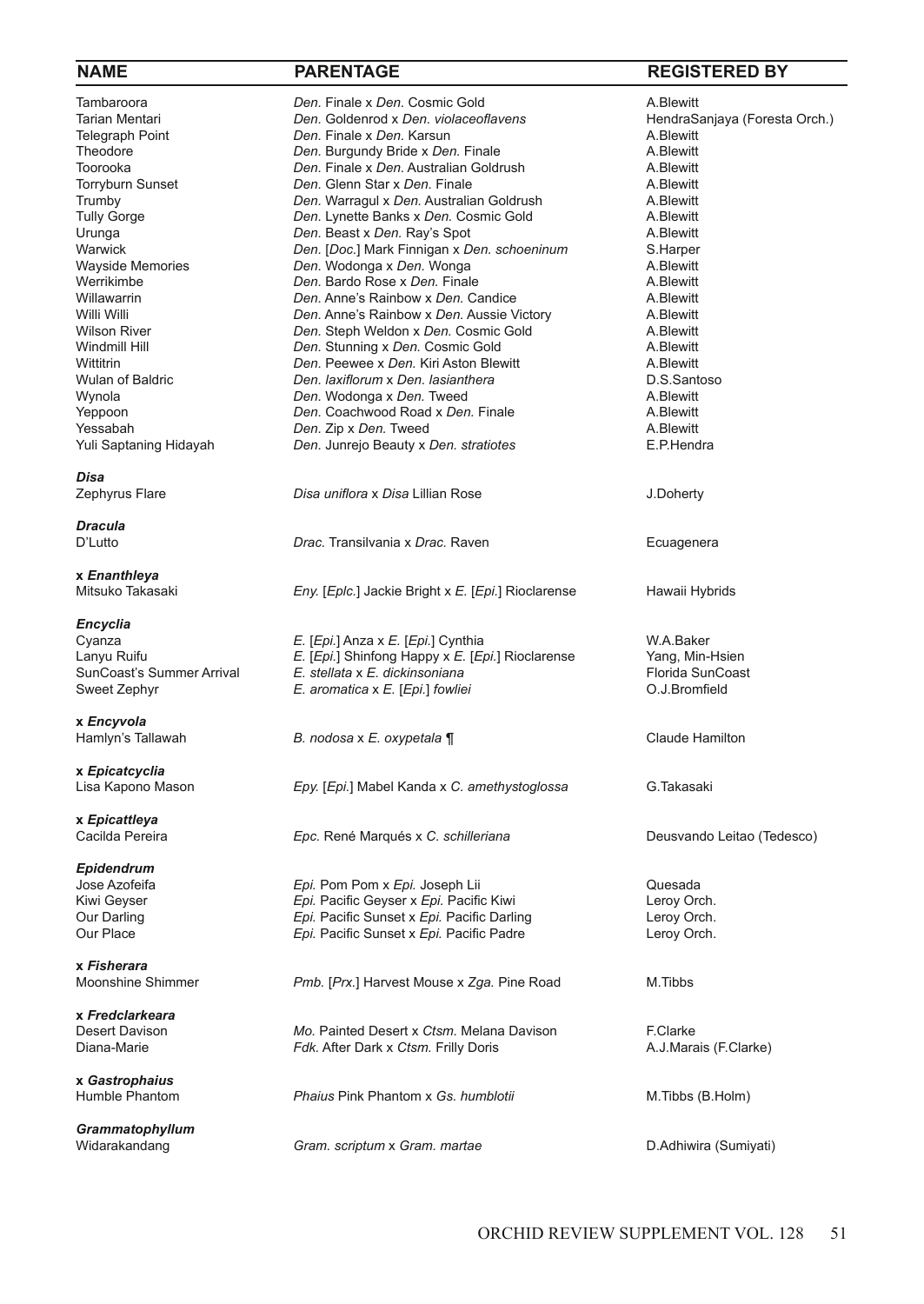**Disa**<br>Zephyrus Flare

*Dracula*

**x** *Enanthleya*

*Encyclia*

**x** *Encyvola*

**x** *Epicatcyclia*

**x** *Epicattleya*

*Epidendrum*

**x** *Fisherara*

**x** *Fredclarkeara*

**x** *Gastrophaius*

*Grammatophyllum*

Tambaroora **1988** *Den.* Finale x *Den.* Cosmic Gold **A.Blewitt A.Blewitt Tarian Mentaris A.Blewitt** *Den.* Goldenrod x *Den. violaceoflavens* **A.Blewitt** Tarian Mentari *Den.* Goldenrod x *Den. violaceoflavens* entity and thendraSanjaya (Foresta Orch.)<br>Telegraph Point **Branders Communisty Den.** Karsun Mentang Branders A. Blewitt Telegraph Point **Den.** Finale x Den. Karsun **Den.** Finale x Den. A.Blewitt **Theodore** A.Blewitt Theodore **Channel Communist Chen.** Burgundy Bride x Den. Finale **A.Blewitt** Toorooka **A.Blewitt** Corooka A.Blewitt Toorooka *Den. Finale x Den.* Australian Goldrush **A.Blewitt**<br>Torryburn Sunset **A.Blewitt** *Den.* Glenn Star x Den. Finale Torryburn Sunset **Den.** Den. Glenn Star x Den. Finale **A.Blewitt** A.Blewitt<br>19 Trumby **A.Blewitt** *Den.* Warraqul x Den. Australian Goldrush A.Blewitt Trumby **Den.** Warragul x Den. Australian Goldrush A.Blewitt<br>Tully Gorge **Communist Communist Communist Communist A.Blewitt** Tully Gorge **Communist Communist Communist Communist Constitution** A.Blewitt<br>
Urunga **Communist Communist Communist Communist Communist Communist Communist Communist Communist Communist Commun<br>
A.Blewitt** Urunga *Den.* Beast x *Den.* Ray's Spot A.Blewitt Warwick *Den.* [*Doc.*] Mark Finnigan x *Den. schoeninum* S.Harper Wayside Memories **Den.** Wodonga x Den. Wonga **A.Blewitt** Werrikimbe A.Blewitt Verrikimbe A.Blewitt Werrikimbe *Den.* Bardo Rose x *Den.* Finale **A.Blewitt** Millawarrin **A.Blewitt** *Den.* Anne's Rainbow x *Den.* Candice **A.Blewitt** Willawarrin **Cannet A.Blewitt** *Den.* Anne's Rainbow x *Den.* Candice **A.Blewitt** Willi Willi **A.Blewitt** *Den.* Anne's Rainbow x *Den.* Aussie Victory **A.Blewitt** Willi Willi **Anne's Rainbow x** *Den.* Aussie Victory A.Blewitt *Den.* Anne's Rainbow x *Den.* Aussie Victory A.Blewitt *Nilson River* Wilson River *Den.* Steph Weldon x *Den.* Cosmic Gold A.Blewitt Windmill Hill *Den.* Stunning x *Den.* Cosmic Gold A.Blewitt Wittitrin *Den.* Peewee x *Den.* Kiri Aston Blewitt A.Blewitt Wulan of Baldric *Den. laxiflorum* x Den. *lasianthera* **D.S.Santosom D.S.Santosom** *Den.* **Wodonga x Den. Tweed <b>D.S.Santosom** A.Blewitt Wynola **Christian** *Den.* Wodonga x Den. Tweed **A.Blewitt** Peppoon A.Blewitt<br>Teppoon **A.Blewitt** *Den.* Coachwood Road x Den. Finale **A.Blewitt Den. Coachwood Road x Den. Finale <b>A.Blewitt** A.Blewitt <br> *Den.* 7in x Den. Tweed A.Blewitt Yessabah *Den. Zip x Den.* **Tweed** *Perifieral and A.Blewitt**Den. Junrejo Beauty x Den. stratiotes* **<b>A.Blewitt E.P. Hendra Den.** Junrejo Beauty x Den. *stratiotes* 

**Disa uniflora** x Disa Lillian Rose J.Doherty

Drac. Transilvania x Drac. Raven **Ecuagenera** 

Eny. [Eplc.] Jackie Bright x E. [Epi.] Rioclarense Hawaii Hybrids

Cyanza *E.* [*Epi.*] Anza x *E.* [*Epi.*] Cynthia W.A.Baker Lanyu Ruifu *E.* [*Epi.*] Shinfong Happy x *E.* [*Epi.*] Rioclarense Yang, Min-Hsien SunCoast's Summer Arrival *E. stellata x E. dickinsoniana* Florida SunCoast's Summer Arrival *E. aromatica x E. [Epi.] fowliei* **F. aromatica** x E. Formatica in the system of the system of the system of the system of the s *E.* aromatica x *E.* [*Epi.*] fowliei

B. *nodosa* x *E. oxypetala ¶* Claude Hamilton

Lisa Kapono Mason *Epy.* [*Epi.*] Mabel Kanda x *C. amethystoglossa* G.Takasaki

Jose Azofeifa *Epi.* Pom Pom x *Epi.* Joseph Lii Quesada Kiwi Geyser **Epi.** Pacific Geyser x *Epi.* Pacific Kiwi **Leroy Orch.**<br>
Cur Darling **Communication** *Epi.* Pacific Sunset x *Epi.* Pacific Darling **Communication** Leroy Orch. Our Darling **Epi.** Pacific Sunset x *Epi.* Pacific Darling Leroy Orch.<br>
Cur Place **Epi.** Pacific Sunset x *Epi.* Pacific Padre **Leroy Orch.** Epi. Pacific Sunset x Epi. Pacific Padre

Pmb. [Prx.] Harvest Mouse x Zga. Pine Road M.Tibbs

Desert Davison **Mo.** Painted Desert x *Ctsm.* Melana Davison F.Clarke Piana-Marie **F.Clarke** *Folk.* After Dark x *Ctsm.* Frilly Doris **Finana**. A.J.Mara Fdk. After Dark x *Ctsm.* Frilly Doris **A.J.Marais (F.Clarke)** A.J.Marais (F.Clarke)

**Phaius** Pink Phantom x *Gs. humblotii* M.Tibbs (B.Holm)

Widarakandang *Gram. scriptum* x *Gram. martae* D.Adhiwira (Sumiyati)

# **NAME PARENTAGE REGISTERED BY**

Cacilda Pereira *Epc.* René Marqués x *C. schilleriana* Deusvando Leitao (Tedesco)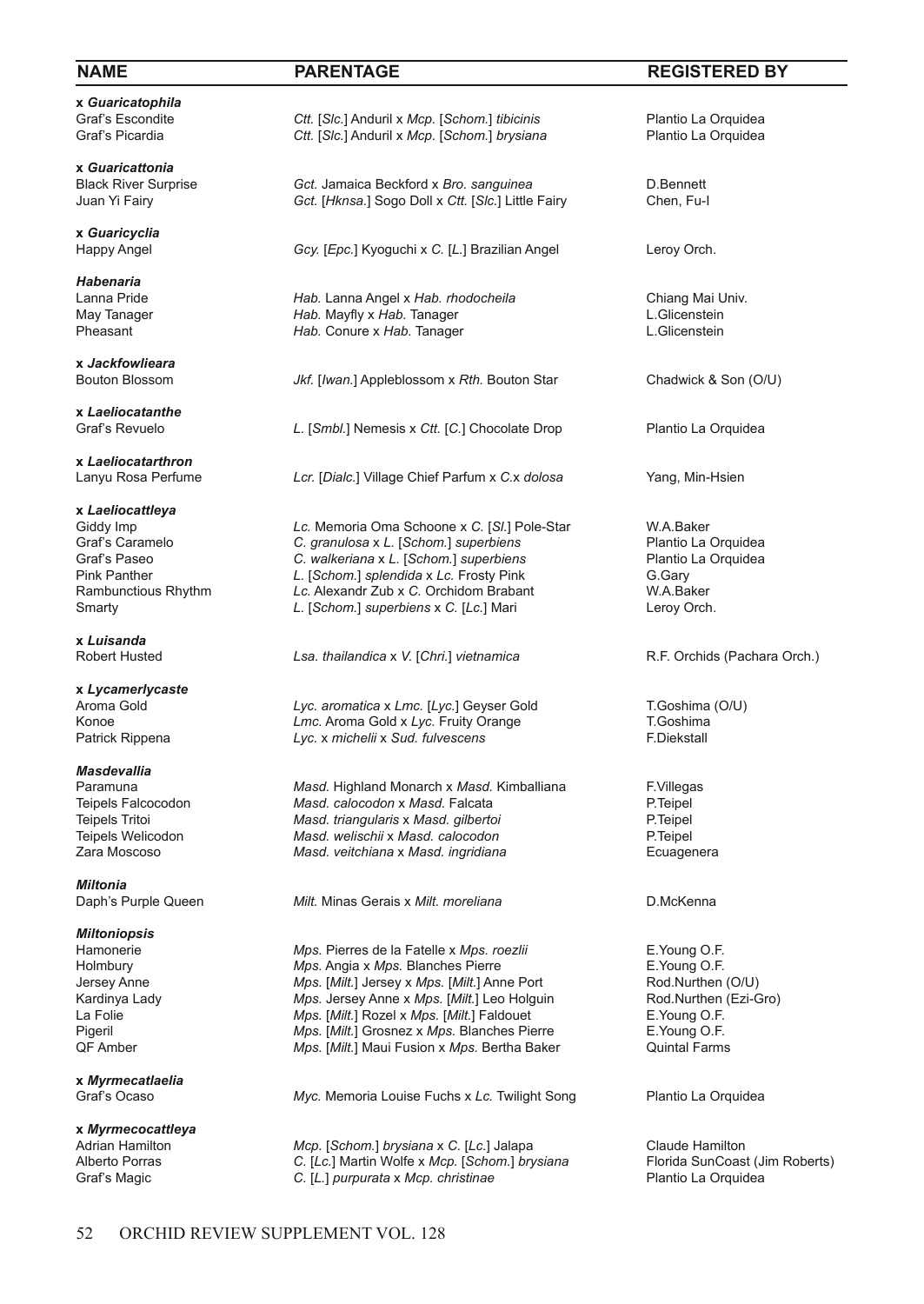**x** *Guaricatophila*

**x** *Guaricattonia*

**x** *Guaricyclia*

*Habenaria*

**x** *Jackfowlieara*

**x** *Laeliocatanthe*

**x** *Laeliocatarthron*

**x** *Laeliocattleya*

**x** *Luisanda*

**x** *Lycamerlycaste*

*Masdevallia*

*Miltonia*

*Miltoniopsis*

**x** *Myrmecatlaelia*

**x** *Myrmecocattleya*

Graf's Escondite *Ctt.* [*Slc.*] Anduril x *Mcp.* [*Schom.*] *tibicinis* Plantio La Orquidea Graf's Picardia **Prop.** [*Schom.*] *Ctt.* [*Slc.*] Anduril x *Mcp.* [*Schom.*] *brysiana* Plantio La Orquidea Ctt. [Slc.] Anduril x Mcp. [Schom.] brysiana

Black River Surprise **Green Container Beckford x** *Bro.* **sanguinea D.Bennett**<br>
Juan Yi Fairv **Chen. Fu-I** Got. *I Hknsa.* I Sogo Doll x Ctt. *I Slc.* 1 Little Fairv Chen. Fu-I Gct. [Hknsa.] Sogo Doll x Ctt. [Slc.] Little Fairy

Gcy. [Epc.] Kyoguchi x C. [L.] Brazilian Angel Leroy Orch.

Lanna Pride *Hab.* Lanna Angel x *Hab. rhodocheila* Chiang Mai Univ. May Tanager **Hab.** Mayfly x *Hab*. Tanager **Communist Communist Communist Communist Communist Communist Communist Communist Communist Communist Communist Communist Communist Communist Communist Communist Communist Communis** Hab. Conure x Hab. Tanager

Jkf. [Iwan.] Appleblossom x Rth. Bouton Star Chadwick & Son (O/U)

L. [Smbl.] Nemesis x Ctt. [C.] Chocolate Drop Plantio La Orquidea

Lcr. [Dialc.] Village Chief Parfum x C.x dolosa Yang, Min-Hsien

Giddy Imp *Lc.* Memoria Oma Schoone x C. [SI.] Pole-Star **W.A.Baker** W.A.Baker<br>Graf's Caramelo **C.** granulosa x L. [Schom.] superbiens **Prometage Claudea** Plantio La Orquidea Graf's Caramelo **C.** *granulosa* x *L.* [Schom.] *superbiens* Plantio La Orquidea Graf's Paseo **Properbiers** C. *walkeriana* x *L.* [Schom.] *superbiens* Plantio La Orquidea Graf's Paseo **C.** *walkeriana* x *L.* [Schom.] *superbiens* Pink Panther **C.** *C. Com. L. [Schom.] superbiens* Pink Pink Panther **Container 1.** L. [*Schom.*] *splendida* x Lc. Frosty Pink **G.Gary** G.Gary<br>
Rambunctious Rhythm **Container Acc. Alexandr Zub** x C. Orchidom Brabant **Container Container Container** W.A.Baker Rambunctious Rhythm *Lc.* Alexandr Zub x C. Orchidom Brabant W.A.Baker<br>Smarty **C.** Comes L. [Schom.] superbiens x C. [Lc.] Mari **Leroy Orch.** *L.* [*Schom.*] *superbiens* x *C.* [*Lc.*] Mari

Lsa. *thailandica* x *V.* [*Chri.*] *vietnamica* R.F. Orchids (Pachara Orch.)

Aroma Gold **Lyc.** *aromatica* x *Lmc.* [Lyc.] Geyser Gold T.Goshima (O/U) <br>Konoe **T.Goshima** *Lmc.* Aroma Gold x *Lvc.* Fruity Orange T.Goshima Konoe *Lmc.* Aroma Gold x *Lyc.* Fruity Orange **T.Goshima**<br>Patrick Rippena **The State Lyc.** X michelii x Sud. fulvescens **Lyc.** x michelii x Sud. *fulvescens* 

Paramuna *Masd.* Highland Monarch x *Masd.* Kimballiana F.Villegas Teipels Falcocodon *Masd. calocodon* x *Masd.* Falcata P.Teipel Teipels Tritoi *Masd. triangularis* x *Masd. gilbertoi* P.Teipel Teipels Welicodon *Masd. welischii* x *Masd. calocodon* P.Teipel *Masd. veitchiana* x *Masd. ingridiana* 

*Milt.* Minas Gerais x *Milt. moreliana* D.McKenna

Hamonerie **Mps. Pierres de la Fatelle x Mps.** *roezlii* E. Young O.F.<br>Holmbury **Mps. Angia x Mps. Blanches Pierre E. Young O.F.** Mps. Angia x Mps. Blanches Pierre **E.Xoung O.F.**<br>
Mps. [Milt.] Jersey x Mps. [Milt.] Anne Port **Rod.Nurthen (O/U)** Jersey Anne *Mps.* [*Milt.*] Jersey x *Mps.* [*Milt.*] Anne Port Rod.Nurthen (O/U)<br>
Kardinya Lady Mps. Jersey Anne x *Mps.* [*Milt.*] Leo Holguin Rod.Nurthen (Ezi-Gro) Kardinya Lady **Mps. Jersey Anne x Mps. [Milt.**] Leo Holguin Rod.Nurthen La Folie **Rod.Nurthen** La Folie **Communisty** *Mps.* [*Milt.*] Rozel x *Mps.* [*Milt.*] Faldouet Pigeril *Mps.* [*Milt.*] Grosnez x *Mps.* Blanches Pierre E.Young O.F. *Mps.* [*Milt.*] Maui Fusion x *Mps.* Bertha Baker

Myc. Memoria Louise Fuchs x Lc. Twilight Song Plantio La Orquidea

Adrian Hamilton *Mcp.* [*Schom.*] *brysiana* x *C.* [*Lc.*] Jalapa Claude Hamilton C. [Lc.] Martin Wolfe x Mcp. [*Schom.] brysiana* Florida SunCoast (Jim Roberts) C. [Lc.] Martin Wolfe x *Mcp.* [Schom.] brysiana Graf's Magic *C.* [*L.*] *purpurata* x *Mcp. christinae* Plantio La Orquidea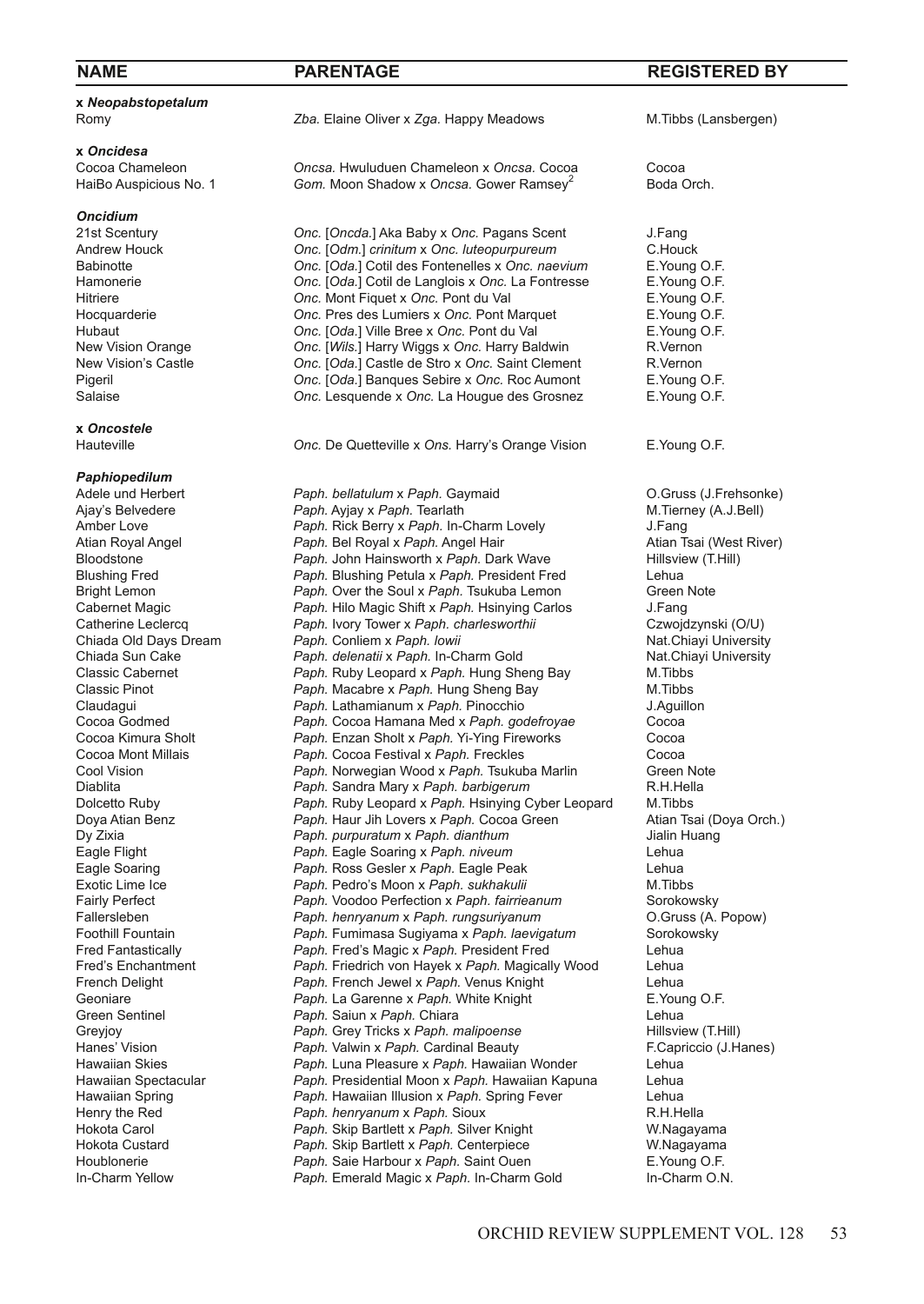# **x** *Neopabstopetalum*

**x** *Oncidesa* Cocoa Chameleon *Oncsa.* Hwuluduen Chameleon x Oncsa. Cocoa Cocoa<br>
HaiBo Auspicious No. 1 **Gom.** Moon Shadow x Oncsa. Gower Ramsey<sup>2</sup> Boda Orch.

*Oncidium*

# **x** *Oncostele*

# *Paphiopedilum*

Romy *Zba.* Elaine Oliver x *Zga.* Happy Meadows M.Tibbs (Lansbergen)

Gom. Moon Shadow x Oncsa. Gower Ramsey<sup>2</sup>

21st Scentury *Onc.* [*Oncda.*] Aka Baby x *Onc.* Pagans Scent J.Fang Andrew Houck *Onc.* [Odm.] *crinitum* x Onc. *luteopurpureum* C.Houck **Babinotte C.Houck C.** *Onc.* [Oda.] Cotil des Fontenelles x Onc. naevium E. Young O.F. Babinotte *Onc.* [*Oda.*] Cotil des Fontenelles x *Onc. naevium* E.Young O.F. *Onc.* [Oda.] Cotil de Langlois x Onc. La Fontresse E.Young O.F.<br>
Onc. Mont Figuet x Onc. Pont du Val **E.** Young O.F. Hitriere *Onc.* Mont Fiquet x Onc. Pont du Val **E.Young O.F.**<br>Hocquarderie **Conc.** Pres des Lumiers x Onc. Pont Marquet **E.Young O.F.** Hocquarderie *Onc.* Pres des Lumiers x Onc. Pont Marquet E.Young O.F.<br>Hubaut **E.Young O.F.** Conc. I Cole. I Ville Bree x Onc. Pont du Val **E.Young O.F.** Hubaut **Callettian Conc.** [Oda.] Ville Bree x Onc. Pont du Val E. Young (<br>
New Vision Orange **Callettian Conc. IWils.** Harry Wiggs x Onc. Harry Baldwin R. Vernon New Vision Orange *Onc.* [Wils.] Harry Wiggs x Onc. Harry Baldwin R.Vernon<br>
New Vision's Castle *Onc. Onc. Coda.* I Castle de Stro x Onc. Saint Clement R.Vernon New Vision's Castle *Onc.* [Oda.] Castle de Stro x Onc. Saint Clement R.Vernon<br>
Pigeril **Property** *Pigeril Parce Access Cola.* Banques Sebire x Onc. Roc Aumont E. Young O.F. Pigeril *Onc.* [*Oda.*] Banques Sebire x *Onc.* Roc Aumont E.Young O.F. Onc. Lesquende x Onc. La Hougue des Grosnez

**Onc.** De Quetteville x Ons. Harry's Orange Vision E. Young O.F.

Adele und Herbert *Paph. bellatulum* x *Paph.* Gaymaid O.Gruss (J.Frehsonke) Ajay's Belvedere *Paph. Ayjay x Paph.* Tearlath M.Tierney M.Tierney Chappen Chappen Chappen Chappen Chappen Chappen Lovely M.Tierney (A.J.Bell) Amber Love **Paph. Rick Berry x** *Paph.* In-Charm Lovely **J.Fang**<br>
Atian Royal Angel **Paph. Bel Royal x Paph.** Angel Hair **J. Atian Tsai (West River)** Atian Royal Angel *Paph. Bel Royal x Paph.* Angel Hair **Atian Tsai (West River)**<br>Bloodstone *Paph. John Hainsworth x Paph.* **Dark Wave Hillsview (T.Hill)** Bloodstone *Paph. John Hainsworth x Paph. Dark Wave* Hillsview Blushing Petuax Paph. President Fred Lehua Blushing Fred **Paph.** Blushing Petula x Paph. President Fred Lehua<br>
Paph. Over the Soul x Paph. Tsukuba Lemon Green Note Paph. Over the Soul x Paph. Tsukuba Lemon Cabernet Magic *Paph. Hilo Magic Shift x Paph. Hisinying Carlos* **J.Fang J. Fang Catherine Leclercq** *Paph. Ivory Tower x Paph. charlesworthii* **Czwojdzynski (O/U)** Catherine Leclercq *Paph.* Ivory Tower x Paph. charlesworthii Czwojdzynski (O/U)<br>Chiada Old Days Dream *Paph.* Conliem x Paph. Iowii Chiada Old Days Dream *Paph.* Conliem x Paph. Iowii Paph. Conliem x Paph. lowii Chiada Sun Cake *Paph. delenatii* x *Paph.* In-Charm Gold Nat.Chiayi University Classic Cabernet *Paph.* Ruby Leopard x Paph. Hung Sheng Bay M.Tibbs<br>Classic Pinot **Paph.** Macabre x Paph. Hung Sheng Bay M.Tibbs Paph. Macabre x Paph. Hung Sheng Bay Claudagui *Paph.* Lathamianum x *Paph.* Pinocchio J.Aguillon Cocoa Godmed *Paph.* Cocoa Hamana Med x *Paph. godefroyae* Cocoa Paph. Enzan Sholt x Paph. Yi-Ying Fireworks Cocoa Mont Millais *Paph.* Cocoa Festival x *Paph.* Freckles Cocoa Cool Vision **Paph. Norwegian Wood x Paph. Tsukuba Marlin** Green Note Creen Note Creen Note Creen Note Creen Note Creen Note Creen Note Creen Note Creen Note Creen Note Creen Note Creen Note Creen Note Creen School Creen Sc **Paph.** Sandra Mary x Paph. barbigerum Dolcetto Ruby *Paph.* Ruby Leopard x *Paph.* Hsinying Cyber Leopard M.Tibbs Doya Atian Benz *Paph. Haur Jih Lovers x Paph. Cocoa Green* Atian Tsai (Download Cheaph. *Paph. purpuratum x Paph. dianthum* **Paph.** purpuratum x Paph. dianthum Eagle Flight *Paph.* Eagle Soaring x *Paph. niveum* Lehua Paph. Ross Gesler x Paph. Eagle Peak Lehua<br>
Paph. Pedro's Moon x Paph. sukhakulii **Raph. Paph. Pedro's Metaph** Exotic Lime Ice *Paph. Pedro's Moon x Paph. sukhakulii* M.Tibbs **Fairly Perfect M.Tibbs Paph. Voodoo Perfection x Paph. fairrieanum** Sorokowsky Fairly Perfect *Paph.* Voodoo Perfection x Paph. *fairrieanum* Sorokowsky<br>
Fallersleben *Paph. henryanum x Paph. rungsuriyanum* (O.Gruss (A. Popow) **Paph.** henryanum x Paph. *rungsuriyanum* Foothill Fountain *Paph.* Fumimasa Sugiyama x *Paph. laevigatum* Sorokowsky Fred Fantastically *Paph.* Fred's Magic x *Paph.* President Fred Lehua Fred's Enchantment *Paph.* Friedrich von Hayek x *Paph.* Magically Wood Lehua Paph. French Jewel x Paph. Venus Knight Geoniare *Paph.* La Garenne x Paph. White Knight **E.Young O.F.**<br>
Green Sentinel **Faph.** Saiun x Paph. Chiara **E.** Lehua Green Sentinel *Paph. Saiun x Paph.* Chiara Chiara **Lehua** Lehua<br>Greviov *Paph.* Grev Tricks x *Paph. malipoense* Hillsview (T.Hill) Greyjoy *Paph.* **Grey Tricks x Paph. malipoense**<br>
Hanes' Vision **Paph. Valwin x Paph. Cardinal Beauty** Hanes' Vision **Paph. Valwin x Paph. Cardinal Beauty** F.Capriccio (J.Hanes)<br>Hawaiian Skies **Paph. Luna Pleasure x Paph. Hawaiian Wonder** Lehua Hawaiian Skies *Paph.* Luna Pleasure x *Paph.* Hawaiian Wonder Lehua Hawaiian Spectacular *Paph.* Presidential Moon x *Paph.* Hawaiian Kapuna Lehua Hawaiian Spring **Paph. Hawaiian Illusion x Paph. Spring Fever** Lehua<br>Henry the Red **Paph. henryanum x Paph. Sioux** Corean R.H.Hella Henry the Red *Paph. henryanum* x *Paph.* Sioux **Hokota Carol** *Paph. Sing Paph. Sing Paph. Silve* Hokota Carol *Paph.* Skip Bartlett x *Paph.* Silver Knight W.Nagayama Hokota Custard *Paph.* Skip Bartlett x *Paph.* Centerpiece W.Nagayama Paph. Saie Harbour x Paph. Saint Ouen In-Charm Yellow *Paph.* Emerald Magic x *Paph.* In-Charm Gold In-Charm O.N.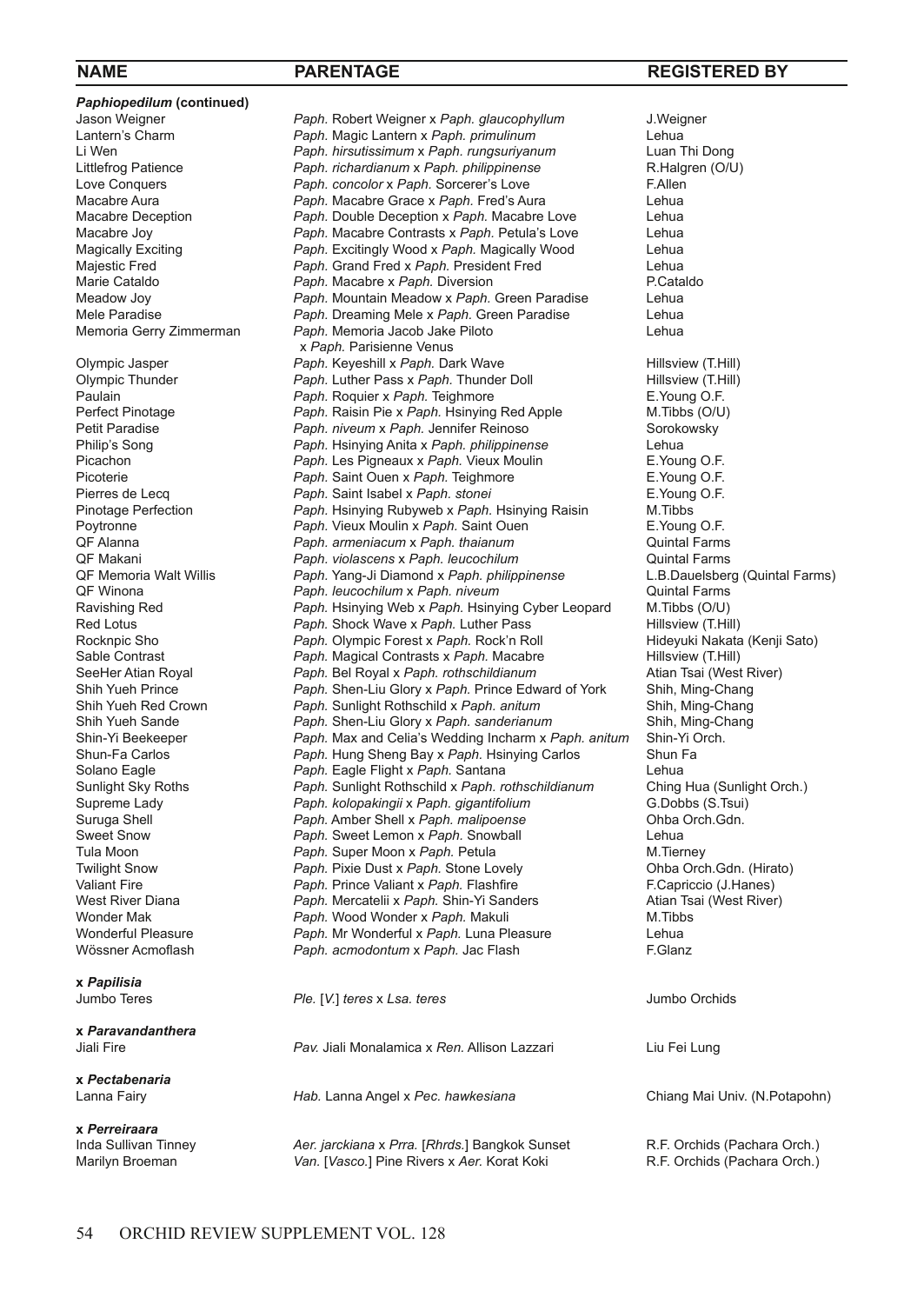**Paphiopedilum (continued)**<br>Jason Weigner x *Paph.* Parisienne Venus<br>Olympic Jasper **Paph. Keyeshill** x *Paph.* Da **x** *Papilisia*

**x** *Paravandanthera*

**x** *Pectabenaria*

**x** *Perreiraara*

Jason Weigner *Paph.* Robert Weigner x *Paph. glaucophyllum* J.Weigner Lantern's Charm *Paph.* Magic Lantern x *Paph. primulinum* Lehua Li Wen *Paph. hirsutissimum* x *Paph. rungsuriyanum* Luan Thi Dong Littlefrog Patience *Paph. richardianum x Paph. philippinense* R.Halg<br>
Love Conquers **Paph. concolor x Paph. Sorcerer's Love** F.Allen Love Conquers *Paph. concolor* x *Paph.* Sorcerer's Love F.Allen Macabre Aura *Paph. Macabre Grace x Paph. Fred's Aura* Lehua<br>Macabre Deception *Paph. Double Deception x Paph. Macabre Love* **Lehua** Macabre Deception *Paph.* Double Deception x Paph. Macabre Love Lehua<br>Macabre Joy **Paph.** Macabre Contrasts x Paph. Petula's Love Lehua Macabre Joy *Paph. Macabre Contrasts x Paph. Petula's Love* **Lehua**<br>Magically Exciting *Paph. Excitingly Wood x Paph. Magically Wood* **Lehua** Magically Exciting **Paph.** Excitingly Wood x Paph. Magically Wood Lehua<br>Majestic Fred **Capple Condense Condense Condense Condense** Rehua<br>Lehua Majestic Fred **Paph.** Grand Fred x Paph. President Fred Lehua<br>
Marie Cataldo **Paph. Macabre x Paph. Diversion** P.Cataldo Marie Cataldo *Paph. Macabre x Paph. Diversion*<br>Meadow Jov *Paph. Mountain Meadow x Paph.* Meadow Joy *Paph.* Mountain Meadow x *Paph.* Green Paradise Lehua Mele Paradise *Paph.* Dreaming Mele x *Paph.* Green Paradise Lehua Paph. Memoria Jacob Jake Piloto Olympic Jasper **Paph. Keyeshill x Paph. Dark Wave Hillsview (T.Hill)**<br>
Olympic Thunder **Paph. Luther Pass x Paph. Thunder Doll** Hillsview (T.Hill) Olympic Thunder **Paph.** Luther Pass x Paph. Thunder Doll **Hillsview (T.H.** Paulain Paph. Roquier x Paph. Teighmore **C.H.** Paulain Paulain **Paph.** Paph. Roquier x Paph. Teighmore **E. Young O.F.**<br>Perfect Pinotage **Paph. Raisin Pie x Paph. Hsinying Red Apple** M. Tibbs (O/U) Perfect Pinotage *Paph.* Raisin Pie x *Paph.* Hsinying Red Apple Petit Paradise **Paph.** *Paph. niveum x Paph.* Jennifer Reinoso Petit Paradise *Paph. niveum* x Paph. Jennifer Reinoso **Sorokowsky**<br>
Philip's Song **Song Sorokowsky** Philip Paph. Hsinying Anita x Paph. philippinense Philip's Song *Paph.* Hsinying Anita x *Paph. philippinense* Lehua Picachon **Paph.** Les Pigneaux x Paph. Vieux Moulin E. Young O.F.<br>Picoterie **Paph.** Saint Ouen x Paph. Teighmore E. Young O.F. Picoterie **Paph.** Saint Ouen x Paph. Teighmore **E.Young O.F.**<br>Pierres de Lecq **Paph.** Saint Isabel x Paph. stonei **E.Young O.F.** Pierres de Lecq *Paph.* **Saint Isabel x** *Paph.**stonei* E. Young<br>Pinotage Perfection *Paph.* Hinying Rubyweb x *Paph.* Hinying Raisin M Tibbs Pinotage Perfection *Paph.* Hsinying Rubyweb x *Paph.* Hsinying Raisin M.Tibbs Poytronne **Paph. Vieux Moulin x Paph. Saint Ouen** E. Young O.F.<br>
QF Alanna **Paph. ameniacum x Paph. thaianum** Quintal Farms QF Alanna *Paph. armeniacum* x *Paph. thaianum* Quintal Farms QF Makani *Paph. violascens x Paph. leucochilum* **Quintal Farms** Quintal Farms (Quintal Farms) Quintal Farms (Quintal Farms) Quintal Farms (Quintal Farms) Quintal Farms (Quintal Farms) Quintal Farms (Quintal Farms) Quintal QF Memoria Walt Willis **Paph. Yang-Ji Diamond x Paph. philippinense** L.B.Dauelsber (L.B.Dauelsberg (Quintal Farms) **Paph.** leucochilum x Paph. niveum Ravishing Red *Paph.* Hsinying Web x *Paph.* Hsinying Cyber Leopard M.Tibbs (O/U) Red Lotus **Paph. Shock Wave x Paph.** Luther Pass **Frank Collect Hillsview (T.Hill)**<br>Rocknpic Sho **Frank Collect Are and Paph. Olympic Forest x Paph. Rock'n Roll Hideyuki Nakata (Kenji Sato)** Paph. Olympic Forest x Paph. Rock'n Roll Sable Contrast **Paph. Magical Contrasts x Paph. Macabre** Hillsview (T.Hill)<br>
SeeHer Atian Royal **Paph. Bel Royal x Paph. rothschildianum** Atian Tsai (West River) SeeHer Atian Royal *Paph. Bel Royal x Paph. rothschildianum* Atian Tsai (West R<br>Shih Yueh Prince *Paph. Shen-Liu Glory x Paph. Prince Edward of York* **Shih, Ming-Chang** Shih Yueh Prince *Paph.* Shen-Liu Glory x *Paph.* Prince Edward of York Shih, Ming-Chang Shih Yueh Red Crown *Paph.* Sunlight Rothschild x *Paph. anitum* Shih, Ming-Chang Shih Yueh Sande *Paph.* Shen-Liu Glory x Paph. *sanderianum* Shih, Ming-C<br>Shin-Yi Beekeeper *Paph.* Max and Celia's Wedding Incharm x Paph. anitum Shin-Yi Orch. Paph. Max and Celia's Wedding Incharm x Paph. anitum Shun-Fa Carlos *Paph.* Hung Sheng Bay x *Paph.* Hsinying Carlos Shun Fa Solano Eagle **Paph. Eagle Flight x Paph. Santana**<br>
Sunlight Sky Roths **Paph. Sunlight Rothschild x Paph. rothschildianum** Ching Hua (Sunlight Orch.) Paph. Sunlight Rothschild x Paph. rothschildianum Supreme Lady *Paph. kolopakingii* x *Paph. gigantifolium* G.Dobbs (S.Tsui) Suruga Shell *Paph.* Amber Shell x *Paph. malipoense* Ohba Orch.Gdn. Sweet Snow **Paph.** Sweet Lemon x *Paph.* Snowball Communist Communist Communist Communist Communist Communist Communist Communist Communist Communist Communist Communist Communist Communist Communist Communist Communist Co Tula Moon **Paph. Super Moon x Paph. Petula** M.Tierney M.Tierney<br>Twilight Snow **Paph. Pixie Dust x Paph. Stone Lovely** Show Ohba Orch. Gdn. (Hirato) Twilight Snow **Paph.** Pixie Dust x Paph. Stone Lovely Valiant Fire<br> *Paph.* Prince Valiant x Paph. Flashfire Valiant Fire **Fire** *Paph.* Prince Valiant x Paph. Flashfire Figure 1. F.Capriccio (J.Hanes)<br>
West River Diana **Frank Paph. Mercatelii x Paph. Shin-Yi Sanders** Atlan Tsai (West River) West River Diana **Paph. Mercatelii x Paph. Shin-Yi Sanders** Atian Tsai (Atian Tsai River)<br>Wonder Maker River River River River At Attack River At Attack Mercury Multiples Wonder Mak *Paph. Wood Wonder x Paph. Makuli*<br>*Paph. Mr Wonderful x Paph. Luna Pl**Paph. Mr Wonderful x Paph. Luna Pl* Wonderful Pleasure *Paph.* Mr Wonderful x Paph. Luna Pleasure Lehua<br>Wössner Acmoflash **Paph.** acmodontum x Paph. Jac Flash CHASH F.Glanz Paph. acmodontum x Paph. Jac Flash

> Jumbo Teres *Ple.* [*V.*] *teres* x *Lsa. teres* Jumbo Orchids Jiali Fire *Pav.* Jiali Monalamica x *Ren.* Allison Lazzari Liu Fei Lung Lanna Fairy *Hab.* Lanna Angel x *Pec. hawkesiana* Chiang Mai Univ. (N.Potapohn)

Inda Sullivan Tinney *Aer. jarckiana* x *Prra.* [*Rhrds.*] Bangkok Sunset R.F. Orchids (Pachara Orch.) Van. [Vasco.] Pine Rivers x Aer. Korat Koki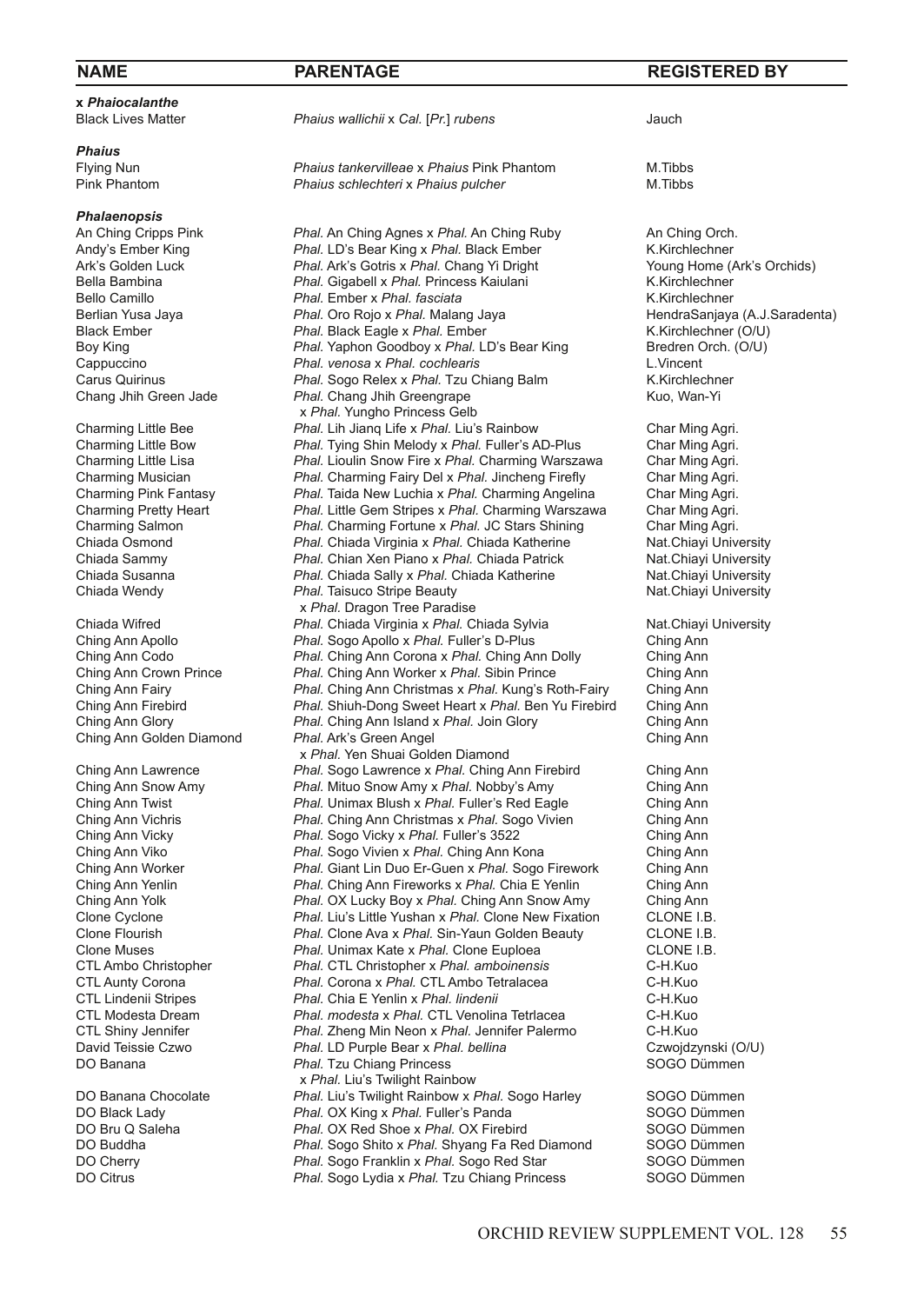|--|

**x** *Phaiocalanthe*

*Phaius*

*Phalaenopsis*

**Ching Ann Golden Diamond** 

Flying Nun *Phaius tankervilleae* x *Phaius* Pink Phantom M.Tibbs **Phaius schlechteri x Phaius pulcher** 

An Ching Cripps Pink *Phal.* An Ching Agnes x Phal. An Ching Ruby **An Ching Orch.**<br>Andy's Ember King **An Age An Act An Ching Corporation** Resear King x Phal. Black Ember Andy's Ember King *Phal.* LD's Bear King x Phal. Black Ember **K.Kirchlechner** K.Kirchlechner **K.Kirchlechner** Ark's Orchids) Ark's Golden Luck **Phal.** Ark's Gotris x *Phal.* Chang Yi Dright Young Home (Arkis Controlled View Orchids) Arkis Orchide (Bella Bambina View Phal. Gigabell x *Phal.* Princess Kaiulani K. Kirchlechner Bella Bambina **Phal. Gigabell x Phal. Princess Kaiulani** K.Kirchlechner<br>Bello Camillo **Balla Chall** Phal. Ember x Phal. fasciata **Malla Challechner** K.Kirchlechner Bello Camillo **Phal.** Ember x *Phal. fasciata Phal. Phal.* **Oro Rojo x** *Phal.* **Malang Jaya** Berlian Yusa Jaya *Phal.* Oro Rojo x *Phal.* Malang Jaya **Berlian Yusa Jaya** HendraSanjaya (A.J.Saradenta)<br>Black Ember (O/U) *Phal.* Black Eagle x *Phal.* Ember **1999** K.Kirchlechner (O/U) Black Ember *Phal.* Black Eagle x *Phal.* Ember K.Kirchlechner (O/U) Boy King *Phal. Yaphon Goodboy x Phal. LD's Bear King* **Bredren Cappuccino <b>Bredren Cappuccino Bredren Cappuccino Bredren C** Cappuccino *Phal. venosa* x *Phal. cochlearis* L.Vincent Carus Quirinus **Phal.** Sogo Relex x *Phal.* Tzu Chiang Balm K.Kirchlechn<br>Chang Jhih Green Jade *Phal.* Chang Jhih Greengrape Kuo. Wan-Yi Phal. Chang Jhih Greengrape x *Phal.* Yungho Princess Gelb<br>Charming Little Bee Phal. Lih Jiang Life x *Phal.* Liu's Charming Little Bee *Phal.* Lih Jianq Life x *Phal.* Liu's Rainbow Char Ming Agri. Charming Little Bow *Phal.* Tying Shin Melody x *Phal.* Fuller's AD-Plus Char Ming Agri. Charming Little Lisa *Phal.* Lioulin Snow Fire x *Phal.* Charming Warszawa Char Ming Agri. Charming Musician *Phal.* Charming Fairy Del x *Phal.* Jincheng Firefly Char Ming Agri. Charming Pink Fantasy *Phal.* Taida New Luchia x *Phal.* Charming Angelina Char Ming Agri. Charming Pretty Heart *Phal.* Little Gem Stripes x *Phal.* Charming Warszawa Char Ming Agri. Charming Salmon *Phal.* Charming Fortune x *Phal.* JC Stars Shining Char Ming Agri. Chiada Osmond *Phal.* Chiada Virginia x *Phal.* Chiada Katherine Nat.Chiayi University<br>Chiada Sammy *Phal.* Chian Xen Piano x *Phal.* Chiada Patrick Nat.Chiayi University Chiada Sammy *Phal.* Chian Xen Piano x *Phal.* Chiada Patrick Nat.Chiayi University Chiada Susanna *Phal.* Chiada Sally x *Phal.* Chiada Katherine **Nat.Chiayi University**<br>Chiada Wendy **Phal. Taisuco Stripe Beauty** Nat.Chiayi University Phal. Taisuco Stripe Beauty x *Phal.* Dragon Tree Paradise<br>Chiada Wifred **Phal.** Chiada Virginia x *Phal.* C Chiada Wifred *Phal.* Chiada Virginia x *Phal.* Chiada Sylvia **Nat.Chiayi University**<br>Ching Ann Apollo **National Chiama** *Phal.* **Sogo Apollo x** *Phal.* **Fuller's D-Plus Ching Ann** Phal. Sogo Apollo x Phal. Fuller's D-Plus Ching Ann Codo *Phal.* Ching Ann Corona x *Phal.* Ching Ann Dolly Ching Ann Ching Ann Crown Prince *Phal.* Ching Ann Worker x *Phal.* Sibin Prince Ching Ann Phal. Ching Ann Christmas x Phal. Kung's Roth-Fairy Ching Ann<br>*Phal.* Shiuh-Dong Sweet Heart x Phal. Ben Yu Firebird Ching Ann Ching Ann Firebird *Phal.* Shiuh-Dong Sweet Heart x *Phal.* Ben Yu Firebird Ching Ann **Phal. Ching Ann Island x Phal. Join Glory Ching Ann Ching Ann Ching Ann Ching Ann Ching Ann** x *Phal.* Yen Shuai Golden Diamond<br>Phal. Sogo Lawrence x *Phal.* Ching *Phal.* Sogo Lawrence x *Phal.* Ching Ching Ann Lawrence *Phal.* Sogo Lawrence x *Phal.* Ching Ann Firebird Ching Ann Phal. Mituo Snow Amy x Phal. Nobby's Amy Ching Ann Twist *Phal.* Unimax Blush x *Phal.* Fuller's Red Eagle Ching Ann Ching Ann Vichris *Phal.* Ching Ann Christmas x *Phal.* Sogo Vivien Ching Ann Phal. Sogo Vicky x Phal. Fuller's 3522<br>
Phal. Sogo Vivien x Phal. Ching Ann Kona **Ching Ann** Ching Ann Viko *Phal.* Sogo Vivien x *Phal.* Ching Ann Kona Ching Ann Ching Ann Worker *Phal.* Giant Lin Duo Er-Guen x *Phal.* Sogo Firework Ching Ann Ching Ann Yenlin *Phal.* Ching Ann Fireworks x *Phal.* Chia E Yenlin Ching Ann Ching Ann Yolk *Phal.* OX Lucky Boy x *Phal.* Ching Ann Snow Amy Ching Ann Clone Cyclone **Ching Ann** Clone Cyclone **CLONE** I.B. Clone Cyclone *Phal.* Liu's Little Yushan x *Phal.* Clone New Fixation CLONE I.B.<br>Clone Flourish *Phal.* Clone Ava x *Phal.* Sin-Yaun Golden Beauty CLONE I.B. Phal. Clone Ava x *Phal.* Sin-Yaun Golden Beauty CLONE I.B.<br> *Phal.* Unimax Kate x *Phal.* Clone Euploea CLONE I.B. Clone Muses *Phal. Unimax Kate x Phal. Clone Euploea* CLONE I.<br>CTL Ambo Christopher *Phal.* **CTL Christopher x** *Phal. amboinensis* **C-H. Kuo** CTL Ambo Christopher *Phal.* CTL Christopher x *Phal. amboinensis* C-H.Kuo Phal. Corona *x Phal.* CTL Ambo Tetralacea CTL Lindenii Stripes *Phal.* Chia E Yenlin x *Phal. lindenii* C-H.Kuo CTL Modesta Dream *Phal. modesta* x *Phal.* CTL Venolina Tetrlacea C-H.Kuo CTL Shiny Jennifer *Phal.* Zheng Min Neon x *Phal.* Jennifer Palermo C-H.Kuo David Teissie Czwo **Phal. LD Purple Bear x** *Phal. bellina* Czwojdzynski (O<br>DO Banana **Czwojdzynski (Phal. Tzu Chiang Princess** Callemana Callemana Continuent **Phal.** Tzu Chiang Princess x *Phal.* Liu's Twilight Rainbow<br>DO Banana Chocolate *Phal.* Liu's Twilight Rainbow x *I* DO Banana Chocolate *Phal.* Liu's Twilight Rainbow x *Phal.* Sogo Harley SOGO Dümmen<br>DO Black Lady **Phal. OX King x Phal.** Fuller's Panda SOGO Dümmen DO Black Lady *Phal.* OX King x Phal. Fuller's Panda **SOGO Dümmen**<br>
DO Bru Q Saleha **SOGO Dümmen** *Phal.* OX Red Shoe x Phal. OX Firebird SOGO Dümmen DO Bru Q Saleha *Phal.* OX Red Shoe x Phal. OX Firebird **SOGO Dümmen**<br> **Phal.** Sogo Shito x Phal. Shvang Fa Red Diamond SOGO Dümmen DO Buddha *Phal.* Sogo Shito x *Phal.* Shyang Fa Red Diamond SOGO Dümmen DO Cherry **Phal. Sogo Franklin x Phal. Sogo Red Star** SOGO Dümmen<br>DO Citrus *Phal.* Sogo Lydia x *Phal.* Tzu Chiang Princess SOGO Dümmen Phal. Sogo Lydia x Phal. Tzu Chiang Princess

# **NAME PARENTAGE REGISTERED BY**

Black Lives Matter *Phaius wallichii* x *Cal.* [*Pr.*] *rubens* Jauch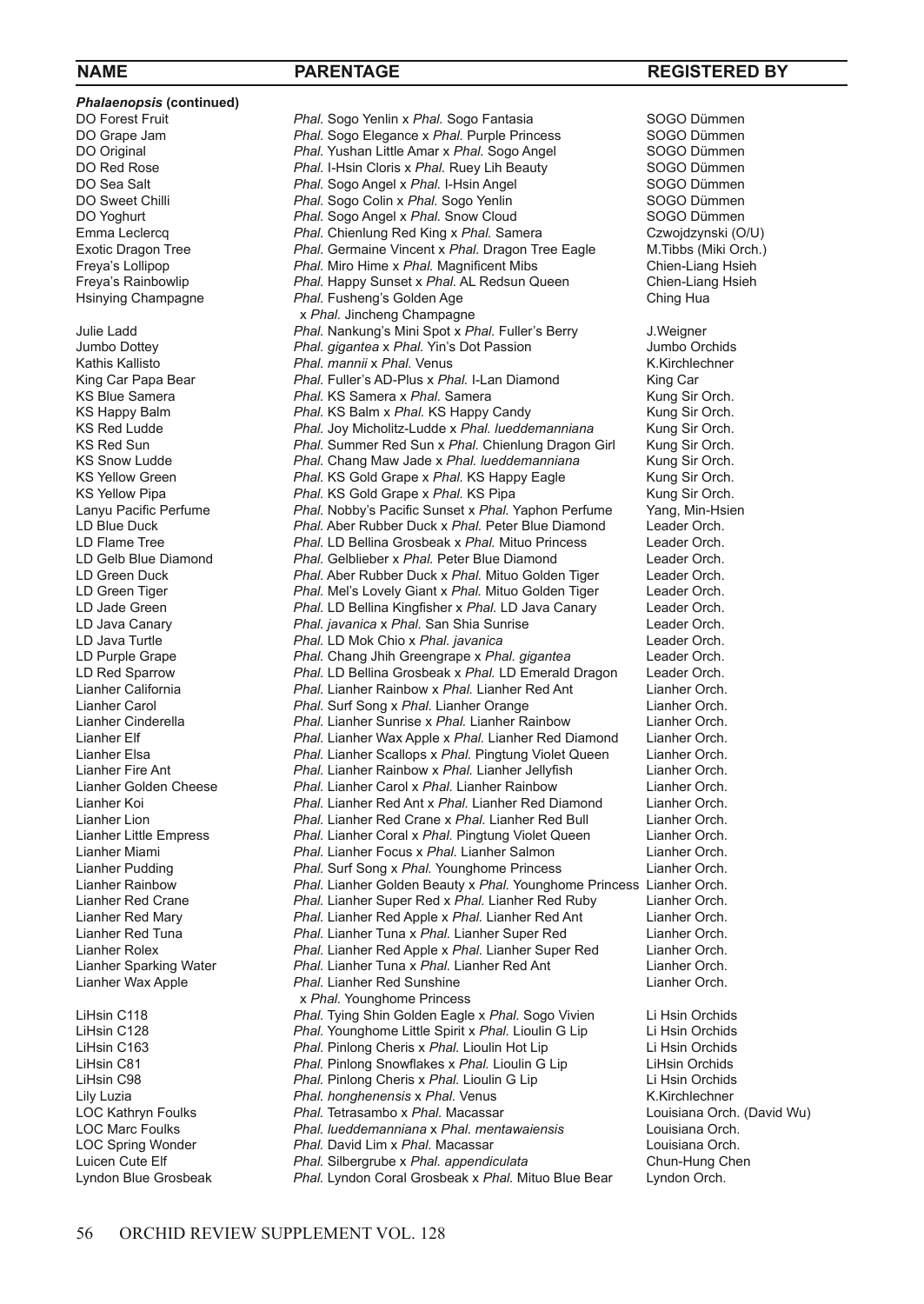**Phalaenopsis (continued)**<br>**DO Forest Fruit** Hsinying Champagne *Phal.* Fusheng's Golden Age x *Phal.* Younghome Princess<br>I iHsin C118 **Phal** Tying Shin Golden Fagle

DO Forest Fruit *Phal.* Sogo Yenlin x Phal. Sogo Fantasia **SOGO Dümmen**<br>
DO Grape Jam **Brance Sogo France X Phal.** Purple Princess SOGO Dümmen DO Grape Jam *Phal.* Sogo Elegance x *Phal.* Purple Princess SOGO Dümmen<br>DO Original SOGO Dümmen *Phal.* Yushan Little Amar x *Phal.* Sogo Angel SOGO Dümmen DO Original **Phal.** Yushan Little Amar x Phal. Sogo Angel SOGO Dümmen<br>
DO Red Rose **SOGO Dümmen**<br>
Phal LHsin Cloris x Phal Ruey Lib Beauty SOGO Dümmen DO Red Rose *Phal.* I-Hsin Cloris x Phal. Ruey Lih Beauty **SOGO Dümmen**<br>
DO Sea Salt **Register Society** Phal Sogo Angel x Phal I-Hsin Angel **SOGO Dümmen** DO Sea Salt **Phal.** Sogo Angel x *Phal.* I-Hsin Angel SOGO Dümmen<br>
DO Sweet Chilli **Phal.** Sogo Colin x *Phal.* Sogo Yenlin SOGO Dümmen DO Sweet Chilli **Phal.** Sogo Colin x Phal. Sogo Yenlin Sogo Tümmen<br>DO Yoghurt **Phal.** Sogo Angel x Phal. Snow Cloud SOGO Dümmen DO Yoghurt **Phal.** Sogo Angel x *Phal.* Snow Cloud SOGO Dümmen<br> *Phal.* Chienlung Red King x *Phal.* Samera Czwojdzynski (O/U) Emma Leclercq *Phal.* Chienlung Red King x *Phal.* Samera Czwojdzynski (O/U)<br>
Exotic Dragon Tree *Phal.* Germaine Vincent x *Phal.* Dragon Tree Eagle M.Tibbs (Miki Orch.) Exotic Dragon Tree *Phal.* Germaine Vincent x *Phal.* Dragon Tree Eagle M.Tibbs (Miki Orch.)<br> **Phal.** Micheline x Phal. Magnificent Mibs Chien-Liang Hsieh Freya's Lollipop *Phal. Miro Hime x Phal. Magnificent Mibs* Chien-Liang Hsieh<br> **Freya's Rainbowlip** *Phal. Happy Sunset x Phal. AL Redsun Queen* Chien-Liang Hsieh Phal. Happy Sunset x Phal. AL Redsun Queen **Chien-Lian**<br>Phal. Fusheng's Golden Age **Chien Chien Ching Hua** x *Phal.* Jincheng Champagne<br>Julie Ladd **Phal.** Nankung's Mini Spot x *Pl* Julie Ladd *Phal.* Nankung's Mini Spot x *Phal.* Fuller's Berry J.Weigner Jumbo Dottey *Phal. gigantea* x *Phal.* Yin's Dot Passion Jumbo Orchids Kathis Kallisto *Phal. mannii* x Phal. Venus **K.Kirchle**<br>
King Car Papa Bear *Phal. Fuller's AD-Plus x Phal.* **I-Lan Diamond King Car** King Car Papa Bear *Phal.* Fuller's AD-Plus x *Phal.* I-Lan Diamond King Car<br>
KS Blue Samera **Karamana Karakat Adamana X Phal.** Samera Kung Sir Ang Sir Orch. KS Blue Samera *Phal.* **KS Samera x** *Phal.* **KS Samera** *Kung Sir Orch.* KS Happy Balm **Kung Sir Orch.** KS Happy Candy **Kung Sir Orch.** KS Happy Balm *Phal.* KS Balm x *Phal.* KS Happy Candy **Kung Sir Orch.**<br> **KS Red Ludde** *Phal. Joy Micholitz-Ludde x Phal. lueddemanniana* **Kung Sir Orch.** KS Red Ludde *Phal.* Joy Micholitz-Ludde x *Phal. lueddemanniana* Kung Sir Orch. KS Red Sun *Phal.* Summer Red Sun x *Phal.* Chienlung Dragon Girl KS Snow Ludde **Chienlung Strage Corp.** Chang May Jade x *Phal. Iueddemanniana* KS Snow Ludde *Phal.* Chang Maw Jade x Phal. *lueddemanniana* Kung Sir Orch.<br> **KS Yellow Green** *Phal.* **KS Gold Grape x Phal. KS Happy Eagle Kung Sir Orch.** KS Yellow Green *Phal.* **KS Gold Grape x** *Phal.* **KS Happy Eagle** Kung Sir Orch.<br>
KS Yellow Pipa **Kung Sir Orch.** *Phal.* KS Gold Grape x *Phal.* KS Pipa Kung Sir Orch. KS Yellow Pipa *Phal.* **KS Gold Grape x** *Phal.* **KS Pipa** Kung Sir Orch.<br>Lanyu Pacific Perfume *Phal Nobby's Pacific Sunset x Phal Yanhon Perfume* **Yang Min-Hsien** Lanyu Pacific Perfume *Phal.* Nobby's Pacific Sunset x *Phal.* Yaphon Perfume Yang, Min-Hs<br>
LD Blue Duck Chal. Aber Rubber Duck x *Phal.* Peter Blue Diamond Leader Orch. LD Blue Duck *Phal.* Aber Rubber Duck x *Phal.* Peter Blue Diamond Leader Orch. LD Flame Tree *Phal.* LD Bellina Grosbeak x *Phal.* Mituo Princess Leader Orch. LD Gelb Blue Diamond **Phal.** Gelblieber x Phal. Peter Blue Diamond Leader Orch.<br>
LD Green Duck **Diamond Phal. Aber Rubber Duck x Phal. Mituo Golden Tiger** Leader Orch. LD Green Duck *Phal.* Aber Rubber Duck x *Phal.* Mituo Golden Tiger Leader Orch. Phal. Mel's Lovely Giant x Phal. Mituo Golden Tiger LD Jade Green *Phal.* LD Bellina Kingfisher x *Phal.* LD Java Canary Leader Orch. LD Java Canary *Phal. javanica* x *Phal.* San Shia Sunrise Leader Orch. Phal. LD Mok Chio x Phal. *javanica* LD Purple Grape *Phal.* Chang Jhih Greengrape x *Phal. gigantea* Leader Orch. LD Red Sparrow *Phal.* LD Bellina Grosbeak x *Phal.* LD Emerald Dragon Leader Orch. Lianher California *Phal.* Lianher Rainbow x *Phal.* Lianher Red Ant Lianher Orch. Lianher Carol *Phal. Suff Song x Phal. Lianher Crange* Lianher Orch.<br>
Lianher Cinderella **Chall** *Phal. Lianher Sunrise x Phal. Lianher Rainbow* Lianher Orch. Lianher Cinderella *Phal.* Lianher Sunrise x *Phal.* Lianher Rainbow Lianher Orch. Lianher Elf *Phal.* Lianher Wax Apple x *Phal.* Lianher Red Diamond Lianher Orch. Lianher Elsa *Phal.* Lianher Scallops x *Phal.* Pingtung Violet Queen Lianher Orch. Lianher Fire Ant *Phal.* Lianher Rainbow x *Phal.* Lianher Jellyfish Lianher Orch. Phal. Lianher Carol x Phal. Lianher Rainbow Lianher Koi *Phal.* Lianher Red Ant x *Phal.* Lianher Red Diamond Lianher Orch. Lianher Lion *Phal.* Lianher Red Crane x *Phal.* Lianher Red Bull Lianher Orch. Phal. Lianher Coral x Phal. Pingtung Violet Queen Lianher Orch.<br> *Phal.* Lianher Focus x Phal. Lianher Salmon Lianher Orch. Lianher Miami *Phal.* Lianher Focus x *Phal.* Lianher Salmon Lianher Orch. Lianher Pudding *Phal.* Surf Song x *Phal.* Younghome Princess Lianher Orch. Lianher Rainbow *Phal.* Lianher Golden Beauty x *Phal.* Younghome Princess Lianher Orch. Lianher Red Crane *Phal.* Lianher Super Red x *Phal.* Lianher Red Ruby Lianher Orch. Phal. Lianher Red Apple x Phal. Lianher Red Ant Lianher Red Tuna *Phal.* Lianher Tuna x *Phal.* Lianher Super Red Lianher Orch. Lianher Rolex *Phal.* Lianher Red Apple x *Phal.* Lianher Super Red Lianher Orch. Lianher Sparking Water *Phal.* Lianher Tuna x *Phal.* Lianher Red Ant Lianher Orch. **Phal.** Lianher Red Sunshine LiHsin C118 *Phal.* Tying Shin Golden Eagle x *Phal.* Sogo Vivien Li Hsin Orchids LiHsin C128 *Phal.* Younghome Little Spirit x *Phal.* Lioulin G Lip Li Hsin Orchids LiHsin C163 *Phal.* Pinlong Cheris x *Phal.* Lioulin Hot Lip Li Hsin Orchids LiHsin C81 *Phal.* Pinlong Snowflakes x *Phal.* Lioulin G Lip LiHsin Orchids LiHsin C98 *Phal.* Pinlong Cheris x *Phal.* Lioulin G Lip Li Hsin Orchids Lily Luzia *Phal. honghenensis* x *Phal.* Venus K.Kirchlechner **Phal. Tetrasambo x Phal. Macassar** LOC Marc Foulks *Phal. lueddemanniana* x *Phal. mentawaiensis* Louisiana Orch. LOC Spring Wonder *Phal.* David Lim x *Phal.* Macassar Louisiana Orch. Luicen Cute Elf *Phal.* Silbergrube x *Phal.* appendiculata **Chun-Hung C**<br>
Lyndon Blue Grosbeak **Phal.** Lyndon Coral Grosbeak x Phal. Mituo Blue Bear Lyndon Orch. Phal. Lyndon Coral Grosbeak x Phal. Mituo Blue Bear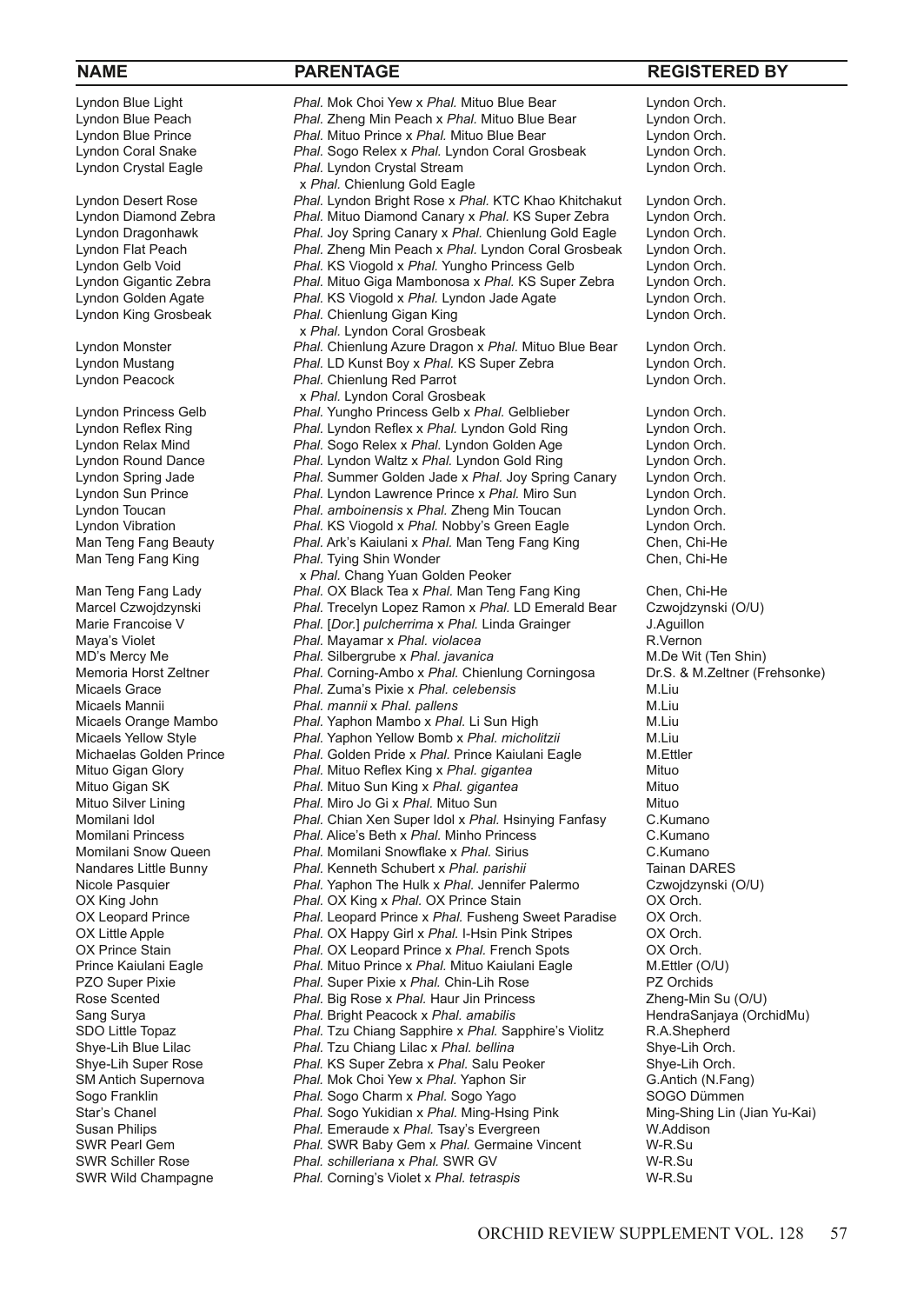Lyndon Blue Light *Phal.* Mok Choi Yew x *Phal.* Mituo Blue Bear Lyndon Orch. Lyndon Blue Peach *Phal.* Zheng Min Peach x *Phal.* Mituo Blue Bear Lyndon Orch. Lyndon Blue Prince *Phal.* Mituo Prince x *Phal.* Mituo Blue Bear Lyndon Orch. Lyndon Coral Snake *Phal.* Sogo Relex x *Phal.* Lyndon Coral Grosbeak Lyndon Orch. Phal. Lyndon Crystal Stream x *Phal.* Chienlung Gold Eagle<br>*Phal.* Lyndon Bright Rose x *Ph* Lyndon Desert Rose *Phal.* Lyndon Bright Rose x *Phal.* KTC Khao Khitchakut Lyndon Orch. Lyndon Diamond Zebra *Phal.* Mituo Diamond Canary x *Phal.* KS Super Zebra Lyndon Orch. Lyndon Dragonhawk *Phal.* Joy Spring Canary x *Phal.* Chienlung Gold Eagle Lyndon Orch. Lyndon Flat Peach *Phal.* Zheng Min Peach x *Phal.* Lyndon Coral Grosbeak Lyndon Orch. Lyndon Gelb Void *Phal.* KS Viogold x *Phal.* Yungho Princess Gelb Lyndon Orch. Phal. Mituo Giga Mambonosa x Phal. KS Super Zebra Lyndon Golden Agate *Phal.* KS Viogold x *Phal.* Lyndon Jade Agate Lyndon Orch. Phal. Chienlung Gigan King x *Phal.* Lyndon Coral Grosbeak<br>*Phal.* Chienlung Azure Dragon x Phal. Chienlung Azure Dragon x Phal. Mituo Blue Bear Lyndon Orch. Lyndon Mustang *Phal.* LD Kunst Boy x *Phal.* KS Super Zebra Lyndon Orch. Lyndon Peacock **Phal.** Chienlung Red Parrot **Chienlung Red Parrot** Lyndon Orch. x *Phal.* Lyndon Coral Grosbeak<br>*Phal.* Yungho Princess Gelb x *Ph* Phal. Yungho Princess Gelb x Phal. Gelblieber Lyndon Orch. Lyndon Reflex Ring *Phal.* Lyndon Reflex x *Phal.* Lyndon Gold Ring Lyndon Orch. Phal. Sogo Relex x Phal. Lyndon Golden Age Lyndon Round Dance *Phal.* Lyndon Waltz x *Phal.* Lyndon Gold Ring Lyndon Orch. Phal. Summer Golden Jade x Phal. Joy Spring Canary Lyndon Sun Prince *Phal.* Lyndon Lawrence Prince x *Phal.* Miro Sun Lyndon Orch. Lyndon Toucan *Phal. amboinensis* x *Phal.* Zheng Min Toucan Lyndon Orch. Lyndon Vibration *Phal.* **KS Viogold x Phal. Nobby's Green Eagle** Lyndon Orch.<br>Man Teng Fang Beauty **Phal. Ark's Kaiulani x Phal. Man Teng Fang King** Chen, Chi-He Man Teng Fang Beauty *Phal.* Ark's Kaiulani x *Phal.* Man Teng Fang King Chen, Chi-He<br>Man Teng Fang King **Chen, Chi-He** Phal. Tying Shin Wonder Phal. Tying Shin Wonder x *Phal.* Chang Yuan Golden Peoker<br>*Phal.* OX Black Tea x *Phal.* Man Tend *Phal.* OX Black Tea x *Phal.* Man Teng Fang King Chen, Chi-He Marcel Czwojdzynski *Phal.* Trecelyn Lopez Ramon x Phal. LD Emerald Bear Czwojdzynski (O/U)<br>Marie Francoise V **Phal. [Dor.]** pulcherrima x Phal. Linda Grainger J. Aguillon Marie Francoise V *Phal. [Dor.] pulcherrima x Phal.* Linda Grainger **J.Aguillon**<br>Maya's Violet **Maries Allan Mayamar** x *Phal. violacea R.Vernon*  $P$ hal. Mayamar x *Phal. violacea* MD's Mercy Me *Phal.* Silbergrube x *Phal.* javanica **Magnum MD's Mercy Mean** *Mercy Mega and Bright* **(Ten Shin)**<br>Memoria Horst Zeltner **Mean** *Phal.* **Corning-Ambo x** *Phal.* **Chienlung Corningosa Dr.S. & M.Zeltner (Frehsonk** Memoria Horst Zeltner *Phal.* Corning-Ambo x *Phal.* Chienlung Corningosa Dr.S.<br>Micaels Grace **Dr. A. Zuma's Pixie x** *Phal. celebensis* M. Liu Micaels Grace *Phal.* Zuma's Pixie x *Phal. celebensis* M.Liu Micaels Mannii *Phal. mannii* x *Phal. pallens* M.Liu Micaels Orange Mambo *Phal.* Yaphon Mambo x Phal. Li Sun High M.Liu<br>Micaels Yellow Style *Phal.* Yaphon Yellow Bomb x Phal. micholitzii M.Liu **Phal. Yaphon Yellow Bomb x Phal. micholitzii** Michaelas Golden Prince *Phal.* Golden Pride x *Phal.* Prince Kaiulani Eagle M.Ettler Mituo Gigan Glory *Phal.* Mituo Reflex King x *Phal. gigantea* Mituo **Phal.** Mituo Sun King x *Phal.* gigantea Mituo Mituo Silver Lining *Phal.* Miro Jo Gi x *Phal.* Mituo Sun Mituo Momilani Idol *Phal.* Chian Xen Super Idol x *Phal.* Hsinying Fanfasy C.Kumano **Phal. Alice's Beth x Phal. Minho Princess** Momilani Snow Queen *Phal.* Momilani Snowflake x *Phal.* Sirius C.Kumano<br>Nandares Little Bunny *Phal. Kenneth Schubert x Phal. parishii* Tainan DARES *Phal.* Kenneth Schubert x *Phal. parishii Phal.* Tainan DARES<br> *Phal.* Yaphon The Hulk x *Phal.* Jennifer Palermo Czwojdzynski (O/U) Nicole Pasquier *Phal.* Yaphon The Hulk x *Phal.* Jennifer Palermo OX King John *Phal.* OX King x *Phal.* OX Prince Stain *OX Orch.* OX Orch.<br>
OX Leopard Prince *Phal.* Leopard Prince x *Phal.* Fusheng Sweet Paradise OX Orch. Phal. Leopard Prince x Phal. Fusheng Sweet Paradise OX Little Apple *Phal.* OX Happy Girl x *Phal.* I-Hsin Pink Stripes OX Orch. OX Prince Stain *Phal.* OX Leopard Prince x Phal. French Spots **OX Orch.**<br>
Prince Kaiulani Eagle *Phal.* Mituo Prince x Phal. Mituo Kaiulani Eagle M.Ettler (O/U) Prince Kaiulani Eagle *Phal.* Mituo Prince x *Phal.* Mituo Kaiulani Eagle M.Ettler (O. U)<br>PZO Super Pixie *Phal.* Super Pixie x *Phal.* Chin-Lih Rose **M. P. P. P. P. Z. Orchids** Phal. Super Pixie x Phal. Chin-Lih Rose Rose Scented **Phal.** Big Rose x Phal. Haur Jin Princess Zheng-Min Su (O/U)<br>
Sang Surya **Phal.** Bright Peacock x Phal. amabilis **Subman Stendard Sanjaya** (OrchidMu) Sang Surya **Phal.** Bright Peacock x *Phal. amabilis Phal Surya* HendraSanjaya (Phal. Tru Chiang Sapphire x *Phal. Sapphire's Violitz* R.A. Shepherd Phal. Tzu Chiang Sapphire x Phal. Sapphire's Violitz Shye-Lih Blue Lilac *Phal.* Tzu Chiang Lilac x *Phal. bellina* Shye-Lih Orch. Shye-Lih Super Rose *Phal.* KS Super Zebra x *Phal.* Salu Peoker **SM Antich Supernova** *Phal.* Mok Choi Yew x *Phal.* Yaphon Sir SM Antich Supernova *Phal. Nok Choi Yew x Phal. Yaphon Sir* **G.Antich (N.Fang)**<br>
Sogo Franklin **Phal. Sogo Charm x Phal. Sogo Yago** SOGO Dümmen Sogo Franklin **Phal.** Sogo Charm x *Phal.* Sogo Yago Sogo Pranklin and Sogo Pummen<br>
Star's Chanel **Sogo Yukidian x Phal. Ning-Hsing Pink** Ming-Shing Lin (Jian Yu-Kai) Star's Chanel *Phal.* Sogo Yukidian x *Phal.* Ming-Hsing Pink Susan Philips **All Allows** *Phal.* Emeraude x *Phal.* Tsay's Evergreen Susan Philips *Phal.* Emeraude x Phal. Tsay's Evergreen **W.Addison**<br>
SWR Pearl Gem **Branch Communist Phal.** SWR Baby Gem x Phal. Germaine Vincent W-R.Su SWR Pearl Gem *Phal.* **SWR Baby Gem x** *Phal.* **Germaine Vincent W-R.Su SWR Schiller Rose <b>W-R.Su Community** Phal. schilleriana x Phal. SWR GV SWR Schiller Rose *Phal. schilleriana* x *Phal.* SWR GV **W-R.Su W-R.Su W-R.Su W-R.Su W-R.Su W-R.Su W-R.Su W-R.Su W-R.Su W-R.Su W-R.Su W-R.Su W-R.Su W-R.Su W-R.Su W-R.Su W-R.Su W-R.Su W-R.Su W-R.Su W-R.Su W-R.Su W-R.Su W-Phal. Corning's Violet x Phal. tetraspis**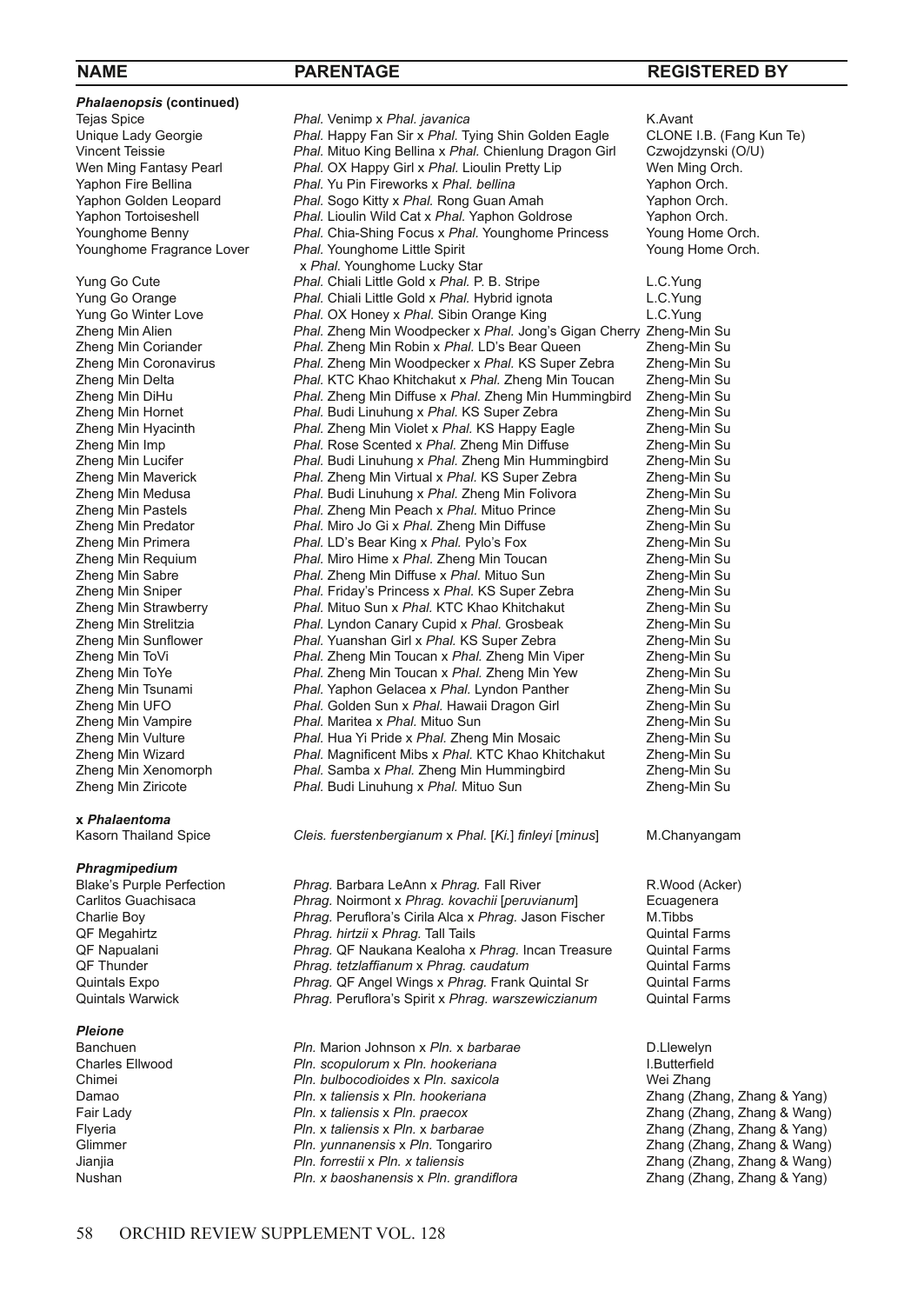**NAME PARENTAGE REGISTERED BY**

**Phalaenopsis (continued)**<br>Tejas Spice

**x** *Phalaentoma*

*Phragmipedium*

# *Pleione*

Tejas Spice *Phal. Venimp x Phal. javanica Phal. Jevanica Phal. The Spice Phal. Phal. Tying Shin Golden Eagle CLONE I.B. (Fang Kun Te) Phal. Happy Fan Sir x Phal. Tying Shin Golden Eagle* CLONE I.B. (Fang Kun Te) Unique Lady Georgie *Phal.* Happy Fan Sir x *Phal.* Tying Shin Golden Eagle CLONE I.B. (Fang Kun Teissie *Phal. Nituo King Bellina x Phal. Chienlung Dragon Girl Czwojdzynski (O/U)* Vincent Teissie *Phal.* Mituo King Bellina x *Phal.* Chienlung Dragon Girl Czwojdzynski (C<br>Wen Ming Fantasy Pearl **Phal.** OX Happy Girl x *Phal.* Lioulin Pretty Lip Wen Ming Orch. Wen Ming Fantasy Pearl *Phal.* OX Happy Girl x *Phal.* Lioulin Pretty Lip Wen Ming Orch.<br>Yaphon Fire Bellina *Phal.* Yu Pin Fireworks x *Phal. bellina* Yaphon Orch. Yaphon Fire Bellina *Phal.* Yu Pin Fireworks x *Phal. bellina* Yaphon Orch. Yaphon Golden Leopard *Phal.* Sogo Kitty x *Phal.* Rong Guan Amah Yaphon Orch.<br>Yaphon Tortoiseshell *Phal.* Lioulin Wild Cat x *Phal.* Yaphon Goldrose Yaphon Orch. Yaphon Tortoiseshell **Phal.** Lioulin Wild Cat x Phal. Yaphon Goldrose Yaphon Orch.<br>Younghome Benny *Phal.* Chia-Shing Focus x Phal. Younghome Princess Young Home Orch. Younghome Benny *Phal.* Chia-Shing Focus x *Phal.* Younghome Princess Young Home Orch. Phal. Younghome Little Spirit x *Phal.* Younghome Lucky Star<br>
Yung Go Cute **Phal.** Chiali Little Gold x *Phal.* P. Phal. Chiali Little Gold x Phal. P. B. Stripe L.C. Yung Yung Go Orange *Phal.* Chiali Little Gold x *Phal.* Hybrid ignota L.C.Yung Yung Go Winter Love *Phal.* OX Honey x *Phal.* Sibin Orange King Zhena Min Alien **Phal.** Jong' Zheng Min Alien *Phal.* Zheng Min Woodpecker x *Phal.* Jong's Gigan Cherry Zheng-Min Su Zheng Min Coriander *Phal.* Zheng Min Robin x *Phal.* LD's Bear Queen Zheng-Min Su Zheng Min Coronavirus *Phal.* Zheng Min Woodpecker x *Phal.* KS Super Zebra Zheng-Min Su Zheng Min Delta *Phal.* KTC Khao Khitchakut x *Phal.* Zheng Min Toucan Zheng-Min Su Zheng Min DiHu *Phal.* Zheng Min Diffuse x *Phal.* Zheng Min Hummingbird Zheng-Min Su Zheng Min Hornet *Phal.* Budi Linuhung x *Phal.* KS Super Zebra Zheng-Min Su Zheng Min Hyacinth *Phal.* Zheng Min Violet x *Phal.* KS Happy Eagle Zheng-Min Su Zheng Min Imp *Phal.* Rose Scented x *Phal.* Zheng Min Diffuse Zheng-Min Su Zheng Min Lucifer *Phal.* Budi Linuhung x *Phal.* Zheng Min Hummingbird Zheng-Min Su Zheng Min Maverick *Phal.* Zheng Min Virtual x *Phal.* KS Super Zebra Zheng-Min Su Zheng Min Medusa *Phal.* Budi Linuhung x *Phal.* Zheng Min Folivora Zheng-Min Su Zheng Min Pastels *Phal.* Zheng Min Peach x *Phal.* Mituo Prince Zheng-Min Su Zheng Min Predator *Phal.* Miro Jo Gi x *Phal.* Zheng Min Diffuse Zheng-Min Su Phal. LD's Bear King x *Phal.* Pylo's Fox **Zheng-Min Supplera** *Phal.* Zheng-Min Supplera *Phal.* Zheng-Min Su Zheng Min Requium *Phal.* Miro Hime x *Phal.* Zheng Min Toucan Zheng-Min Su Zheng Min Sabre *Phal.* Zheng Min Diffuse x *Phal.* Mituo Sun Zheng-Min Su Phal. Friday's Princess x Phal. KS Super Zebra Zheng Min Strawberry *Phal.* Mituo Sun x *Phal.* KTC Khao Khitchakut Zheng-Min Su Zheng Min Strelitzia *Phal.* Lyndon Canary Cupid x *Phal.* Grosbeak Zheng-Min Su Phal. Yuanshan Girl x Phal. KS Super Zebra **Min Super Zebra Zheng-Min Su**<br>Phal. Zheng Min Toucan x Phal. Zheng Min Viper Zheng-Min Su Zheng Min ToVi *Phal.* Zheng Min Toucan x *Phal.* Zheng Min Viper Zheng-Min Su Zheng Min ToYe *Phal.* Zheng Min Toucan x *Phal.* Zheng Min Yew Zheng-Min Su Phal. Yaphon Gelacea x Phal. Lyndon Panther **Zheng-Min Su**<br> **Phal. Golden Sun x Phal. Hawaii Dragon Girl** Zheng-Min Su Zheng Min UFO *Phal.* Golden Sun x *Phal.* Hawaii Dragon Girl Zheng-Min Su Zheng Min Vampire *Phal.* Maritea x *Phal.* Mituo Sun Zheng-Min Su Phal. Hua Yi Pride x Phal. Zheng Min Mosaic **Zheng-Min Su**<br>Phal. Magnificent Mibs x Phal. KTC Khao Khitchakut Zheng-Min Su Zheng Min Wizard *Phal.* Magnificent Mibs x *Phal.* KTC Khao Khitchakut Zheng-Min Su Zheng Min Xenomorph *Phal.* Samba x *Phal.* Zheng Min Hummingbird Zheng-Min Su Phal. Budi Linuhung x Phal. Mituo Sun

Kasorn Thailand Spice *Cleis. fuerstenbergianum* x *Phal.* [*Ki.*] *finleyi* [*minus*] M.Chanyangam

Blake's Purple Perfection *Phrag.* Barbara LeAnn x *Phrag.* Fall River R.Wood (Acker)<br>Carlitos Guachisaca *Phrag.* Noirmont x *Phrag. kovachii* [peruvianum] Ecuagenera Carlitos Guachisaca *Phrag.* Noirmont x *Phrag. kovachii* [*peruvianum*] Ecuagen<br>Charlie Boy **Phrag.** Peruflora's Cirila Alca x *Phrag.* Jason Fischer M. Tibbs Phrag. Peruflora's Cirila Alca x Phrag. Jason Fischer QF Megahirtz *Phrag. hirtzii x Phrag.* Tall Tails **Quintal Farms** Quintal Farms **Quintal Farms** QF Naukana Kealoha x *Phrag.* Incan Treasure Quintal Farms QF Napualani *Phrag.* QF Naukana Kealoha x *Phrag.* Incan Treasure Quintal Farms QF Thunder *Phrag. tetzlaffianum* x *Phrag. caudatum* Quintal Farms Quintals Expo *Phrag.* QF Angel Wings x *Phrag.* Frank Quintal Sr <br>
Quintals Warwick **Phrag.** Peruflora's Spirit x *Phrag. warszewiczianur* Phrag. Peruflora's Spirit x Phrag. warszewiczianum Quintal Farms

Banchuen *Pln.* **Marion Johnson x** *Pln.* **x barbarae D.Llewelyn** Charles Ellwood *Pln.* scopulorum x *Pln. hookeriana* **D.** D. Butterfield Charles Ellwood *Pln. scopulorum* x *Pln. hookeriana* I.Butterfield Chimei *Pln. bulbocodioides* x *Pln.* saxicola<br>Damao *Pln. x taliensis* x *Pln. hookeriana* Damao **Pln.** x *taliensis* x *Pln. hookeriana* Zhang (Zhang, Zhang & Yang)<br>Pair Lady **Pln.** x *taliensis* x *Pln.* praecox Zhang (Zhang, Zhang & Wang) Flyeria *Pln.* x *taliensis* x *Pln.* x *barbarae* Zhang (Zhang, Zhang & Yang) Glimmer *Pln. yunnanensis* x Pln. Tongariro *Pln. Some Blangeriro* Jianiia Nushan *Pln. x baoshanensis* x *Pln. grandiflora* Zhang (Zhang, Zhang & Yang)

Fair Lady *Pln.* x *taliensis* x *Pln. praecox* Zhang (Zhang, Zhang & Wang) Jianjia *Pln. forrestii* x *Pln. x taliensis* Zhang (Zhang, Zhang & Wang)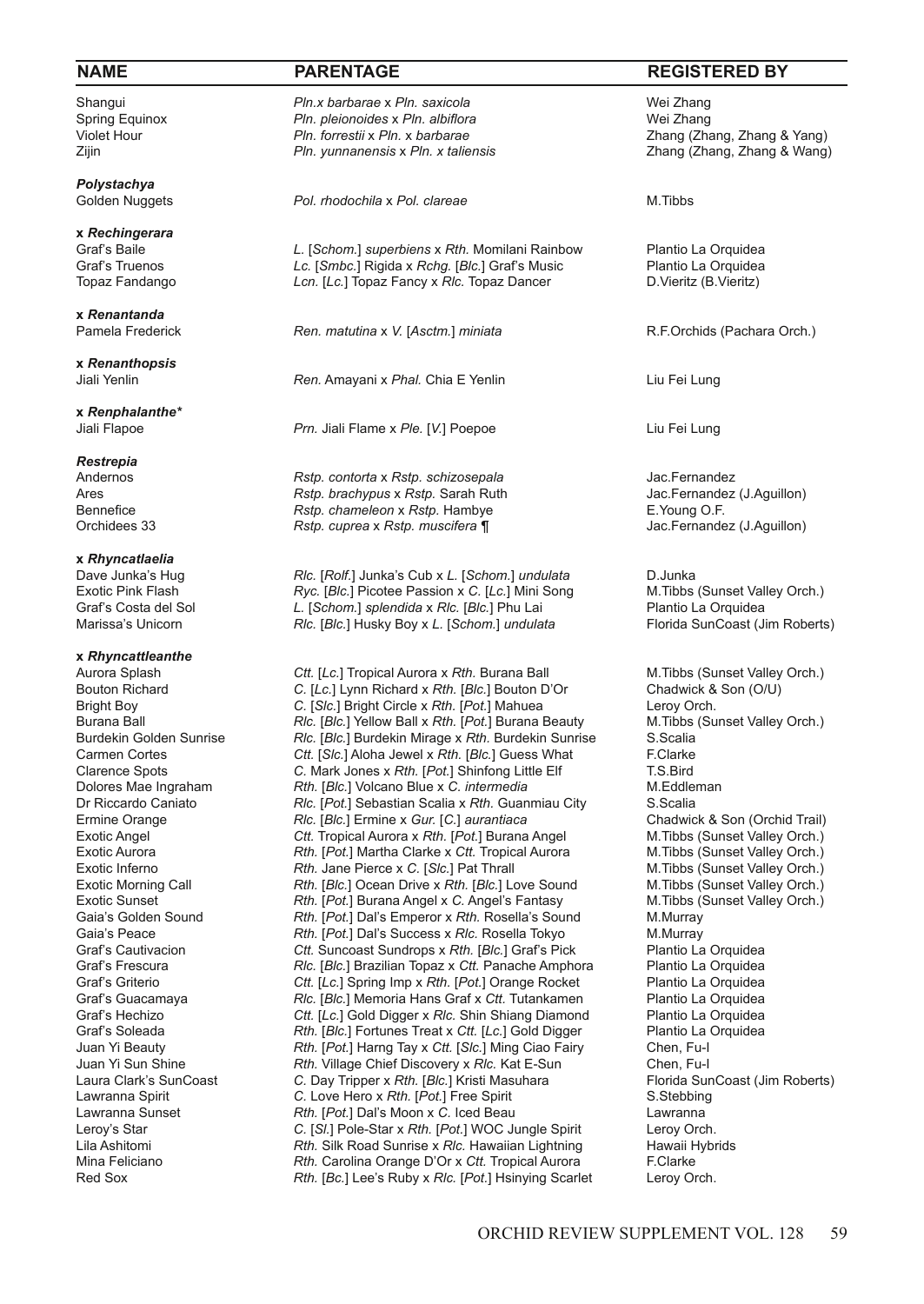*Polystachya*

**x** *Rechingerara*

**x** *Renantanda*

**x** *Renanthopsis*

**x** *Renphalanthe\**

*Restrepia*

**x** *Rhyncatlaelia*

# **x** *Rhyncattleanthe*

Shangui *Pln.x barbarae x Pln.saxicola Pun.x barbarae x Pln. saxicola* Wei Zhang<br>Spring Equinox *Pln. pleionoides x Pln. albiflora Promang Burgery Rei Zhang* Spring Equinox *Pln. pleionoides* x *Pln. albiflora Pln. albiflora Pln. forrestii* x *Pln. x barbarae* Zijin *Pln. yunnanensis* x *Pln. x taliensis* Zhang (Zhang, Zhang & Wang)

Pol. *rhodochila* x *Pol. clareae* M.Tibbs

Graf's Baile **Cancel** *L.* [*Schom.*] *superbiens* x *Rth.* Momilani Rainbow Plantio La Orquidea Graf's Truenos Controller C. [*Smbc.*] Rigida x *Rchg.* [*Blc.*] Graf's Music Plantio La Orquidea Graf's Truenos *Lc.* [*Smbc.*] Rigida x *Rchg.* [*Blc.*] Graf's Music Plantio La Orquidean Consument Clarentin Clarentin Clarentin Clarentin (B.Vieritz) Plantio La Orquidean Clarentin Clarentin Clarentin Clarentin Claren Lcn. [Lc.] Topaz Fancy x *Rlc.* Topaz Dancer

Ren. *matutina* x V. [Asctm.] *miniata* R.F.Orchids (Pachara Orch.)

**Ren.** Amayani x *Phal.* Chia E Yenlin **Liu Fei Lung** Liu Fei Lung

Jiali Flapoe *Prn.* Jiali Flame x *Ple.* [*V.*] Poepoe Liu Fei Lung

Andernos *Rstp. contorta* x *Rstp. schizosepala* Jac.Fernandez Ares **Ares** *Rstp. brachypus* x *Rstp.* Sarah Ruth Jac.Fernandez (Jac.Fernandez (J.Aguillon) x *Rstp. chameleon* x *Rstp.* Hambye Bennefice *Rstp. chameleon* x *Rstp.* Hambye **E.Young O.F. E.Young O.F. compared as** *Rstp. cuprea* **x** *Rstp. muscifera* **¶ <b>E.Young O.F.** Jac.Fernandez (J.Aguillon) Orchidees 33 *Rstp. cuprea* x *Rstp. muscifera ¶* Jac.Fernandez (J.Aguillon)

Dave Junka's Hug *Rlc.* [*Rolf.*] Junka's Cub x *L.* [*Schom.*] *undulata* D.Junka Exotic Pink Flash *Ryc.* [*Blc.*] Picotee Passion x *C.* [*Lc.*] Mini Song M.Tibbs (Sunset Valley Orch.) Graf's Costa del Sol *L.* [*Schom.*] *splendida* x *Rlc.* [Blc.] Phu Lai Marissa's Unicorn **Computer** Rlc. [Blc.] Husky Boy x L. [*Schom.] undula* Rlc. [Blc.] Husky Boy x L. [Schom.] *undulata* Florida SunCoast (Jim Roberts)

Aurora Splash **Ctt.** [*Lc.*] Tropical Aurora x *Rth.* Burana Ball M.Tibbs (Sunset Valley Orch.)<br>Bouton Richard **C.** [*Lc.*] Lynn Richard x *Rth.* [*Blc.*] Bouton D'Or Chadwick & Son (O/U) Bouton Richard **C.** [*Lc.*] Lynn Richard x *Rth.* [*Blc.*] Bouton D'Or Chadwick & Son (O/U)<br>Bright Boy C. [Slc.] Bright Circle x *Rth.* [*Pot.*] Mahuea Leroy Orch. Bright Boy **C.** [*Slc.*] Bright Circle x *Rth.* [*Pot.*] Mahuea Leroy Orch. Leroy Orch. [Burana Ball x Rth. [*Pot.*] Burana Beauty M. Tibbs (Sunset Valley Orch.) Burana Ball **Ric.** [*Blc.*] Yellow Ball x *Rth.* [*Pot.*] Burana Beauty M.Tibbs (*Rlc.*) Burdekin Colden Sunrise C. Scalla Burdekin Golden Sunrise *Rlc.* [*Blc.*] Burdekin Mirage x *Rth.* Burdekin Sunrise S.Scalia Carmen Cortes **Carmen Cortes Carmen Cortes Carmen Cortes Carmen Cortes Carmen Cortes Carmen Cortes C. Mark Jones x** *Rth.* **[***Pot.***] Shinfong Little Elf <b>F.Clarke** T.S.Bird C. Mark Jones x Rth. [Pot.] Shinfong Little Elf T.S.Bird<br>
Dolores Mae Ingraham **Rth. [Blc.]** Volcano Blue x C. *intermedia* M.Eddleman Rth. [Blc.] Volcano Blue x C. *intermedia* Dr Riccardo Caniato *Rlc.* [Pot.] Sebastian Scalia x Rth. Guanmiau City S.Scalia<br>
Ermine Orange **Starting Realing Community Community** C.] aurantiaca **City Chadwick & Son (Orchid Trail)** Ermine Orange *Rlc.* [*Blc.*] Ermine x *Gur.* [*C.*] *aurantiaca* Chadwick & Son (Orchid Trail) Ctt. Tropical Aurora x Rth. [Pot.] Burana Angel Exotic Aurora *Rth.* [Pot.] Martha Clarke x Ctt. Tropical Aurora M.Tibbs (Sunset Valley Orch.)<br>Exotic Inferno **Rth.** Jane Pierce x C. [S/c.] Pat Thrall M.Tibbs (Sunset Valley Orch.) Exotic Inferno *Rth.* Jane Pierce x C. [Slc.] Pat Thrall Exotic Morning Call **M.T.** Rth. [Blc.] Deean Drive x Rth. [Blc.] Let Rth. [Blc.] Ocean Drive x Rth. [Blc.] Love Sound M.Tibbs (Sunset Valley Orch.) Exotic Sunset *Rth.* [*Pot.*] Burana Angel x *C.* Angel's Fantasy M. Tibbs (Sunset Valley Orch.)<br>Gaia's Golden Sound **Rth.** [*Pot.*] Dal's Emperor x Rth. Rosella's Sound M. Murray Rth. [Pot.] Dal's Emperor x Rth. Rosella's Sound Gaia's Peace *Rth.* [Pot.] Dal's Success x Rlc. Rosella Tokyo M.Murray Graf's Cautivacion **Ctt.** Suncoast Sundrops x Rth. [Blc.] Graf's Pick Plantio La Orquidea<br>Graf's Frescura **Prices Container Container Plantic Container Plantio La Orquidea** Graf's Frescura *Rlc.* [*Blc.*] Brazilian Topaz x Ctt. Panache Amphora Plantio La Orquidea<br>
Graf's Griterio **Propieta Ctt.** [*Lc.*] Spring Imp x Rth. [Pot.] Orange Rocket Plantio La Orquidea Ctt. [Lc.] Spring Imp x *Rth.* [*Pot.*] Orange Rocket Graf's Guacamaya *Rlc.* [*Blc.*] Memoria Hans Graf x Ctt. Tutankamen Plantio La Orquidea Graf's Hechizo **Ctt.** [Lc.] Gold Digger x *Rlc.* Shin Shiang Diamond Plantio La Orquidea Graf's Hechizo *Ctt.* [*Lc.*] Gold Digger x *Rlc.* Shin Shiang Diamond Plantio La Orquidea<br>Graf's Soleada **Price Rtd.** Flantio La Orquidea Rth. [Blc.] Fortunes Treat x Ctt. [Lc.] Gold Digger Juan Yi Beauty *Rth.* [*Pot.*] Harng Tay x *Ctt.* [*Slc.*] Ming Ciao Fairy Chen, Fu-I Rth. Village Chief Discovery x Rlc. Kat E-Sun Laura Clark's SunCoast **C.** Day Tripper x *Rth.* [*Blc.*] Kristi Masuhara Florida SunCoast (Jim Roberts)<br>Lawranna Soirit C. Love Hero x *Rth.* [Pot.] Free Soirit S. Stebbing S. Stebbing Lawranna Spirit *C.* Love Hero x *Rth.* [*Pot.*] Free Spirit S.Stebbing **Rth.** [Pot.] Dal's Moon x C. Iced Beau Lawranna Leroy's Star *C.* [*Sl.*] Pole-Star x *Rth.* [*Pot.*] WOC Jungle Spirit Leroy Orch. Lila Ashitomi *Rth.* Silk Road Sunrise x *Rlc.* Hawaiian Lightning Hawaii H<br>Mina Feliciano **Reading Caroling Orange D'Or x Ctt.** Tropical Aurora F. Clarke Rth. Carolina Orange D'Or x Ctt. Tropical Aurora Red Sox *Rth.* [*Bc.*] Lee's Ruby x *Rlc.* [*Pot.*] Hsinying Scarlet Leroy Orch.

# **NAME PARENTAGE REGISTERED BY**

Zhang (Zhang, Zhang & Yang)<br>*Zhang (Zhang, Zhang & Wang*)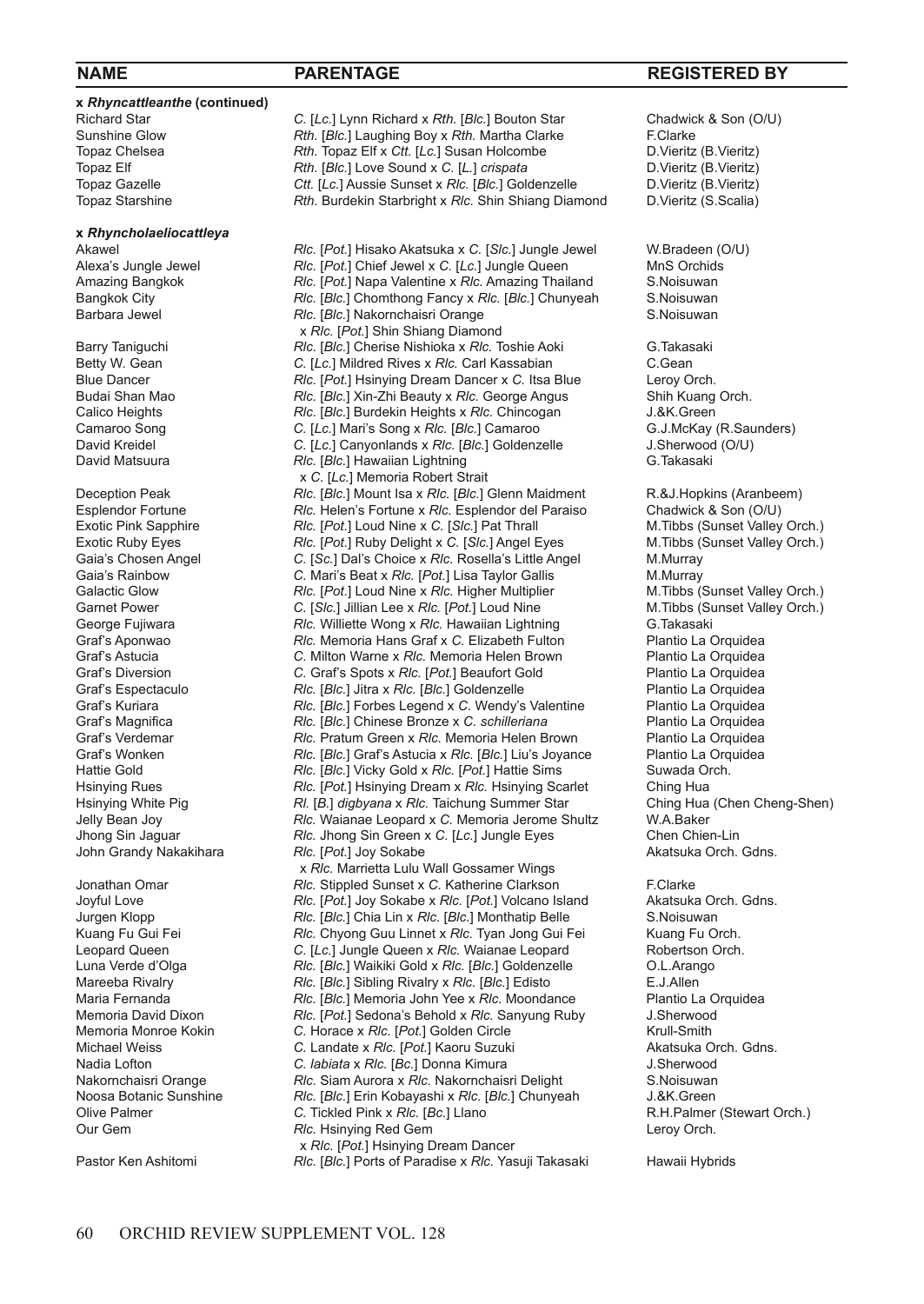**x** *Rhyncattleanthe* **(continued)**

# **x** *Rhyncholaeliocattleya*

John Grandy Nakakihara *Rlc.* [Pot.] Joy Sokabe

Richard Star **C.** [*Lc.*] Lynn Richard x *Rth.* [*Blc.*] Bouton Star Chadwick & Son (O/U)<br>
Sunshine Glow **Rth. [Blc.] Laughing Boy x** *Rth.* **Martha Clarke** F. Clarke Sunshine Glow *Rth.* [*Blc.*] Laughing Boy x *Rth.* Martha Clarke F.Clarke Topaz Chelsea *Rth.* Topaz Elf x *Ctt.* [*Lc.*] Susan Holcombe D.Vieritz (B.Vieritz)<br>
Topaz Elf *Rth.* [*Blc.*] Love Sound x *C.* [*L.*] *crispata* D.Vieritz (B.Vieritz) Topaz Elf *Rth.* [*Blc.*] Love Sound x *C.* [*L.*] *crispata* D.Vieritz (B.Vieritz) Topaz Gazelle **Ctt.** [*Lc.*] Aussie Sunset x *Rlc.* [*Blc.*] Goldenzelle D. Vieritz (B. Vieritz (B. Vieritz (B. Scalia)<br>Topaz Starshine **Rth. Burdekin Starbright x** *Rlc.* Shin Shiang Diamond D. Vieritz (S. Scalia) Rth. Burdekin Starbright x Rlc. Shin Shiang Diamond

Akawel **Ric.** [*Pot.*] Hisako Akatsuka x C. [Sic.] Jungle Jewel W.Bradeen (O/U)<br>Alexa's Jungle Jewel **Ric.** [*Pot.*] Chief Jewel x C. [Lc.] Jungle Queen MnS Orchids Alexa's Jungle Jewel *Rlc.* [*Pot.*] Chief Jewel x *C.* [*Lc.*] Jungle Queen MnS Orchids Amazing Bangkok *Rlc.* [*Pot.*] Napa Valentine x *Rlc.* Amazing Thailand S.Noisuwan Bangkok City *Rlc.* [*Blc.*] Chomthong Fancy x *Rlc.* [*Blc.*] Chunyeah S.Noisuwan Rlc. [Blc.] Nakornchaisri Orange x *Rlc.* [*Pot.*] Shin Shiang Diamond<br>**Rlc.** [Blc.] Cherise Nishioka x *Rlc.* T Barry Taniguchi *Rlc.* [*Blc.*] Cherise Nishioka x *Rlc.* Toshie Aoki G.Takasaki G.Takasaki C. [Lc.] Mildred Rives x *Rlc.* Carl Kassabian C. Gean Betty W. Gean **C. Industrian C. Executive C. The C. Carl Kassabian** C. Gean **C. Gean** Blue C. Gean **Blue** C. Gean **C.** From **C.** From **C.** From **C.** From **C.** From **C.** From **C.** From **C.** From **C.** From **C.** From **C.** Fro Blue Dancer *Rlc.* [*Pot.*] Hsinying Dream Dancer x *C.* Itsa Blue Leroy Orch. Budai Shan Mao *Rlc.* [*Blc.*] Xin-Zhi Beauty x *Rlc.* George Angus Shih Kuang Calico Heights **Ship Rlc.** [*Blc.*] Burdekin Heights x *Rlc.* Chincogan J.&K. Green Calico Heights **RIG.** [*BIC.*] Burdekin Heights x *RIc.* Chincogan J.&K.Green<br>C. [Lc.] Mari's Song x *RIc.* [*BIc.*] Camaroo G.J.McKay (R.Saunders) C. [Lc.] Mari's Song x *Rlc.* [Blc.] Camaroo G.J.McKay (R.Sau<br>
David Kreidel C. [Lc.] Canyonlands x *Rlc.* [Blc.] Goldenzelle J.Sherwood (O/U) David Kreidel **C.** *C.* **C.** *ILc.*] Canyonlands x *Rlc.* [*Blc.*] Goldenzelle J. Sherwood (C. ILC. C. *Rlc.* I Hawaiian Liphtning (C. *G. Takasaki RIc.* [*Blc.*] Hawaiian Lightning x *C.* [*Lc.*] Memoria Robert Strait<br>Deception Peak **Ric.** [*Blc.*] Mount Isa x *Rlc.* [*Blc.*] Deception Peak *Rlc.* [*Blc.*] Mount Isa x *Rlc.* [*Blc.*] Glenn Maidment R.&J.Hopkins (Aranbeem) Esplendor Fortune *Rlc.* Helen's Fortune x *Rlc.* Esplendor del Paraiso Chadwick & Son (O/U) Exotic Pink Sapphire *Rlc.* [*Pot.*] Loud Nine x C. [S/c.] Pat Thrall M.Tibbs (Sunset Valley Orch.)<br>
Exotic Ruby Eyes **Ric.** [*Pot.*] Ruby Delight x C. [S/c.] Angel Eyes M.Tibbs (Sunset Valley Orch.) Exotic Ruby Eyes **RIC.** [Pot.] Ruby Delight x C. [Slc.] Angel Eyes Gaia's Chosen Angel **The C. [Sc.]** Dal's Choice x Rlc. Rosella's Little Angel Gaia's Chosen Angel **C.** [*Sc.*] Dal's Choice x *Rlc.* Rosella's Little Angel M.Murray<br>
Gaia's Rainbow C. Mari's Beat x *Rlc.* [*Pot.*] Lisa Taylor Gallis M.Murray Gaia's Rainbow **C.** Mari's Beat x *Rlc.* [*Pot.*] Lisa Taylor Gallis M. Murray M. Murray<br>Galactic Glow **Communist Containst A. A. C. Communist Containst M. Tibbs (Sunset Valley Orch.)** *Rlc.* [*Pot.*] Loud Nine x *Rlc.* Higher Multiplier Garnet Power **C.** [*Slc.*] Jillian Lee x Rlc. [Pot.] Loud Nine M. Tibbs (Sunset Valley Orch.)<br>George Fujiwara **Rlc.** Williette Wong x Rlc. Hawaiian Lightning G. Takasaki George Fujiwara *Rlc.* Williette Wong x Rlc. Hawaiian Lightning G.Takasaki Grafs Aponwao **G.Takasaki** Grafix C. Elizabeth Fulton Plantio La Orquidea Rlc. Memoria Hans Graf x C. Elizabeth Fulton Graf's Astucia **C.** Milton Warne x *Rlc.* Memoria Helen Brown Plantio La Orquidea Graf's Diversion C. Graf's Spots x *Rlc.* [Pot.] Beaufort Gold Plantio La Orquidea Graf's Diversion **C.** Graf's Spots x *Rlc.* [*Pot.*] Beaufort Gold Plantio La Orquidea<br>Graf's Espectaculo **Protession Ric.** [*Blc.*] Jitra x *Rlc.* [*Blc.*] Goldenzelle Plantio La Orquidea Rlc. [Blc.] Jitra x Rlc. [Blc.] Goldenzelle **Plantio La Orquidea** Plantio La Orquidea **Rlc.**<br>
Rlc. [Blc.] Forbes Legend x C. Wendy's Valentine Plantio La Orquidea Graf's Kuriara *Rlc.* [*Blc.*] Forbes Legend x C. Wendy's Valentine Plantio La Orquidea Graf's Magnifica **Property** *Rlc.* [*Blc.*] Chinese Bronze x C. schilleriana Plantio La Orquidea Graf's Magnifica *Rlc.* [*Blc.*] Chinese Bronze x *C. schilleriana* Plantio La Orquidea Graf's Verdemar<br>
Graf's Verdemar **Rlc.** Pratum Green x *Rlc.* Memoria Helen Brown Plantio La Orquidea Rlc. Pratum Green x Rlc. Memoria Helen Brown Graf's Wonken **RIG.** [*BIG.*] Graf's Astucia x *RIc.* [*BIG.*] Liu's Joyance Plantio La Orquidea<br>
Hattie Gold **RIG.** [*BIG.*] Vicky Gold x *RIG.* [*Pot.*] Hattie Sims Suwada Orch. Hattie Gold **Ric.** [*Blc.*] Vicky Gold x *Rlc.* [*Pot.*] Hattie Sims <br>Hsinying Rues **Ric.** [*Pot.*] Hsinying Dream x *Rlc.* Hsinying Sc. *Rlc.* [Pot.] Hsinying Dream x *Rlc.* Hsinying Scarlet Ching Hua Hsinying White Pig *Rl.* [*B.*] *digbyana* x *Rlc.* Taichung Summer Star Ching Hua (Chen Cheng-Shen) Jelly Bean Joy **Chang** Shen) Jelly Bean Joy **Chang** Cheng-Shen) Jelly Bean Joy *Rlc.* Waianae Leopard x *C.* Memoria Jerome Shultz W.A.Baker Rlc. Jhong Sin Green x C. [Lc.] Jungle Eyes Chen Chien-Lin<br>
Rlc. [Pot.] Jov Sokabe C. [Lc.] Jungle Eyes Chen Chen Chien-Lin x *Rlc.* Marrietta Lulu Wall Gossamer Wings<br>Jonathan Omar<br>*Rlc.* Stippled Sunset x C. Katherine Clarksor Rlc. Stippled Sunset x C. Katherine Clarkson F.Clarke<br>
Rlc. [Pot.] Jov Sokabe x Rlc. [Pot.] Volcano Island Akatsuka Orch. Gdns. Joyful Love **Ric.** [*Pot.*] Joy Sokabe x *Rlc.* [*Pot.*] Volcano Island Akatsuka Or<br>Jurgen Klopp Ric. [Blc.] Chia Lin x Rlc. [Blc.] Monthatip Belle S. Noisuwan *Rlc.* [*Blc.*] Chia Lin x *Rlc.* [*Blc.*] Monthatip Belle Kuang Fu Gui Fei *Rlc.* Chyong Guu Linnet x Rlc. Tyan Jong Gui Fei Kuang Fu Orch.<br>Leopard Queen **C.** [Lc.] Jungle Queen x Rlc. Waianae Leopard Robertson Orch. Leopard Queen **C.** [Lc.] Jungle Queen x *Rlc.* Waianae Leopard Robertson (<br>
Luna Verde d'Olga **C. El. El. El. C. C. El.** Maikiki Gold x *Rlc.* [*Blc.*] Goldenzelle C.L. Arango Luna Verde d'Olga *Rlc.* [*Blc.*] Waikiki Gold x *Rlc.* [*Blc.*] Goldenzelle O.L.Arango *Rlc.* [*Blc.*] Sibling Rivalry x *Rlc.* [*Blc.*] Edisto Maria Fernanda *Rlc.* [*Blc.*] Memoria John Yee x *Rlc.* Moondance Plantio La Orquidea *Rlc.* Memoria David Dixon *Rlc.* [*Pot.*] Sedona's Behold x *Rlc.* Sanyung Ruby J.Sherwood Memoria David Dixon *Rlc.* [*Pot.*] Sedona's Behold x *Rlc.* Sanyung Ruby J.Sherwood Memoria Monroe Kokin **C. Horace x** *Rlc.* [Pot.] Golden Circle **Krull-Smith** Krull-Smith Krull-Smith C. Landate x *Rlc.* [Pot.] Kaoru Suzuki Akatsuka Orch. Gdns. Michael Weiss **C.** Landate x *Rlc.* [*Pot.*] Kaoru Suzuki Akatsuka O<br>
Nadia Lofton **C.** *Iabiata x Rlc.* [Bc.] Donna Kimura J. Sherwood C. *labiata* x *Rlc.* [Bc.] Donna Kimura Nakornchaisri Orange **Rlc.** Siam Aurora x *Rlc.* Nakornchaisri Delight S.Noisuwan<br>Noosa Botanic Sunshine *Rlc.* [Blc.] Erin Kobayashi x *Rlc.* [Blc.] Chunyeah J.&K.Green Noosa Botanic Sunshine *Rlc.* [*Blc.*] Erin Kobayashi x *Rlc.* [*Blc.*] Chunyeah J.&K.Green C. Tickled Pink x *Rlc.* [Bc.] Llano Our Gem *Rlc.* Hsinying Red Gem Leroy Orch. x *Rlc.* [Pot.] Hsinying Dream Dancer<br>*Rlc.* [Blc.] Ports of Paradise x *Rlc.* Yas Rlc. [Blc.] Ports of Paradise x Rlc. Yasuji Takasaki Hawaii Hybrids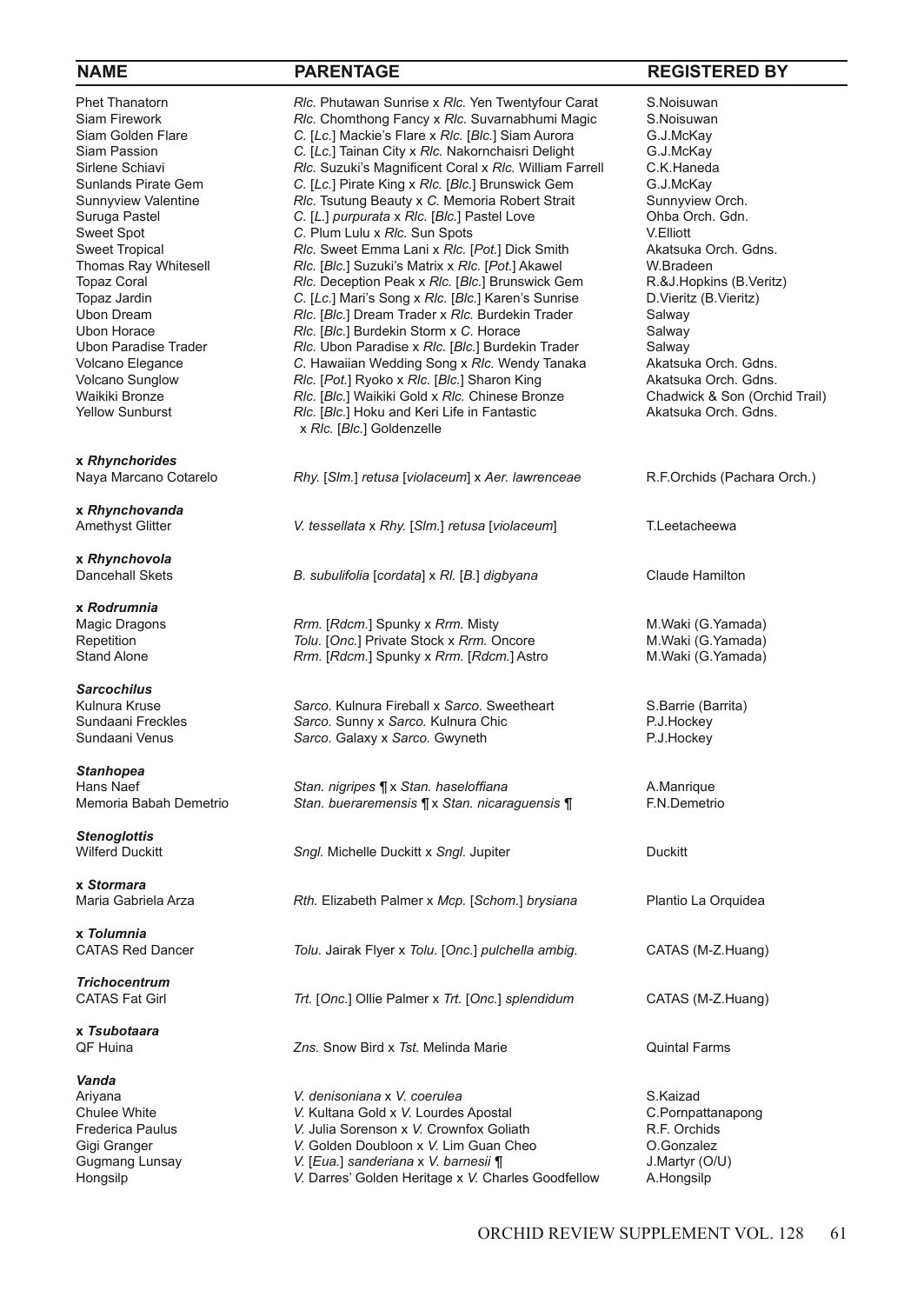**x** *Rhynchorides*

**x** *Rhynchovanda*

**x** *Rhynchovola*

**x** *Rodrumnia*

*Sarcochilus*

*Stanhopea*

*Stenoglottis*

**x** *Stormara*

**x** *Tolumnia*

*Trichocentrum*

**x** *Tsubotaara*

*Vanda*

Phet Thanatorn *Rlc.* Phutawan Sunrise x *Rlc.* Yen Twentyfour Carat S.Noisuwan Siam Firework *Rlc.* Chomthong Fancy x *Rlc.* Suvarnabhumi Magic S.Noisuwan<br>Siam Golden Flare **S. S. S. R. A.N.** C. ILc.1 Mackie's Flare x *Rlc.* IBlc.1 Siam Aurora G.J.McKav Siam Golden Flare *C.* [*Lc.*] Mackie's Flare x *Rlc.* [*Blc.*] Siam Aurora G.J.McKay Siam Passion *C.* [*Lc.*] Tainan City x *Rlc.* Nakornchaisri Delight G.J.McKay Sirlene Schiavi *Rlc.* Suzuki's Magnificent Coral x *Rlc.* William Farrell C.K.Haned:<br>Sunlands Pirate Gem C. [Lc.] Pirate King x *Rlc.* [Blc.] Brunswick Gem G.J.McKay Sunlands Pirate Gem *C.* [*Lc.*] Pirate King x *Rlc.* [*Blc.*] Brunswick Gem G.J.McKay Sunnyview Valentine **Rlc.** Tsutung Beauty x C. Memoria Robert Strait Sunnyview Orch.<br>Suruga Pastel Sunnyview C. [*L.] purpurata x Rlc.* [*Blc.*] Pastel Love Ohba Orch. Gdn. Suruga Pastel **C.** [*L.*] *purpurata* x *Rlc.* [*Blc.*] Pastel Love Ohba O<br>Sweet Spot C. Plum Lulu x Rlc. Sun Spots C. The Godden C. Plum Lulu x Rlc. Sun Spots Sweet Spot **C.** Plum Lulu x RIc. Sun Spots V.Elliott V.Elliott **V. Plum Lulu x RIc.** Sun Spots V.Elliott V.Elliott<br>Sweet Tropical **RIC. Sweet Emma Lani x RIc. [Pot.] Dick Smith** Akatsuka Orch. Gdns. Sweet Tropical **Ric.** Sweet Emma Lani x *Rlc.* [Pot.] Dick Smith Akatsuka C<br>Thomas Ray Whitesell **Ric. [Blc.]** Suzuki's Matrix x *Rlc.* [*Pot.*] Akawel W.Bradeen Thomas Ray Whitesell *Rlc.* [*Blc.*] Suzuki's Matrix x *Rlc.* [*Pot.*] Akawel W.Bradeen **W.Bradeen R.&J.Hopkins (B.Veritz)** *Rlc.* Deception Peak x *Rlc.* [*Blc.*] Brunswick Gem R.&J.Hopkins (B.Veritz) Topaz Coral **Rlc.** Deception Peak x *Rlc.* [*Blc.*] Brunswick Gem Topaz Jardin C. [Lc.] Mari's Song x Rlc. [*Blc.*] Karen's Sunrise Topaz Jardin *C.* [*Lc.*] Mari's Song x *Rlc.* [*Blc.*] Karen's Sunrise D.Vieritz (B.Vieritz) Ubon Dream *Rlc.* [*Blc.*] Dream Trader x *Rlc.* Burdekin Trader Salway Ubon Horace *Rlc.* [Blc.] Burdekin Storm x C. Horace **Salway Salway** Ubon Paradise **Trader Salway C.** Ubon Paradise x Rlc. [Blc.] Burdekin Trader **Salway** Ubon Paradise Trader **RIC.** Ubon Paradise x RIc. [BIc.] Burdekin Trader Salway<br>Volcano Elegance **Salum Standard C.** Hawaiian Wedding Song x RIc. Wendy Tanaka Akatsuka Orch. Gdns. Volcano Elegance **C.** Hawaiian Wedding Song x Rlc. Wendy Tanaka Akatsuka Orch. Gdns.<br>Volcano Sunglow **Rlc. [Pot.] Ryoko x Rlc. [Blc.] Sharon King** Akatsuka Orch. Gdns. Volcano Sunglow *Rlc.* [*Pot.*] Ryoko x *Rlc.* [*Blc.*] Sharon King Akatsuka Orch. Gdns.<br>Waikiki Bronze **Algerman Akatar Akademia Akademia Akatsuka Chedwick & Son (Orchid Trail)** Waikiki Bronze *Rlc.* [*Blc.*] Waikiki Gold x *Rlc.* Chinese Bronze Chadwick & Son (Orchid Trail)<br> *Rlc.* [*Blc.*] Hoku and Keri Life in Fantastic Akatsuka Orch. Gdns. Rlc. [Blc.] Hoku and Keri Life in Fantastic x *Rlc.* [*Blc.*] Goldenzelle

Naya Marcano Cotarelo *Rhy.* [*Slm.*] *retusa* [*violaceum*] x *Aer. lawrenceae* R.F.Orchids (Pachara Orch.)

Amethyst Glitter *V. tessellata* x *Rhy.* [*Slm.*] *retusa* [*violaceum*] T.Leetacheewa

B. subulifolia [cordata] x Rl. [B.] digbyana Claude Hamilton

Magic Dragons **Rrm.** [*Rdcm.*] Spunky x *Rrm.* Misty M.Waki (G.Yamada) M.Waki (G.Yamada) Repetition M.Waki (G.Yamada) Tolu. [Onc.] Private Stock x *Rrm.* Oncore Stand Alone *Rrm.* [Rdcm.] Spunky x Rrm. [Rdcm.] Astro M.Waki (G.Yamada)

Kulnura Kruse *Sarco. Kulnura Fireball x Sarco. Sweetheart* **S.Barrie (Barrita)**<br>Sundaani Freckles **Sarco. Sunny x Sarco. Kulnura Chic Sundaani Freckles** Sundaani Freckles **Sarco.** Sunny x Sarco. Kulnura Chic **P.J.Hockey** P.J.Hockey<br>
Sarco. Galaxy x Sarco. Gwyneth **P.J.Hockey** Sarco. Galaxy x Sarco. Gwyneth

**Stan.** *nigripes*  $\P$  x *Stan. haseloffiana* A.Manrique Memoria Babah Demetrio *Stan. bueraremensis ¶* x *Stan. nicaraguensis ¶* F.N.Demetrio

**Sngl.** Michelle Duckitt x Sngl. Jupiter Duckitt

Rth. Elizabeth Palmer x Mcp. [Schom.] brysiana Plantio La Orquidea

Tolu. Jairak Flyer x Tolu. [Onc.] pulchella ambig. CATAS (M-Z.Huang)

CATAS Fat Girl *Trt.* [*Onc.*] Ollie Palmer x *Trt.* [*Onc.*] *splendidum* CATAS (M-Z.Huang)

Zns. Snow Bird x Tst. Melinda Marie **Communist Accord Accord Accord Accord Accord Accord Accord Accord Farms** 

Ariyana *V. denisoniana* x *V. coerulea* S.Kaizad V. Kultana Gold x V. Lourdes Apostal C.Pornpattanapong Frederica Paulus *V.* Julia Sorenson x *V.* Crownfox Goliath R.F. Orchids Gigi Granger *V.* **Golden Doubloon x V. Lim Guan Cheo** C.Gonzalez **Contage C.Gonzalez**<br>Gugmang Lunsay *V. [Eua.] sanderiana x V. barnesii* **¶** J.Martyr (O/U) Gugmang Lunsay *V.* [*Eua.*] *sanderiana* x *V. barnesii* [ Hongsilp *V.* Darres' Golden Heritage x *V.* Charles Goodfellow A.Hongsilp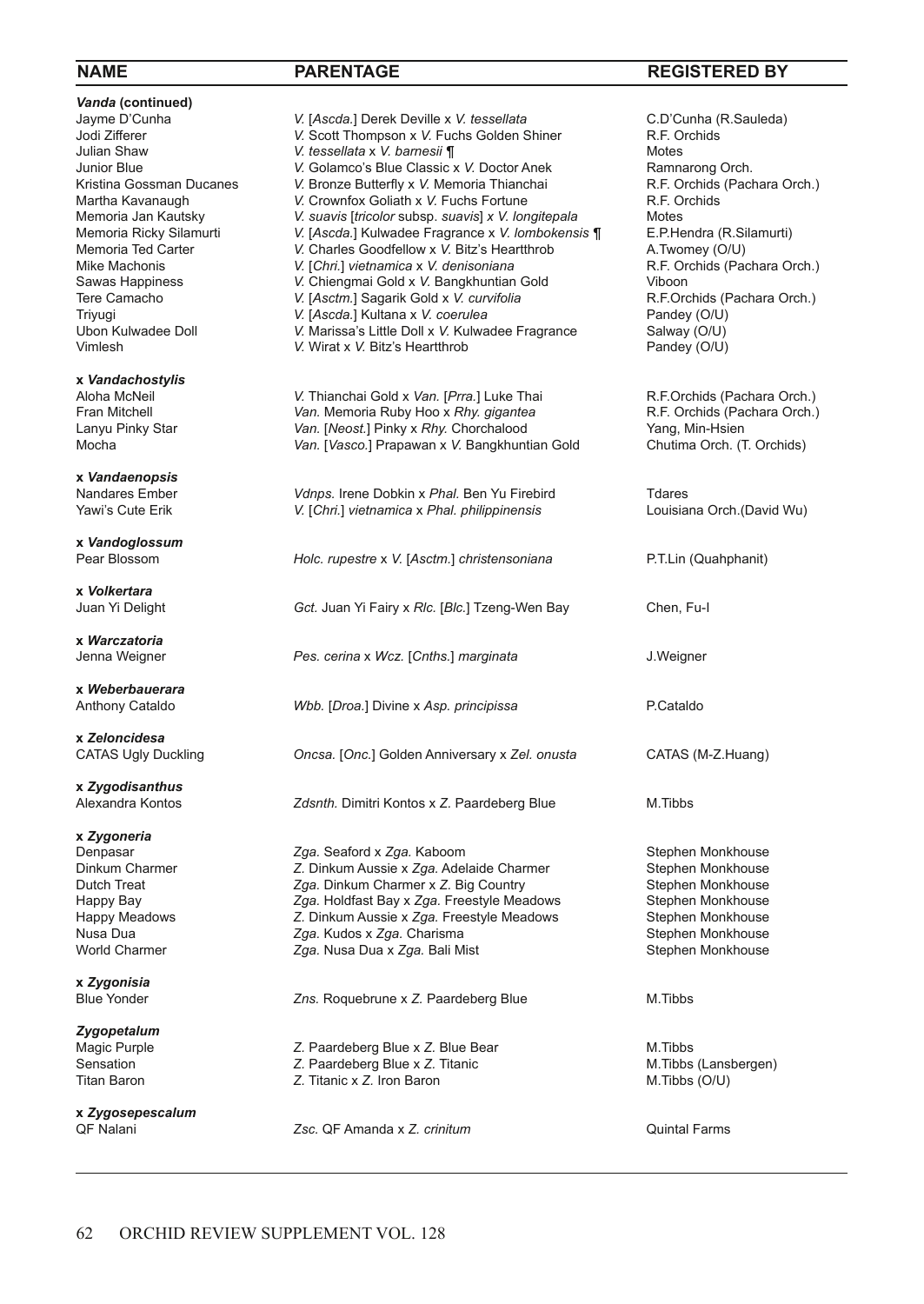**Vanda (continued)**<br>Jayme D'Cunha

**x** *Vandachostylis*

**x** *Vandaenopsis*

**x** *Vandoglossum*

**x** *Volkertara*

**x** *Warczatoria*

**x** *Weberbauerara*

**x** *Zeloncidesa*

**x** *Zygodisanthus*

**x** *Zygoneria*

**x** *Zygonisia*

*Zygopetalum*

**x** *Zygosepescalum*

Jayme D'Cunha *V.* [*Ascda.*] Derek Deville x *V. tessellata* C.D'Cunha (R.Sauleda) Jodi Zifferer **1988 CONTIG V.** Scott Thompson x V. Fuchs Golden Shiner **R.F. Orchiden Shaw** R.F. Orchiden Shaw Motes Julian Shaw *V. tessellata* x *V. barnesii ¶* Motes Junior Blue *V.* Golamco's Blue Classic x V. Doctor Anek **Ramnarong Orch.**<br>
Kristina Gossman Ducanes *V.* Bronze Butterfly x V. Memoria Thianchai R.F. Orchids (Pachara Orch.) Kristina Gossman Ducanes *V.* Bronze Butterfly x *V.* Memoria Thianchai **R.F. Orchids** (R.F. Orchids Martha Kavanaugh V. Crownfox Goliath x V. Fuchs Fortune Martha Kavanaugh **V.** Crownfox Goliath x V. Fuchs Fortune R.F. C<br>Memoria Jan Kautsky **W.** Suavis [tricolor subsp. suavis] x V. longitepala Motes Memoria Jan Kautsky *V. suavis* [*tricolor* subsp. *suavis*] *x V. longitepala* Motes Memoria Ricky Silamurti *V.* [*Ascda.*] Kulwadee Fragrance x *V. lombokensis ¶* E.P.Hendra (R.Silamurti) Memoria Ted Carter **V.** Charles Goodfellow x V. Bitz's Heartthrob **A. Twomey (O/U)**<br>Mike Machonis **A. F. Orchids (Pachara Orch.)** V. [Chri.] vietnamica x V. denisoniana **A. A. A. A. A. A. A. A. A. A. A. A.** F. Orchids (Pac Mike Machonis *V.* [*Chri.*] *vietnamica* x *V. denisoniana* **R.F.** Or<br>
Sawas Happiness *V.* **Chiengmai Gold x** *V.* **Bangkhuntian Gold** Viboon Sawas Happiness **V.** Chiengmai Gold x V. Bangkhuntian Gold Viboon<br>
Tere Camacho **V. [Asctm.]** Saqarik Gold x V. *curvifolia* V. Next Corchids (Pachara Orch.) Tere Camacho *V.* [Asctm.] Sagarik Gold x *V. curvifolia* R.F.Orchids (F<br>Triyuqi **Randey (O/U)** *V. [Ascda.*] Kultana x *V. coerulea* Reandey (O/U) Triyugi **1998** *V.* [*Ascda.*] Kultana x *V. coerulea* Pandey (O/U)<br>
Ubon Kulwadee Doll **CO/U)** V. Marissa's Little Doll x V. Kulwadee Fragrance Salway (O/U) Ubon Kulwadee Doll **V.** Marissa's Little Doll x V. Kulwadee Fragrance Salway (O/U)<br>Vimlesh V. Wirat x V. Bitz's Heartthrob Pandey (O/U) *V.* Wirat x *V.* Bitz's Heartthrob

Aloha McNeil *V.* Thianchai Gold x Van. [Prra.] Luke Thai R.F.Orchids (Pachara Orch.)<br>
Fran Mitchell **R.F. Orchids (Pachara Orch.)**<br>
R.F. Orchids (Pachara Orch.) Fran Mitchell *Van.* Memoria Ruby Hoo x Rhy. *gigantea* R.F. Orchids (Pachara Orch.)<br>
Lanyu Pinky Star **Canchara Critic Corp.** Van. [Neost.] Pinky x Rhy. Chorchalood Yang, Min-Hsien Lanyu Pinky Star *Van.* [*Neost.*] Pinky x *Rhy.* Chorchalood *Yang, Min-Hsien*<br>Mocha **Wang Interval Club Condition** Music Mechanic Mochalood Chutima Orch. (T. Orchids) Van. *[Vasco.]* Prapawan x V. Bangkhuntian Gold

Nandares Ember *Vdnps.* Irene Dobkin x Phal. Ben Yu Firebird **The Transform Communisty Cute Erik** Vietnamica x Phal. philippinensis **The Communisty Communisty Communisty** Cute Erik Vietnamica x Phal. philippinensis **The**  $V.$  [*Chri.*] *vietnamica* x *Phal. philippinensis* 

*Holc. rupestre* x *V.* [Asctm.] *christensoniana* P.T.Lin (Quahphanit)

Gct. Juan Yi Fairy x Rlc. [Blc.] Tzeng-Wen Bay Chen, Fu-I

**Pes.** cerina x Wcz. [Cnths.] marginata J.Weigner

Anthony Cataldo *Wbb.* [*Droa.*] Divine x *Asp. principissa* P.Cataldo

CATAS Ugly Duckling *Oncsa.* [*Onc.*] Golden Anniversary x *Zel. onusta* CATAS (M-Z.Huang)

Zdsnth. Dimitri Kontos x Z. Paardeberg Blue M.Tibbs

Denpasar *Zga.* Seaford x *Zga.* Kaboom *Zga. Seaford x Zga. Kaboom* Stephen Monkhouse Stephen Monkhouse Dinkum Aussie x Zga. Adelaide Charmer Stephen Monkhouse Dinkum Charmer **Z.** Dinkum Aussie x Zga. Adelaide Charmer Stephen Monkhouse<br>Dutch Treat **Zga.** Dinkum Charmer x Z. Biq Country Stephen Monkhouse Zga. Dinkum Charmer x Z. Big Country Happy Bay *Zga.* Holdfast Bay x Zga. Freestyle Meadows Stephen Monkhouse<br>Happy Meadows **Stephen Monkhouse** Z. Dinkum Aussie x Zga. Freestyle Meadows Stephen Monkhouse Z. Dinkum Aussie x Zga. Freestyle Meadows Nusa Dua *Zga.* **Kudos x** *Zga.* **Charisma Stephen Monkhouse** Stephen Monkhouse *Zga.* Nusa Dua x Zga. Bali Mist Stephen Monkhouse Stephen Monkhouse Zga. Nusa Dua x Zga. Bali Mist Stephen Monkhouse

Zns. Roquebrune x Z. Paardeberg Blue M.Tibbs

Magic Purple *Z.* **Paardeberg Blue x** *Z.* **Blue Bear** M. Tibbs M. Tibbs (Lansbergen)<br> *Z.* Paardeberg Blue x *Z.* Titanic **M. Tibbs (Lansbergen)** Z. Paardeberg Blue x Z. Titanic Titan Baron *Z.* Titanic x *Z.* Iron Baron **M.Tibbs (O/U)** 

QF Nalani *Zsc.* QF Amanda x *Z. crinitum* Quintal Farms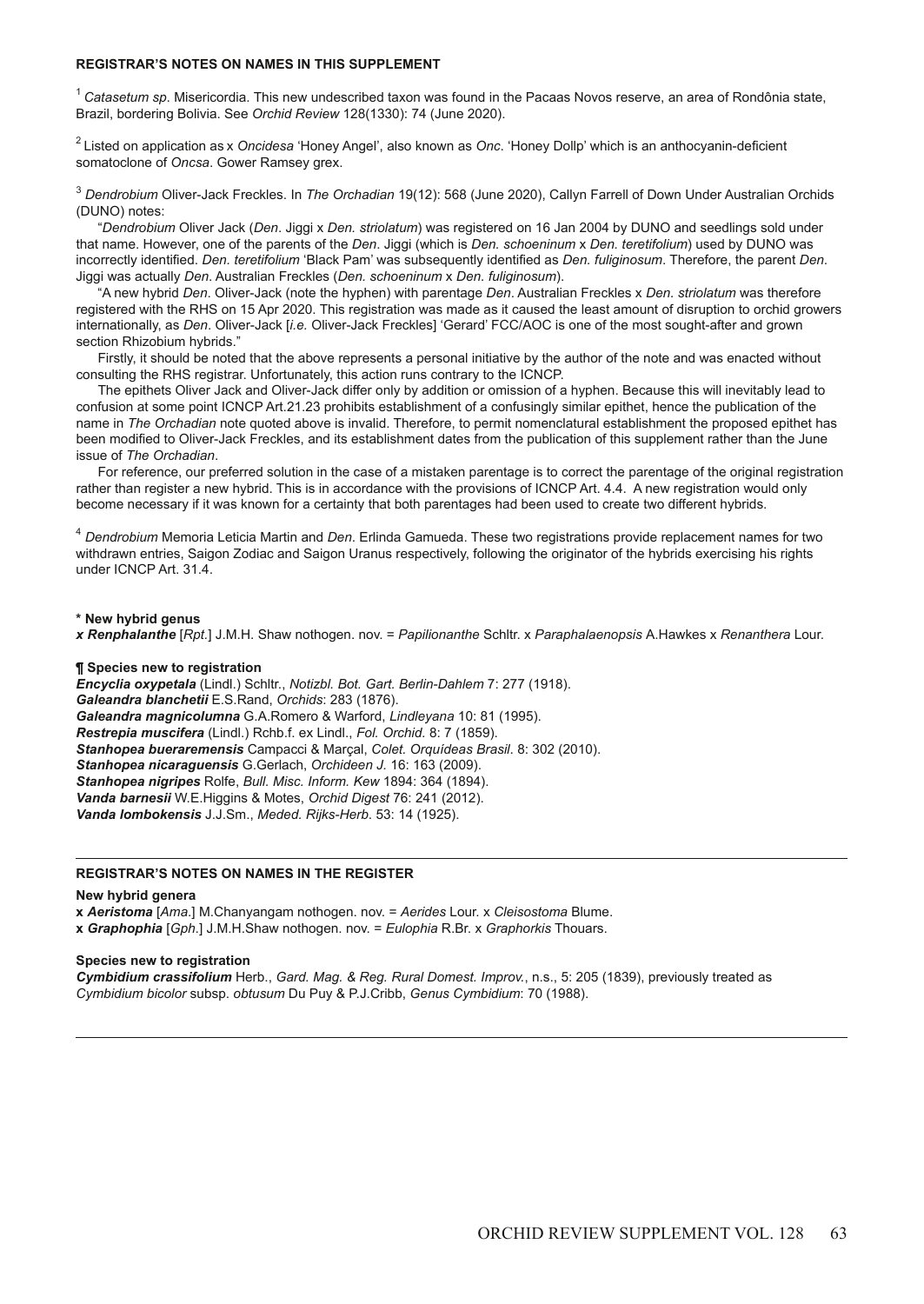# **REGISTRAR'S NOTES ON NAMES IN THIS SUPPLEMENT**

<sup>1</sup>*Catasetum sp*. Misericordia. This new undescribed taxon was found in the Pacaas Novos reserve, an area of Rondônia state, Brazil, bordering Bolivia. See *Orchid Review* 128(1330): 74 (June 2020).

2 Listed on application as x *Oncidesa* 'Honey Angel', also known as *Onc*. 'Honey Dollp' which is an anthocyanin-deficient somatoclone of *Oncsa*. Gower Ramsey grex.

<sup>3</sup> *Dendrobium* Oliver-Jack Freckles. In *The Orchadian* 19(12): 568 (June 2020), Callyn Farrell of Down Under Australian Orchids (DUNO) notes:

"*Dendrobium* Oliver Jack (*Den*. Jiggi x *Den. striolatum*) was registered on 16 Jan 2004 by DUNO and seedlings sold under that name. However, one of the parents of the *Den*. Jiggi (which is *Den. schoeninum* x *Den. teretifolium*) used by DUNO was incorrectly identified. *Den. teretifolium* 'Black Pam' was subsequently identified as *Den. fuliginosum*. Therefore, the parent *Den*. Jiggi was actually *Den*. Australian Freckles (*Den. schoeninum* x *Den. fuliginosum*).

"A new hybrid *Den*. Oliver-Jack (note the hyphen) with parentage *Den*. Australian Freckles x *Den. striolatum* was therefore registered with the RHS on 15 Apr 2020. This registration was made as it caused the least amount of disruption to orchid growers internationally, as *Den*. Oliver-Jack [*i.e.* Oliver-Jack Freckles] 'Gerard' FCC/AOC is one of the most sought-after and grown section Rhizobium hybrids."

Firstly, it should be noted that the above represents a personal initiative by the author of the note and was enacted without consulting the RHS registrar. Unfortunately, this action runs contrary to the ICNCP.

The epithets Oliver Jack and Oliver-Jack differ only by addition or omission of a hyphen. Because this will inevitably lead to confusion at some point ICNCP Art.21.23 prohibits establishment of a confusingly similar epithet, hence the publication of the name in *The Orchadian* note quoted above is invalid. Therefore, to permit nomenclatural establishment the proposed epithet has been modified to Oliver-Jack Freckles, and its establishment dates from the publication of this supplement rather than the June issue of *The Orchadian*.

For reference, our preferred solution in the case of a mistaken parentage is to correct the parentage of the original registration rather than register a new hybrid. This is in accordance with the provisions of ICNCP Art. 4.4. A new registration would only become necessary if it was known for a certainty that both parentages had been used to create two different hybrids.

<sup>4</sup> *Dendrobium* Memoria Leticia Martin and *Den*. Erlinda Gamueda. These two registrations provide replacement names for two withdrawn entries, Saigon Zodiac and Saigon Uranus respectively, following the originator of the hybrids exercising his rights under ICNCP Art. 31.4.

# **\* New hybrid genus**

*x Renphalanthe* [*Rpt.*] J.M.H. Shaw nothogen. nov. = *Papilionanthe* Schltr. x *Paraphalaenopsis* A.Hawkes x *Renanthera* Lour.

# **¶ Species new to registration**

*Encyclia oxypetala* (Lindl.) Schltr., *Notizbl. Bot. Gart. Berlin-Dahlem* 7: 277 (1918). *Galeandra blanchetii* E.S.Rand, *Orchids*: 283 (1876). *Galeandra magnicolumna* G.A.Romero & Warford, *Lindleyana* 10: 81 (1995). *Restrepia muscifera* (Lindl.) Rchb.f. ex Lindl., *Fol. Orchid.* 8: 7 (1859). *Stanhopea bueraremensis* Campacci & Marçal, *Colet. Orquídeas Brasil*. 8: 302 (2010). *Stanhopea nicaraguensis* G.Gerlach, *Orchideen J.* 16: 163 (2009). *Stanhopea nigripes* Rolfe, *Bull. Misc. Inform. Kew* 1894: 364 (1894). *Vanda barnesii* W.E.Higgins & Motes, *Orchid Digest* 76: 241 (2012). *Vanda lombokensis* J.J.Sm., *Meded. Rijks-Herb*. 53: 14 (1925).

# **REGISTRAR'S NOTES ON NAMES IN THE REGISTER**

## **New hybrid genera**

**x** *Aeristoma* [*Ama*.] M.Chanyangam nothogen. nov. = *Aerides* Lour. x *Cleisostoma* Blume. **x** *Graphophia* [*Gph*.] J.M.H.Shaw nothogen. nov. = *Eulophia* R.Br. x *Graphorkis* Thouars.

## **Species new to registration**

*Cymbidium crassifolium* Herb., *Gard. Mag. & Reg. Rural Domest. Improv.*, n.s., 5: 205 (1839), previously treated as *Cymbidium bicolor* subsp. *obtusum* Du Puy & P.J.Cribb, *Genus Cymbidium*: 70 (1988).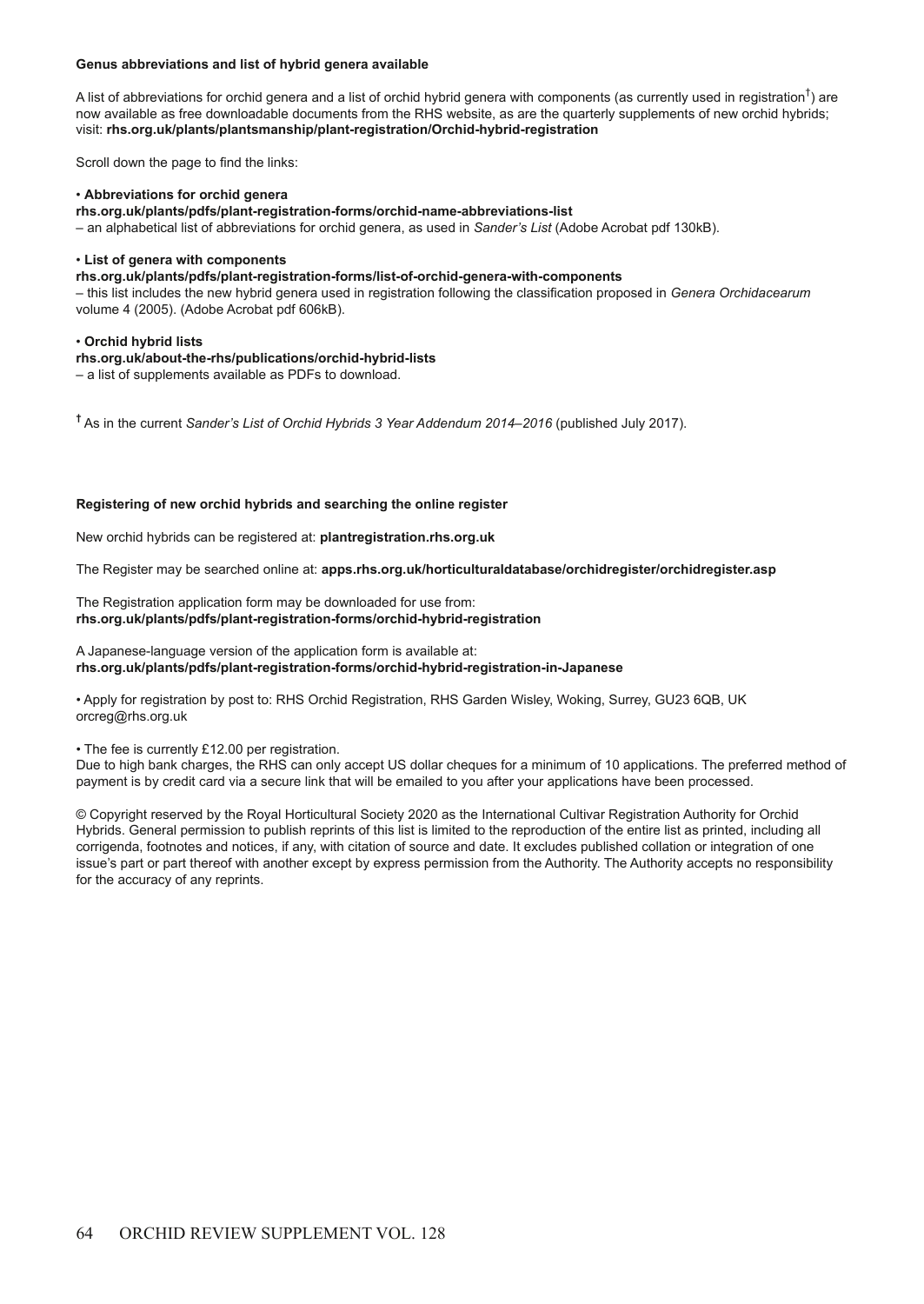# **Genus abbreviations and list of hybrid genera available**

A list of abbreviations for orchid genera and a list of orchid hybrid genera with components (as currently used in registration<sup>†</sup>) are now available as free downloadable documents from the RHS website, as are the quarterly supplements of new orchid hybrids; visit: **rhs.org.uk/plants/plantsmanship/plant-registration/Orchid-hybrid-registration**

Scroll down the page to find the links:

# • **Abbreviations for orchid genera**

**rhs.org.uk/plants/pdfs/plant-registration-forms/orchid-name-abbreviations-list**

– an alphabetical list of abbreviations for orchid genera, as used in *Sander's List* (Adobe Acrobat pdf 130kB).

# • **List of genera with components**

**rhs.org.uk/plants/pdfs/plant-registration-forms/list-of-orchid-genera-with-components**

– this list includes the new hybrid genera used in registration following the classification proposed in *Genera Orchidacearum* volume 4 (2005). (Adobe Acrobat pdf 606kB).

# • **Orchid hybrid lists**

**rhs.org.uk/about-the-rhs/publications/orchid-hybrid-lists**

– a list of supplements available as PDFs to download.

**†** As in the current *Sander's List of Orchid Hybrids 3 Year Addendum 2014–2016* (published July 2017).

# **Registering of new orchid hybrids and searching the online register**

New orchid hybrids can be registered at: **plantregistration.rhs.org.uk**

The Register may be searched online at: **apps.rhs.org.uk/horticulturaldatabase/orchidregister/orchidregister.asp**

The Registration application form may be downloaded for use from: **rhs.org.uk/plants/pdfs/plant-registration-forms/orchid-hybrid-registration**

A Japanese-language version of the application form is available at: **rhs.org.uk/plants/pdfs/plant-registration-forms/orchid-hybrid-registration-in-Japanese**

• Apply for registration by post to: RHS Orchid Registration, RHS Garden Wisley, Woking, Surrey, GU23 6QB, UK orcreg@rhs.org.uk

• The fee is currently £12.00 per registration.

Due to high bank charges, the RHS can only accept US dollar cheques for a minimum of 10 applications. The preferred method of payment is by credit card via a secure link that will be emailed to you after your applications have been processed.

© Copyright reserved by the Royal Horticultural Society 2020 as the International Cultivar Registration Authority for Orchid Hybrids. General permission to publish reprints of this list is limited to the reproduction of the entire list as printed, including all corrigenda, footnotes and notices, if any, with citation of source and date. It excludes published collation or integration of one issue's part or part thereof with another except by express permission from the Authority. The Authority accepts no responsibility for the accuracy of any reprints.